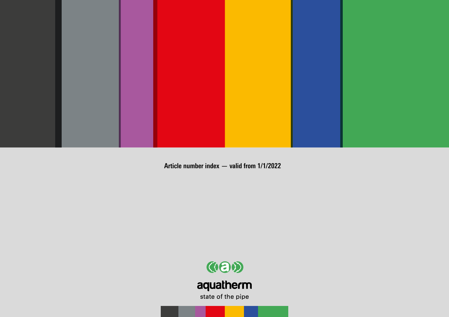

**Article number index — valid from 1/1/2022**

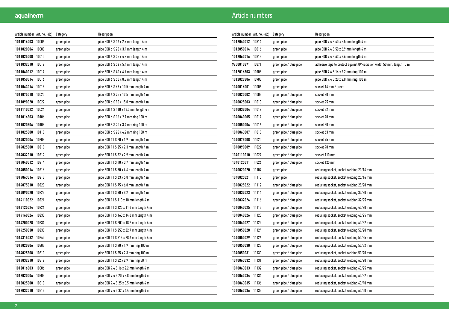| Article number Art. no. (old) |       | Category   | Description                                         |
|-------------------------------|-------|------------|-----------------------------------------------------|
| 1011016003                    | 10006 | green pipe | pipe SDR 6 S 16 x 2.7 mm length 4 m                 |
| 1011020006                    | 10008 | green pipe | pipe SDR 6 S 20 x 3.4 mm length 4 m                 |
| 1011025008                    | 10010 | green pipe | pipe SDR $6S25x4.2$ mm length $4m$                  |
| 1011032010                    | 10012 | green pipe | pipe SDR $6S32 \times 5.4$ mm length $4m$           |
| 1011040012                    | 10014 | green pipe | pipe SDR 6 S 40 x 6.7 mm length 4 m                 |
| 1011050014                    | 10016 | green pipe | pipe SDR 6 S 50 x 8.3 mm length 4 m                 |
| 1011063016                    | 10018 | green pipe | pipe SDR $6S63 \times 10.5$ mm length $4 \text{ m}$ |
| 1011075018                    | 10020 | green pipe | pipe SDR 6 S 75 x 12.5 mm length 4 m                |
| 1011090020                    | 10022 | green pipe | pipe SDR 6 S 90 x 15.0 mm length 4 m                |
| 1011110022                    | 10024 | green pipe | pipe SDR 6 S 110 x 18.3 mm length 4 m               |
| 1011016303                    | 10106 | green pipe | pipe SDR 6 S 16 x 2.7 mm ring 100 m                 |
| 1011020306                    | 10108 | green pipe | pipe SDR 6 S 20 x 3.4 mm ring 100 m                 |
| 1011025308                    | 10110 | green pipe | pipe SDR 6 S 25 x 4.2 mm ring 100 m                 |
| 1014020006                    | 10208 | green pipe | pipe SDR 11 S 20 x 1.9 mm length 4 m                |
| 1014025008                    | 10210 | green pipe | pipe SDR 11 S 25 x 2.3 mm length 4 m                |
| 1014032010                    | 10212 | green pipe | pipe SDR 11 S 32 x 2.9 mm length 4 m                |
| 1014040012                    | 10214 | green pipe | pipe SDR 11 S 40 x 3.7 mm length 4 m                |
| 1014050014                    | 10216 | green pipe | pipe SDR 11 S 50 x 4.6 mm length 4 m                |
| 1014063016                    | 10218 | green pipe | pipe SDR 11 S 63 x 5.8 mm length 4 m                |
| 1014075018                    | 10220 | green pipe | pipe SDR 11 S 75 x 6,8 mm length 4 m                |
| 1014090020                    | 10222 | green pipe | pipe SDR 11 S 90 x 8.2 mm length 4 m                |
| 1014110022                    | 10224 | green pipe | pipe SDR 11 S 110 x 10 mm length 4 m                |
| 1014125024                    | 10226 | green pipe | pipe SDR 11 S 125 x 11.4 mm length 4 m              |
| 1014160026                    | 10230 | green pipe | pipe SDR 11 S 160 x 14.6 mm length 4 m              |
| 1014200028                    | 10234 | green pipe | pipe SDR 11 S 200 x 18.2 mm length 4 m              |
| 1014250030                    | 10238 | green pipe | pipe SDR 11 S 250 x 22.7 mm length 4 m              |
| 1014315032                    | 10242 | green pipe | pipe SDR 11 S 315 x 28.6 mm length 4 m              |
| 1014020306                    | 10308 | green pipe | pipe SDR 11 S 20 x 1.9 mm ring 100 m                |
| 1014025308                    | 10310 | green pipe | pipe SDR 11 S 25 x 2.3 mm ring 100 m                |
| 1014032310                    | 10312 | green pipe | pipe SDR 11 S 32 x 2.9 mm ring 50 m                 |
| 1012016003                    | 10806 | green pipe | pipe SDR 7.4 S 16 x 2.2 mm length 4 m               |
| 1012020006                    | 10808 | green pipe | pipe SDR 7.4 S 20 x 2.8 mm length 4 m               |
| 1012025008                    | 10810 | green pipe | pipe SDR 7.4 S 25 x 3.5 mm length 4 m               |
| 1012032010                    | 10812 | green pipe | pipe SDR 7.4 S 32 x 4.4 mm length 4 m               |

| Article number Art. no. (old) |       | Category               | Description                                                            |
|-------------------------------|-------|------------------------|------------------------------------------------------------------------|
| 1012040012                    | 10814 | green pipe             | pipe SDR 7.4 S 40 x 5.5 mm length 4 m                                  |
| 1012050014                    | 10816 | green pipe             | pipe SDR 7.4 S 50 x 6.9 mm length 4 m                                  |
| 1012063016                    | 10818 | green pipe             | pipe SDR 7.4 S 63 x 8.6 mm length 4 m                                  |
| 9700010871                    | 10871 | green pipe / blue pipe | adhesive tape to protect against UV-radiation width 50 mm, length 10 m |
| 1012016303                    | 10906 | green pipe             | pipe SDR 7.4 S 16 x 2.2 mm ring 100 m                                  |
| 1012020306                    | 10908 | green pipe             | pipe SDR 7.4 S 20 x 2.8 mm ring 100 m                                  |
| 1040016001                    | 11006 | green pipe             | socket 16 mm / green                                                   |
| 1040020002                    | 11008 | green pipe / blue pipe | socket 20 mm                                                           |
| 1040025003                    | 11010 | green pipe / blue pipe | socket 25 mm                                                           |
| 1040032004                    | 11012 | green pipe / blue pipe | socket 32 mm                                                           |
| 1040040005                    | 11014 | green pipe / blue pipe | socket 40 mm                                                           |
| 1040050006                    | 11016 | green pipe / blue pipe | socket 50 mm                                                           |
| 1040063007                    | 11018 | green pipe / blue pipe | socket 63 mm                                                           |
| 1040075008                    | 11020 | green pipe / blue pipe | socket 75 mm                                                           |
| 1040090009                    | 11022 | green pipe / blue pipe | socket 90 mm                                                           |
| 1040110010                    | 11024 | green pipe / blue pipe | socket 110 mm                                                          |
| 1040125011                    | 11026 | green pipe / blue pipe | socket 125 mm                                                          |
| 1040020020                    | 11109 | green pipe             | reducing socket, socket welding 20/16 mm                               |
| 1040025021                    | 11110 | green pipe             | reducing socket, socket welding 25/16 mm                               |
| 1040025022                    | 11112 | green pipe / blue pipe | reducing socket, socket welding 25/20 mm                               |
| 1040032023                    | 11114 | green pipe / blue pipe | reducing socket, socket welding 32/20 mm                               |
| 1040032024                    | 11116 | green pipe / blue pipe | reducing socket, socket welding 32/25 mm                               |
| 1040040025                    | 11118 | green pipe / blue pipe | reducing socket, socket welding 40/20 mm                               |
| 1040040026                    | 11120 | green pipe / blue pipe | reducing socket, socket welding 40/25 mm                               |
| 1040040027                    | 11122 | green pipe / blue pipe | reducing socket, socket welding 40/32 mm                               |
| 1040050028                    | 11124 | green pipe / blue pipe | reducing socket, socket welding 50/20 mm                               |
| 1040050029                    | 11126 | green pipe / blue pipe | reducing socket, socket welding 50/25 mm                               |
| 1040050030                    | 11128 | green pipe / blue pipe | reducing socket, socket welding 50/32 mm                               |
| 1040050031                    | 11130 | green pipe / blue pipe | reducing socket, socket welding 50/40 mm                               |
| 1040063032                    | 11131 | green pipe / blue pipe | reducing socket, socket welding 63/20 mm                               |
| 1040063033                    | 11132 | green pipe / blue pipe | reducing socket, socket welding 63/25 mm                               |
| 1040063034                    | 11134 | green pipe / blue pipe | reducing socket, socket welding 63/32 mm                               |
| 1040063035                    | 11136 | green pipe / blue pipe | reducing socket, socket welding 63/40 mm                               |
| 1040063036                    | 11138 | green pipe / blue pipe | reducing socket, socket welding 63/50 mm                               |
|                               |       |                        |                                                                        |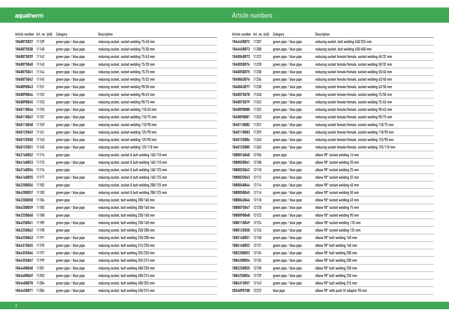| Article number Art. no. (old) |       | Category               | Description                                       |
|-------------------------------|-------|------------------------|---------------------------------------------------|
| 1040075037                    | 11139 | green pipe / blue pipe | reducing socket, socket welding 75/40 mm          |
| 1040075038                    | 11140 | green pipe / blue pipe | reducing socket, socket welding 75/50 mm          |
| 1040075039                    | 11142 | green pipe / blue pipe | reducing socket, socket welding 75/63 mm          |
| 1040075040                    | 11143 | green pipe / blue pipe | reducing socket, socket welding 75/20 mm          |
| 1040075041                    | 11144 | green pipe / blue pipe | reducing socket, socket welding 75/25 mm          |
| 1040075042                    | 11145 | green pipe / blue pipe | reducing socket, socket welding 75/32 mm          |
| 1040090043                    | 11151 | green pipe / blue pipe | reducing socket, socket welding 90/50 mm          |
| 1040090044                    | 11152 | green pipe / blue pipe | reducing socket, socket welding 90/63 mm          |
| 1040090045                    | 11153 | green pipe / blue pipe | reducing socket, socket welding 90/75 mm          |
| 1040110046                    | 11155 | green pipe / blue pipe | reducing socket, socket welding 110/63 mm         |
| 1040110047                    | 11157 | green pipe / blue pipe | reducing socket, socket welding 110/75 mm         |
| 1040110048                    | 11159 | green pipe / blue pipe | reducing socket, socket welding 110/90 mm         |
| 1040125049                    | 11161 | green pipe / blue pipe | reducing socket, socket welding 125/90 mm         |
| 1040125050                    | 11163 | green pipe / blue pipe | reducing socket, socket welding 125/90 mm         |
| 1040125051                    | 11165 | green pipe / blue pipe | reducing socket, socket welding 125/110 mm        |
| 1042160052                    | 11174 | green pipe             | reducing socket, socket & butt welding 160/110 mm |
| 1044160053                    | 11175 | green pipe / blue pipe | reducing socket, socket & butt welding 160/110 mm |
| 1042160054                    | 11176 | green pipe             | reducing socket, socket & butt welding 160/125 mm |
| 1044160055                    | 11177 | green pipe / blue pipe | reducing socket, socket & butt welding 160/125 mm |
| 1042200056                    | 11182 | green pipe             | reducing socket, socket & butt welding 200/125 mm |
| 1044200057                    | 11183 | green pipe / blue pipe | reducing socket, socket & butt welding 200/125 mm |
| 1042200058                    | 11184 | green pipe             | reducing socket, butt welding 200/160 mm          |
| 1044200059                    | 11185 | green pipe / blue pipe | reducing socket, butt welding 200/160 mm          |
| 1042250060                    | 11188 | green pipe             | reducing socket, butt welding 250/160 mm          |
| 1044250061                    | 11189 | green pipe / blue pipe | reducing socket, butt welding 250/160 mm          |
| 1042250062                    | 11190 | green pipe             | reducing socket, butt welding 250/200 mm          |
| 1044250063                    | 11191 | green pipe / blue pipe | reducing socket, butt welding 250/200 mm          |
| 1044315065                    | 11195 | green pipe / blue pipe | reducing socket, butt welding 315/250 mm          |
| 1044355066                    | 11197 | green pipe / blue pipe | reducing socket, butt welding 355/250 mm          |
| 1044355067                    | 11199 | green pipe / blue pipe | reducing socket, butt welding 355/315 mm          |
| 1044400068                    | 11201 | green pipe / blue pipe | reducing socket, butt welding 400/250 mm          |
| 1044400069                    | 11203 | green pipe / blue pipe | reducing socket, butt welding 400/315 mm          |
| 1044400070                    | 11204 | green pipe / blue pipe | reducing socket, butt welding 400/355 mm          |
| 1044450071                    | 11206 | green pipe / blue pipe | reducing socket, butt welding 450/315 mm          |

| Article number Art. no. (old) |       | Category               | Description                                              |
|-------------------------------|-------|------------------------|----------------------------------------------------------|
| 1044450072                    | 11207 | green pipe / blue pipe | reducing socket, butt welding 450/355 mm                 |
| 1044450073                    | 11208 | green pipe / blue pipe | reducing socket, butt welding 450/400 mm                 |
| 1040040073                    | 11222 | green pipe / blue pipe | reducing socket female/female, socket welding 40/32 mm   |
| 1040050074                    | 11228 | green pipe / blue pipe | reducing socket female/female, socket welding 50/32 mm   |
| 1040050075                    | 11230 | green pipe / blue pipe | reducing socket female/female, socket welding 50/40 mm   |
| 1040063076                    | 11236 | green pipe / blue pipe | reducing socket female/female, socket welding 63/40 mm   |
| 1040063077                    | 11238 | green pipe / blue pipe | reducing socket female/female, socket welding 63/50 mm   |
| 1040075078                    | 11240 | green pipe / blue pipe | reducing socket female/female, socket welding 75/50 mm   |
| 1040075079                    | 11242 | green pipe / blue pipe | reducing socket female/female, socket welding 75/63 mm   |
| 1040090080                    | 11252 | green pipe / blue pipe | reducing socket female/female, socket welding 90/63 mm   |
| 1040090081                    | 11253 | green pipe / blue pipe | reducing socket female/female, socket welding 90/75 mm   |
| 1040110082                    | 11257 | green pipe / blue pipe | reducing socket female/female, socket welding 110/75 mm  |
| 1040110083                    | 11259 | green pipe / blue pipe | reducing socket female/female, socket welding 110/90 mm  |
| 1040125084                    | 11263 | green pipe / blue pipe | reducing socket female/female, socket welding 125/90 mm  |
| 1040125085                    | 11265 | green pipe / blue pipe | reducing socket female/female, socket welding 125/110 mm |
| 1080016040                    | 12106 | green pipe             | elbow 90° socket welding 16 mm                           |
| 1080020041                    | 12108 | green pipe / blue pipe | elbow 90° socket welding 20 mm                           |
| 1080025042                    | 12110 | green pipe / blue pipe | elbow 90° socket welding 25 mm                           |
| 1080032043                    | 12112 | green pipe / blue pipe | elbow 90° socket welding 32 mm                           |
| 1080040044                    | 12114 | green pipe / blue pipe | elbow 90° socket welding 40 mm                           |
| 1080050045                    | 12116 | green pipe / blue pipe | elbow 90° socket welding 50 mm                           |
| 1080063046                    | 12118 | green pipe / blue pipe | elbow 90° socket welding 63 mm                           |
| 1080075047                    | 12120 | green pipe / blue pipe | elbow 90° socket welding 75 mm                           |
| 1080090048                    | 12122 | green pipe / blue pipe | elbow 90° socket welding 90 mm                           |
| 1080110049                    | 12124 | green pipe / blue pipe | elbow 90° socket welding 110 mm                          |
| 1080125050                    | 12126 | green pipe / blue pipe | elbow 90° socket welding 125 mm                          |
| 1082160051                    | 12130 | green pipe / blue pipe | elbow 90° butt welding 160 mm                            |
| 1084160052                    | 12131 | green pipe / blue pipe | elbow 90° butt welding 160 mm                            |
| 1082200053                    | 12134 | green pipe / blue pipe | elbow 90° butt welding 200 mm                            |
| 1084200054                    | 12135 | green pipe / blue pipe | elbow 90° butt welding 200 mm                            |
| 1082250055                    | 12138 | green pipe / blue pipe | elbow 90° butt welding 250 mm                            |
| 1084250056                    | 12139 | green pipe / blue pipe | elbow 90° butt welding 250 mm                            |
| 1084315057                    | 12143 | green pipe / blue pipe | elbow 90° butt welding 315 mm                            |
| 2054090100                    | 12222 | blue pipe              | elbow 90° with push-fit adapter 90 mm                    |
|                               |       |                        |                                                          |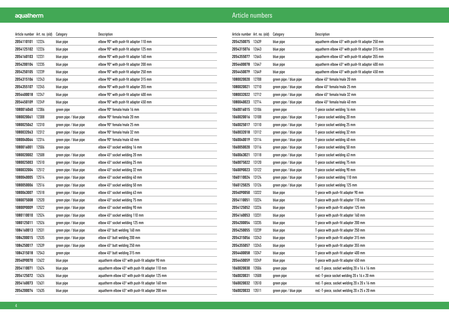| Article number Art. no. (old) |       | Category               | Description                                               |
|-------------------------------|-------|------------------------|-----------------------------------------------------------|
| 2054110101                    | 12224 | blue pipe              | elbow 90° with push-fit adapter 110 mm                    |
| 2054125102                    | 12226 | blue pipe              | elbow 90° with push-fit adapter 125 mm                    |
| 2054160103                    | 12231 | blue pipe              | elbow 90° with push-fit adapter 160 mm                    |
| 2054200104                    | 12235 | blue pipe              | elbow 90° with push-fit adapter 200 mm                    |
| 2054250105                    | 12239 | blue pipe              | elbow 90° with push-fit adapter 250 mm                    |
| 2054315106                    | 12243 | blue pipe              | elbow 90° with push-fit adapter 315 mm                    |
| 2054355107                    | 12245 | blue pipe              | elbow 90° with push-fit adapter 355 mm                    |
| 2054400018                    | 12247 | blue pipe              | elbow 90° with push-fit adapter 400 mm                    |
| 2054450109                    | 12249 | blue pipe              | elbow 90° with push-fit adapter 450 mm                    |
| 1080016060                    | 12306 | green pipe             | elbow 90° female/male 16 mm                               |
| 1080020061                    | 12308 | green pipe / blue pipe | elbow 90° female/male 20 mm                               |
| 1080025062                    | 12310 | green pipe / blue pipe | elbow 90° female/male 25 mm                               |
| 1080032063                    | 12312 | green pipe / blue pipe | elbow 90° female/male 32 mm                               |
| 1080040064                    | 12314 | green pipe / blue pipe | elbow 90° female/male 40 mm                               |
| 1080016001                    | 12506 | green pipe             | elbow 45° socket welding 16 mm                            |
| 1080020002                    | 12508 | green pipe / blue pipe | elbow 45° socket welding 20 mm                            |
| 1080025003                    | 12510 | green pipe / blue pipe | elbow 45° socket welding 25 mm                            |
| 1080032004                    | 12512 | green pipe / blue pipe | elbow 45° socket welding 32 mm                            |
| 1080040005                    | 12514 | green pipe / blue pipe | elbow 45° socket welding 40 mm                            |
| 1080050006                    | 12516 | green pipe / blue pipe | elbow 45° socket welding 50 mm                            |
| 1080063007                    | 12518 | green pipe / blue pipe | elbow 45° socket welding 63 mm                            |
| 1080075008                    | 12520 | green pipe / blue pipe | elbow 45° socket welding 75 mm                            |
| 1080090009                    | 12522 | green pipe / blue pipe | elbow 45° socket welding 90 mm                            |
| 1080110010                    | 12524 | green pipe / blue pipe | elbow 45° socket welding 110 mm                           |
| 1080125011                    | 12526 | green pipe / blue pipe | elbow 45° socket welding 125 mm                           |
| 1084160013                    | 12531 | green pipe / blue pipe | elbow 45° butt welding 160 mm                             |
| 1084200015                    | 12535 | green pipe / blue pipe | elbow 45° butt welding 200 mm                             |
| 1084250017                    | 12539 | green pipe / blue pipe | elbow 45° butt welding 250 mm                             |
| 1084315018                    | 12543 | green pipe             | elbow 45° butt welding 315 mm                             |
| 2054090070                    | 12622 | blue pipe              | aquatherm elbow 45° with push-fit adapter 90 mm           |
| 2054110071                    | 12624 | blue pipe              | aquatherm elbow $45^{\circ}$ with push-fit adapter 110 mm |
| 2054125072                    | 12626 | blue pipe              | aquatherm elbow 45° with push-fit adapter 125 mm          |
| 2054160073                    | 12631 | blue pipe              | aquatherm elbow 45° with push-fit adapter 160 mm          |
| 2054200074                    | 12635 | blue pipe              | aquatherm elbow 45° with push-fit adapter 200 mm          |

| Article number   Art. no. (old) |       | Category               | Description                                                 |
|---------------------------------|-------|------------------------|-------------------------------------------------------------|
| 2054250075                      | 12639 | blue pipe              | aquatherm elbow 45° with push-fit adapter 250 mm            |
| 2054315076                      | 12643 | blue pipe              | aquatherm elbow 45° with push-fit adapter 315 mm            |
| 2054355077                      | 12645 | blue pipe              | aquatherm elbow $45^{\circ}$ with push-fit adapter 355 mm   |
| 2054400078                      | 12647 | blue pipe              | aquatherm elbow $45^{\circ}$ with push-fit adapter 400 mm   |
| 2054450079                      | 12649 | blue pipe              | aquatherm elbow $45^{\circ}$ with push-fit adapter $450$ mm |
| 1080020020                      | 12708 | green pipe / blue pipe | elbow 45° female/male 20 mm                                 |
| 1080020021                      | 12710 | green pipe / blue pipe | elbow 45° female/male 25 mm                                 |
| 1080032022                      | 12712 | green pipe / blue pipe | elbow 45° female/male 32 mm                                 |
| 1080040023                      | 12714 | green pipe / blue pipe | elbow 45° female/male 40 mm                                 |
| 1060016015                      | 13106 | green pipe             | T-piece socket welding 16 mm                                |
| 1060020016                      | 13108 | green pipe / blue pipe | T-piece socket welding 20 mm                                |
| 1060025017                      | 13110 | green pipe / blue pipe | T-piece socket welding 25 mm                                |
| 1060032018                      | 13112 | green pipe / blue pipe | T-piece socket welding 32 mm                                |
| 1060040019                      | 13114 | green pipe / blue pipe | T-piece socket welding 40 mm                                |
| 1060050020                      | 13116 | green pipe / blue pipe | T-piece socket welding 50 mm                                |
| 1060063021                      | 13118 | green pipe / blue pipe | T-piece socket welding 63 mm                                |
| 1060075022                      | 13120 | green pipe / blue pipe | T-piece socket welding 75 mm                                |
| 1060090023                      | 13122 | green pipe / blue pipe | T-piece socket welding 90 mm                                |
| 1060110024                      | 13124 | green pipe / blue pipe | T-piece socket welding 110 mm                               |
| 1060125025                      | 13126 | green pipe / blue pipe | T-piece socket welding 125 mm                               |
| 2054090050                      | 13222 | blue pipe              | T-piece with push-fit adapter 90 mm                         |
| 2054110051                      | 13224 | blue pipe              | T-piece with push-fit adapter 110 mm                        |
| 2054125052                      | 13226 | blue pipe              | T-piece with push-fit adapter 125 mm                        |
| 2054160053                      | 13231 | blue pipe              | T-piece with push-fit adapter 160 mm                        |
| 2054200054                      | 13235 | blue pipe              | T-piece with push-fit adapter 200 mm                        |
| 2054250055                      | 13239 | blue pipe              | T-piece with push-fit adapter 250 mm                        |
| 2054315056                      | 13243 | blue pipe              | T-piece with push-fit adapter 315 mm                        |
| 2054355057                      | 13245 | blue pipe              | T-piece with push-fit adapter 355 mm                        |
| 2054400058                      | 13247 | blue pipe              | T-piece with push-fit adapter 400 mm                        |
| 2054450059                      | 13249 | blue pipe              | T-piece with push-fit adapter 450 mm                        |
| 1060020030                      | 13506 | green pipe             | red.-T-piece, socket welding 20 x 16 x 16 mm                |
| 1060020031                      | 13508 | green pipe             | red.-T-piece socket welding 20 x 16 x 20 mm                 |
| 1060020032                      | 13510 | green pipe             | red.-T-piece, socket welding 20 x 20 x 16 mm                |
| 1060020033                      | 13511 | green pipe / blue pipe | red.-T-piece, socket welding 20 x 25 x 20 mm                |
|                                 |       |                        |                                                             |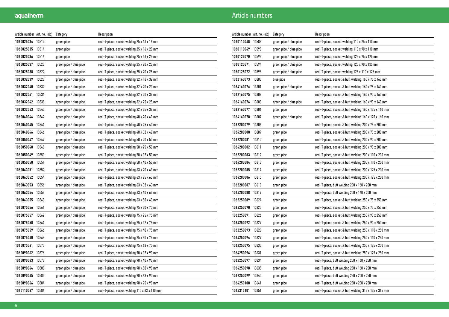| Article number   Art. no. (old) |       | Category               | Description                                    |
|---------------------------------|-------|------------------------|------------------------------------------------|
| 1060025034                      | 13512 | green pipe             | red.-T-piece, socket welding 25 x 16 x 16 mm   |
| 1060025035                      | 13514 | green pipe             | red.-T-piece, socket welding 25 x 16 x 20 mm   |
| 1060025036                      | 13516 | green pipe             | red.-T-piece, socket welding 25 x 16 x 25 mm   |
| 1060025037                      | 13520 | green pipe / blue pipe | red.-T-piece, socket welding 25 x 20 x 20 mm   |
| 1060025038                      | 13522 | green pipe / blue pipe | red.-T-piece, socket welding 25 x 20 x 25 mm   |
| 1060032039                      | 13528 | green pipe / blue pipe | red.-T-piece, socket welding 32 x 16 x 32 mm   |
| 1060032040                      | 13532 | green pipe / blue pipe | red.-T-piece, socket welding 32 x 20 x 20 mm   |
| 1060032041                      | 13534 | green pipe / blue pipe | red.-T-piece, socket welding 32 x 20 x 32 mm   |
| 1060032042                      | 13538 | green pipe / blue pipe | red.-T-piece, socket welding 32 x 25 x 25 mm   |
| 1060032043                      | 13540 | green pipe / blue pipe | red.-T-piece, socket welding 32 x 25 x 32 mm   |
| 1060040044                      | 13542 | green pipe / blue pipe | red.-T-piece, socket welding 40 x 20 x 40 mm   |
| 1060040045                      | 13544 | green pipe / blue pipe | red.-T-piece, socket welding 40 x 25 x 40 mm   |
| 1060040046                      | 13546 | green pipe / blue pipe | red.-T-piece, socket welding 40 x 32 x 40 mm   |
| 1060050047                      | 13547 | green pipe / blue pipe | red.-T-piece, socket welding 50 x 20 x 50 mm   |
| 1060050048                      | 13548 | green pipe / blue pipe | red.-T-piece, socket welding 50 x 25 x 50 mm   |
| 1060050049                      | 13550 | green pipe / blue pipe | red.-T-piece, socket welding 50 x 32 x 50 mm   |
| 1060050050                      | 13551 | green pipe / blue pipe | red.-T-piece, socket welding 50 x 40 x 50 mm   |
| 1060063051                      | 13552 | green pipe / blue pipe | red.-T-piece, socket welding 63 x 20 x 63 mm   |
| 1060063052                      | 13554 | green pipe / blue pipe | red.-T-piece, socket welding 63 x 25 x 63 mm   |
| 1060063053                      | 13556 | green pipe / blue pipe | red.-T-piece, socket welding 63 x 32 x 63 mm   |
| 1060063054                      | 13558 | green pipe / blue pipe | red.-T-piece, socket welding 63 x 40 x 63 mm   |
| 1060063055                      | 13560 | green pipe / blue pipe | red.-T-piece, socket welding 63 x 50 x 63 mm   |
| 1060075056                      | 13561 | green pipe / blue pipe | red.-T-piece, socket welding 75 x 20 x 75 mm   |
| 1060075057                      | 13562 | green pipe / blue pipe | red.-T-piece, socket welding 75 x 25 x 75 mm   |
| 1060075058                      | 13564 | green pipe / blue pipe | red.-T-piece, socket welding 75 x 32 x 75 mm   |
| 1060075059                      | 13566 | green pipe / blue pipe | red.-T-piece, socket welding 75 x 40 x 75 mm   |
| 1060075060                      | 13568 | green pipe / blue pipe | red.-T-piece, socket welding 75 x 50 x 75 mm   |
| 1060075061                      | 13570 | green pipe / blue pipe | red.-T-piece, socket welding 75 x 63 x 75 mm   |
| 1060090062                      | 13576 | green pipe / blue pipe | red.-T-piece, socket welding 90 x 32 x 90 mm   |
| 1060090063                      | 13578 | green pipe / blue pipe | red.-T-piece, socket welding 90 x 40 x 90 mm   |
| 1060090064                      | 13580 | green pipe / blue pipe | red.-T-piece, socket welding 90 x 50 x 90 mm   |
| 1060090065                      | 13582 | green pipe / blue pipe | red.-T-piece, socket welding 90 x 63 x 90 mm   |
| 1060090066                      | 13584 | green pipe / blue pipe | red.-T-piece, socket welding 90 x 75 x 90 mm   |
| 1060110067                      | 13586 | green pipe / blue pipe | red.-T-piece, socket welding 110 x 63 x 110 mm |

| Article number Art. no. (old) |       | Category               | Description                                            |
|-------------------------------|-------|------------------------|--------------------------------------------------------|
| 1060110068                    | 13588 | green pipe / blue pipe | red.-T-piece, socket welding 110 x 75 x 110 mm         |
| 1060110069                    | 13590 | green pipe / blue pipe | red.-T-piece, socket welding 110 x 90 x 110 mm         |
| 1060125070                    | 13592 | green pipe / blue pipe | red.-T-piece, socket welding 125 x 75 x 125 mm         |
| 1060125071                    | 13594 | green pipe / blue pipe | red.-T-piece, socket welding 125 x 90 x 125 mm         |
| 1060125072                    | 13596 | green pipe / blue pipe | red.-T-piece, socket welding 125 x 110 x 125 mm        |
| 1062160073                    | 13600 | blue pipe              | red.-T-piece, socket & butt welding 160 x 75 x 160 mm  |
| 1064160074                    | 13601 | green pipe / blue pipe | red.-T-piece, socket & butt welding 160 x 75 x 160 mm  |
| 1062160075                    | 13602 | green pipe             | red.-T-piece, socket & butt welding 160 x 90 x 160 mm  |
| 1064160076                    | 13603 | green pipe / blue pipe | red.-T-piece, socket & butt welding 160 x 90 x 160 mm  |
| 1062160077                    | 13606 | green pipe             | red.-T-piece, socket & butt welding 160 x 125 x 160 mm |
| 1064160078                    | 13607 | green pipe / blue pipe | red.-T-piece, socket & butt welding 160 x 125 x 160 mm |
| 1062200079                    | 13608 | green pipe             | red.-T-piece, socket & butt welding 200 x 75 x 200 mm  |
| 1064200080                    | 13609 | green pipe             | red.-T-piece, socket & butt welding 200 x 75 x 200 mm  |
| 1062200081                    | 13610 | green pipe             | red.-T-piece, socket & butt welding 200 x 90 x 200 mm  |
| 1064200082                    | 13611 | green pipe             | red.-T-piece, socket & butt welding 200 x 90 x 200 mm  |
| 1062200083                    | 13612 | green pipe             | red.-T-piece, socket & butt welding 200 x 110 x 200 mm |
| 1064200084                    | 13613 | green pipe             | red.-T-piece, socket & butt welding 200 x 110 x 200 mm |
| 1062200085                    | 13614 | green pipe             | red.-T-piece, socket & butt welding 200 x 125 x 200 mm |
| 1064200086                    | 13615 | green pipe             | red.-T-piece, socket & butt welding 200 x 125 x 200 mm |
| 1062200087                    | 13618 | green pipe             | red.-T-piece, butt welding 200 x 160 x 200 mm          |
| 1064200088                    | 13619 | green pipe             | red.-T-piece, butt welding 200 x 160 x 200 mm          |
| 1062250089                    | 13624 | green pipe             | red.-T-piece, socket & butt welding 250 x 75 x 250 mm  |
| 1064250090                    | 13625 | green pipe             | red.-T-piece, socket & butt welding 250 x 75 x 250 mm  |
| 1062250091                    | 13626 | green pipe             | red.-T-piece, socket & butt welding 250 x 90 x 250 mm  |
| 1064250092                    | 13627 | green pipe             | red.-T-piece, socket & butt welding 250 x 90 x 250 mm  |
| 1062250093                    | 13628 | green pipe             | red.-T-piece, socket & butt welding 250 x 110 x 250 mm |
| 1064250094                    | 13629 | green pipe             | red.-T-piece, socket & butt welding 250 x 110 x 250 mm |
| 1062250095                    | 13630 | green pipe             | red.-T-piece, socket & butt welding 250 x 125 x 250 mm |
| 1064250096                    | 13631 | green pipe             | red.-T-piece, socket & butt welding 250 x 125 x 250 mm |
| 1062250097                    | 13634 | green pipe             | red.-T-piece, butt welding 250 x 160 x 250 mm          |
| 1064250098                    | 13635 | green pipe             | red.-T-piece, butt welding 250 x 160 x 250 mm          |
| 1062250099                    | 13640 | green pipe             | red.-T-piece, butt welding 250 x 200 x 250 mm          |
| 1064250100                    | 13641 | green pipe             | red.-T-piece, butt welding 250 x 200 x 250 mm          |
| 1064315101                    | 13651 | green pipe             | red.-T-piece, socket & butt welding 315 x 125 x 315 mm |
|                               |       |                        |                                                        |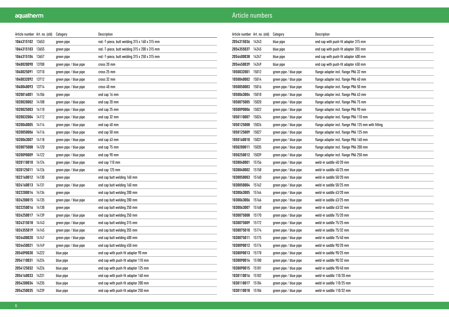| Article number Art. no. (old) |       | Category               | Description                                   |
|-------------------------------|-------|------------------------|-----------------------------------------------|
| 1064315102                    | 13653 | green pipe             | red.-T-piece, butt welding 315 x 160 x 315 mm |
| 1064315103                    | 13655 | green pipe             | red.-T-piece, butt welding 315 x 200 x 315 mm |
| 1064315104                    | 13657 | green pipe             | red.-T-piece, butt welding 315 x 250 x 315 mm |
| 1040020090                    | 13708 | green pipe / blue pipe | cross 20 mm                                   |
| 1040025091                    | 13710 | green pipe / blue pipe | cross 25 mm                                   |
| 1040032092                    | 13712 | green pipe / blue pipe | cross 32 mm                                   |
| 1040040093                    | 13714 | green pipe / blue pipe | cross 40 mm                                   |
| 1020016001                    | 14106 | green pipe             | end cap 16 mm                                 |
| 1020020002                    | 14108 | green pipe / blue pipe | end cap 20 mm                                 |
| 1020025003                    | 14110 | green pipe / blue pipe | end cap 25 mm                                 |
| 1020032004                    | 14112 | green pipe / blue pipe | end cap 32 mm                                 |
| 1020040005                    | 14114 | green pipe / blue pipe | end cap 40 mm                                 |
| 1020050006                    | 14116 | green pipe / blue pipe | end cap 50 mm                                 |
| 1020063007                    | 14118 | green pipe / blue pipe | end cap 63 mm                                 |
| 1020075008                    | 14120 | green pipe / blue pipe | end cap 75 mm                                 |
| 1020090009                    | 14122 | green pipe / blue pipe | end cap 90 mm                                 |
| 1020110010                    | 14124 | green pipe / blue pipe | end cap 110 mm                                |
| 1020125011                    | 14126 | green pipe / blue pipe | end cap 125 mm                                |
| 1022160012                    | 14130 | green pipe             | end cap butt welding 160 mm                   |
| 1024160013                    | 14131 | green pipe / blue pipe | end cap butt welding 160 mm                   |
| 1022200014                    | 14134 | green pipe             | end cap butt welding 200 mm                   |
| 1024200015                    | 14135 | green pipe / blue pipe | end cap butt welding 200 mm                   |
| 1022250016                    | 14138 | green pipe             | end cap butt welding 250 mm                   |
| 1024250017                    | 14139 | green pipe / blue pipe | end cap butt welding 250 mm                   |
| 1024315018                    | 14143 | green pipe / blue pipe | end cap butt welding 315 mm                   |
| 1024355019                    | 14145 | green pipe / blue pipe | end cap butt welding 355 mm                   |
| 1024400020                    | 14147 | green pipe / blue pipe | end cap butt welding 400 mm                   |
| 1024450021                    | 14149 | green pipe / blue pipe | end cap butt welding 450 mm                   |
| 2054090030                    | 14222 | blue pipe              | end cap with push-fit adapter 90 mm           |
| 2054110031                    | 14224 | blue pipe              | end cap with push-fit adapter 110 mm          |
| 2054125032                    | 14226 | blue pipe              | end cap with push-fit adapter 125 mm          |
| 2054160033                    | 14231 | blue pipe              | end cap with push-fit adapter 160 mm          |
| 2054200034                    | 14235 | blue pipe              | end cap with push-fit adapter 200 mm          |
| 2054250035                    | 14239 | blue pipe              | end cap with push-fit adapter 250 mm          |

| Article number Art. no. (old) |       | Category               | Description                                         |
|-------------------------------|-------|------------------------|-----------------------------------------------------|
| 2054315036                    | 14243 | blue pipe              | end cap with push-fit adapter 315 mm                |
| 2054355037                    | 14245 | blue pipe              | end cap with push-fit adapter 355 mm                |
| 2054400038                    | 14247 | blue pipe              | end cap with push-fit adapter 400 mm                |
| 2054450039                    | 14249 | blue pipe              | end cap with push-fit adapter 450 mm                |
| 1050032001                    | 15012 | green pipe / blue pipe | flange adapter incl. flange PN6 32 mm               |
| 1050040002                    | 15014 | green pipe / blue pipe | flange adapter incl. flange PN6 40 mm               |
| 1050050003                    | 15016 | green pipe / blue pipe | flange adapter incl. flange PN6 50 mm               |
| 1050063004                    | 15018 | green pipe / blue pipe | flange adapter incl. flange PN6 63 mm               |
| 1050075005                    | 15020 | green pipe / blue pipe | flange adapter incl. flange PN6 75 mm               |
| 1050090006                    | 15022 | green pipe / blue pipe | flange adapter incl. flange PN6 90 mm               |
| 1050110007                    | 15024 | green pipe / blue pipe | flange adapter incl. flange PN6 110 mm              |
| 1050125008                    | 15026 | green pipe / blue pipe | flange adapter incl. flange PN6 125 mm with fitting |
| 1050125009                    | 15027 | green pipe / blue pipe | flange adapter incl. flange PN6 125 mm              |
| 1050160010                    | 15031 | green pipe / blue pipe | flange adapter incl. flange PN6 160 mm              |
| 1050200011                    | 15035 | green pipe / blue pipe | flange adapter incl. flange PN6 200 mm              |
| 1050250012                    | 15039 | green pipe / blue pipe | flange adapter incl. flange PN6 250 mm              |
| 1030040001                    | 15156 | green pipe / blue pipe | weld-in saddle 40/20 mm                             |
| 1030040002                    | 15158 | green pipe / blue pipe | weld-in saddle 40/25 mm                             |
| 1030050003                    | 15160 | green pipe / blue pipe | weld-in saddle 50/20 mm                             |
| 1030050004                    | 15162 | green pipe / blue pipe | weld-in saddle 50/25 mm                             |
| 1030063005                    | 15164 | green pipe / blue pipe | weld-in saddle 63/20 mm                             |
| 1030063006                    | 15166 | green pipe / blue pipe | weld-in saddle 63/25 mm                             |
| 1030063007                    | 15168 | green pipe / blue pipe | weld-in saddle 63/32 mm                             |
| 1030075008                    | 15170 | green pipe / blue pipe | weld-in saddle 75/20 mm                             |
| 1030075009                    | 15172 | green pipe / blue pipe | weld-in saddle 75/25 mm                             |
| 1030075010                    | 15174 | green pipe / blue pipe | weld-in saddle 75/32 mm                             |
| 1030075011                    | 15175 | green pipe / blue pipe | weld-in saddle 75/40 mm                             |
| 1030090012                    | 15176 | green pipe / blue pipe | weld-in saddle 90/20 mm                             |
| 1030090013                    | 15178 | green pipe / blue pipe | weld-in saddle 90/25 mm                             |
| 1030090014                    | 15180 | green pipe / blue pipe | weld-in saddle 90/32 mm                             |
| 1030090015                    | 15181 | green pipe / blue pipe | weld-in saddle 90/40 mm                             |
| 1030110016                    | 15182 | green pipe / blue pipe | weld-in saddle 110/20 mm                            |
| 1030110017                    | 15184 | green pipe / blue pipe | weld-in saddle 110/25 mm                            |
| 1030110018                    | 15186 | green pipe / blue pipe | weld-in saddle 110/32 mm                            |
|                               |       |                        |                                                     |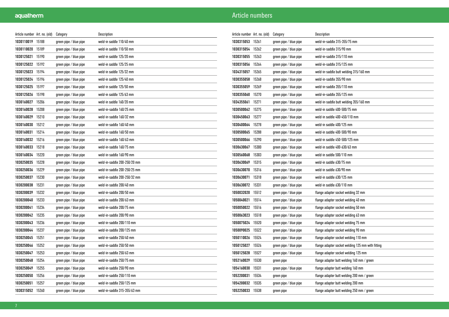| Article number   Art. no. (old) |       | Category               | Description                  |
|---------------------------------|-------|------------------------|------------------------------|
| 1030110019                      | 15188 | green pipe / blue pipe | weld-in saddle 110/40 mm     |
| 1030110020                      | 15189 | green pipe / blue pipe | weld-in saddle 110/50 mm     |
| 1030125021                      | 15190 | green pipe / blue pipe | weld-in saddle 125/20 mm     |
| 1030125022                      | 15192 | green pipe / blue pipe | weld-in saddle 125/25 mm     |
| 1030125023                      | 15194 | green pipe / blue pipe | weld-in saddle 125/32 mm     |
| 1030125024                      | 15196 | green pipe / blue pipe | weld-in saddle 125/40 mm     |
| 1030125025                      | 15197 | green pipe / blue pipe | weld-in saddle 125/50 mm     |
| 1030125026                      | 15198 | green pipe / blue pipe | weld-in saddle 125/63 mm     |
| 1030160027                      | 15206 | green pipe / blue pipe | weld-in saddle 160/20 mm     |
| 1030160028                      | 15208 | green pipe / blue pipe | weld-in-saddle 160/25 mm     |
| 1030160029                      | 15210 | green pipe / blue pipe | weld-in-saddle 160/32 mm     |
| 1030160030                      | 15212 | green pipe / blue pipe | weld-in-saddle 160/40 mm     |
| 1030160031                      | 15214 | green pipe / blue pipe | weld-in-saddle 160/50 mm     |
| 1030160032                      | 15216 | green pipe / blue pipe | weld-in-saddle 160/63 mm     |
| 1030160033                      | 15218 | green pipe / blue pipe | weld-in-saddle 160/75 mm     |
| 1030160034                      | 15220 | green pipe / blue pipe | weld-in-saddle 160/90 mm     |
| 1030250035                      | 15228 | green pipe / blue pipe | weld-in-saddle 200-250/20 mm |
| 1030250036                      | 15229 | green pipe / blue pipe | weld-in-saddle 200-250/25 mm |
| 1030250037                      | 15230 | green pipe / blue pipe | weld-in-saddle 200-250/32 mm |
| 1030200038                      | 15231 | green pipe / blue pipe | weld-in-saddle 200/40 mm     |
| 1030200039                      | 15232 | green pipe / blue pipe | weld-in-saddle 200/50 mm     |
| 1030200040                      | 15233 | green pipe / blue pipe | weld-in-saddle 200/63 mm     |
| 1030200041                      | 15234 | green pipe / blue pipe | weld-in-saddle 200/75 mm     |
| 1030200042                      | 15235 | green pipe / blue pipe | weld-in-saddle 200/90 mm     |
| 1030200043                      | 15236 | green pipe / blue pipe | weld-in-saddle 200/110 mm    |
| 1030200044                      | 15237 | green pipe / blue pipe | weld-in-saddle 200/125 mm    |
| 1030250045                      | 15251 | green pipe / blue pipe | weld-in-saddle 250/40 mm     |
| 1030250046                      | 15252 | green pipe / blue pipe | weld-in-saddle 250/50 mm     |
| 1030250047                      | 15253 | green pipe / blue pipe | weld-in-saddle 250/63 mm     |
| 1030250048                      | 15254 | green pipe / blue pipe | weld-in-saddle 250/75 mm     |
| 1030250049                      | 15255 | green pipe / blue pipe | weld-in-saddle 250/90 mm     |
| 1030250050                      | 15256 | green pipe / blue pipe | weld-in-saddle 250/110 mm    |
| 1030250051                      | 15257 | green pipe / blue pipe | weld-in-saddle 250/125 mm    |
| 1030315052                      | 15260 | green pipe / blue pipe | weld-in-saddle 315-355/63 mm |

| Article number Art. no. (old) |       | Category               | Description                                       |
|-------------------------------|-------|------------------------|---------------------------------------------------|
| 1030315053                    | 15261 | green pipe / blue pipe | weld-in-saddle 315-355/75 mm                      |
| 1030315054                    | 15262 | green pipe / blue pipe | weld-in-saddle 315/90 mm                          |
| 1030315055                    | 15263 | green pipe / blue pipe | weld-in-saddle 315/110 mm                         |
| 1030315056                    | 15264 | green pipe / blue pipe | weld-in-saddle 315/125 mm                         |
| 1034315057                    | 15265 | green pipe / blue pipe | weld-in-saddle butt welding 315/160 mm            |
| 1030355058                    | 15268 | green pipe / blue pipe | weld-in-saddle 355/90 mm                          |
| 1030355059                    | 15269 | green pipe / blue pipe | weld-in-saddle 355/110 mm                         |
| 1030355060                    | 15270 | green pipe / blue pipe | weld-in-saddle 355/125 mm                         |
| 1034355061                    | 15271 | green pipe / blue pipe | weld-in-saddle butt welding 355/160 mm            |
| 1030500062                    | 15275 | green pipe / blue pipe | weld-in saddle 400-500/75 mm                      |
| 1030450063                    | 15277 | green pipe / blue pipe | weld-in saddle 400-450/110 mm                     |
| 1030400064                    | 15278 | green pipe / blue pipe | weld-in saddle 400/125 mm                         |
| 1030500065                    | 15288 | green pipe / blue pipe | weld-in saddle 400-500/90 mm                      |
| 1030500066                    | 15290 | green pipe / blue pipe | weld-in saddle 450-500/125 mm                     |
| 1030630067                    | 15300 | green pipe / blue pipe | weld-in saddle 400-630/63 mm                      |
| 1030560068                    | 15303 | green pipe / blue pipe | weld-in saddle 500/110 mm                         |
| 1030630069                    | 15315 | green pipe / blue pipe | weld-in saddle 630/75 mm                          |
| 1030630070                    | 15316 | green pipe / blue pipe | weld-in saddle 630/90 mm                          |
| 1030630071                    | 15318 | green pipe / blue pipe | weld-in saddle 630/125 mm                         |
| 1030630072                    | 15331 | green pipe / blue pipe | weld-in saddle 630/110 mm                         |
| 1050032020                    | 15512 | green pipe / blue pipe | flange adapter socket welding 32 mm               |
| 1050040021                    | 15514 | green pipe / blue pipe | flange adapter socket welding 40 mm               |
| 1050050022                    | 15516 | green pipe / blue pipe | flange adapter socket welding 50 mm               |
| 1050063023                    | 15518 | green pipe / blue pipe | flange adapter socket welding 63 mm               |
| 1050075024                    | 15520 | green pipe / blue pipe | flange adapter socket welding 75 mm               |
| 1050090025                    | 15522 | green pipe / blue pipe | flange adapter socket welding 90 mm               |
| 1050110026                    | 15524 | green pipe / blue pipe | flange adapter socket welding 110 mm              |
| 1050125027                    | 15526 | green pipe / blue pipe | flange adapter socket welding 125 mm with fitting |
| 1050125028                    | 15527 | green pipe / blue pipe | flange adapter socket welding 125 mm              |
| 1052160029                    | 15530 | green pipe             | flange adapter butt welding 160 mm / green        |
| 1054160030                    | 15531 | green pipe / blue pipe | flange adapter butt welding 160 mm                |
| 1052200031                    | 15534 | green pipe             | flange adapter butt welding 200 mm / green        |
| 1054200032                    | 15535 | green pipe / blue pipe | flange adapter butt welding 200 mm                |
| 1052250033                    | 15538 | green pipe             | flange adapter butt welding 250 mm / green        |
|                               |       |                        |                                                   |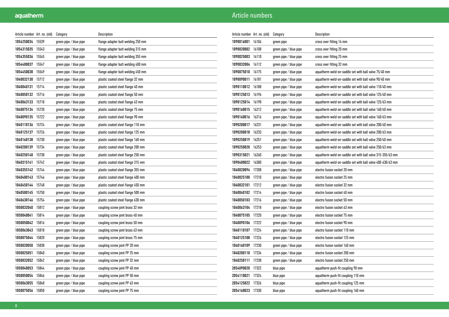| Article number   Art. no. (old) |       | Category               | Description                        |
|---------------------------------|-------|------------------------|------------------------------------|
| 1054250034                      | 15539 | green pipe / blue pipe | flange adapter butt welding 250 mm |
| 1054315035                      | 15543 | green pipe / blue pipe | flange adapter butt welding 315 mm |
| 1054355036                      | 15545 | green pipe / blue pipe | flange adapter butt welding 355 mm |
| 1054400037                      | 15547 | green pipe / blue pipe | flange adapter butt welding 400 mm |
| 1054450038                      | 15549 | green pipe / blue pipe | flange adapter butt welding 450 mm |
| 1040032130                      | 15712 | green pipe / blue pipe | plastic coated steel flange 32 mm  |
| 1040040131                      | 15714 | green pipe / blue pipe | plastic coated steel flange 40 mm  |
| 1040050132                      | 15716 | green pipe / blue pipe | plastic coated steel flange 50 mm  |
| 1040063133                      | 15718 | green pipe / blue pipe | plastic coated steel flange 63 mm  |
| 1040075134                      | 15720 | green pipe / blue pipe | plastic coated steel flange 75 mm  |
| 1040090135                      | 15722 | green pipe / blue pipe | plastic coated steel flange 90 mm  |
| 1040110136                      | 15724 | green pipe / blue pipe | plastic coated steel flange 110 mm |
| 1040125137                      | 15726 | green pipe / blue pipe | plastic coated steel flange 125 mm |
| 1040160138                      | 15730 | green pipe / blue pipe | plastic coated steel flange 160 mm |
| 1040200139                      | 15734 | green pipe / blue pipe | plastic coated steel flange 200 mm |
| 1040250140                      | 15738 | green pipe / blue pipe | plastic coated steel flange 250 mm |
| 1040315141                      | 15742 | green pipe / blue pipe | plastic coated steel flange 315 mm |
| 1040355142                      | 15744 | green pipe / blue pipe | plastic coated steel flange 355 mm |
| 1040400143                      | 15746 | green pipe / blue pipe | plastic coated steel flange 400 mm |
| 1040450144                      | 15748 | green pipe / blue pipe | plastic coated steel flange 450 mm |
| 1040500145                      | 15750 | green pipe / blue pipe | plastic coated steel flange 500 mm |
| 1040630146                      | 15754 | green pipe / blue pipe | plastic coated steel flange 630 mm |
| 1050032040                      | 15812 | green pipe / blue pipe | coupling screw joint brass 32 mm   |
| 1050040041                      | 15814 | green pipe / blue pipe | coupling screw joint brass 40 mm   |
| 1050050042                      | 15816 | green pipe / blue pipe | coupling screw joint brass 50 mm   |
| 1050063043                      | 15818 | green pipe / blue pipe | coupling screw joint brass 63 mm   |
| 1050075044                      | 15820 | green pipe / blue pipe | coupling screw joint brass 75 mm   |
| 1050020050                      | 15838 | green pipe / blue pipe | coupling screw joint PP 20 mm      |
| 1050025051                      | 15840 | green pipe / blue pipe | coupling screw joint PP 25 mm      |
| 1050032052                      | 15842 | green pipe / blue pipe | coupling screw joint PP 32 mm      |
| 1050040053                      | 15844 | green pipe / blue pipe | coupling screw joint PP 40 mm      |
| 1050050054                      | 15846 | green pipe / blue pipe | coupling screw joint PP 50 mm      |
| 1050063055                      | 15848 | green pipe / blue pipe | coupling screw joint PP 63 mm      |
| 1050075056                      | 15850 | green pipe / blue pipe | coupling screw joint PP 75 mm      |

| Article number Art. no. (old) |       | Category               | Description                                                |
|-------------------------------|-------|------------------------|------------------------------------------------------------|
| 1090016001                    | 16106 | green pipe             | cross over fitting 16 mm                                   |
| 1090020002                    | 16108 | green pipe / blue pipe | cross over fitting 20 mm                                   |
| 1090025003                    | 16110 | green pipe / blue pipe | cross over fitting 25 mm                                   |
| 1090032004                    | 16112 | green pipe / blue pipe | cross over fitting 32 mm                                   |
| 1090075010                    | 16175 | green pipe / blue pipe | aquatherm weld-on-saddle set with ball valve 75/40 mm      |
| 1090090011                    | 16181 | green pipe / blue pipe | aquatherm weld-on-saddle set with ball valve 90/40 mm      |
| 1090110012                    | 16188 | green pipe / blue pipe | aquatherm weld-on-saddle set with ball valve 110/40 mm     |
| 1090125013                    | 16196 | green pipe / blue pipe | aquatherm weld-on-saddle set with ball valve 125/40 mm     |
| 1090125014                    | 16198 | green pipe / blue pipe | aquatherm weld-on-saddle set with ball valve 125/63 mm     |
| 1090160015                    | 16212 | green pipe / blue pipe | aquatherm weld-on-saddle set with ball valve 160/40 mm     |
| 1090160016                    | 16216 | green pipe / blue pipe | aquatherm weld-on-saddle set with ball valve 160/63 mm     |
| 1090200017                    | 16231 | green pipe / blue pipe | aquatherm weld-on-saddle set with ball valve 200/40 mm     |
| 1090200018                    | 16233 | green pipe / blue pipe | aquatherm weld-on-saddle set with ball valve 200/63 mm     |
| 1090250019                    | 16251 | green pipe / blue pipe | aquatherm weld-on-saddle set with ball valve 250/40 mm     |
| 1090250020                    | 16253 | green pipe / blue pipe | aquatherm weld-on-saddle set with ball valve 250/63 mm     |
| 1090315021                    | 16260 | green pipe / blue pipe | aquatherm weld-on-saddle set with ball valve 315-355/63 mm |
| 1090400022                    | 16300 | green pipe / blue pipe | aquatherm weld-on-saddle set with ball valve 400-630/63 mm |
| 1040020094                    | 17208 | green pipe / blue pipe | electro fusion socket 20 mm                                |
| 1040025100                    | 17210 | green pipe / blue pipe | electro fusion socket 25 mm                                |
| 1040032101                    | 17212 | green pipe / blue pipe | electro fusion socket 32 mm                                |
| 1040040102                    | 17214 | green pipe / blue pipe | electro fusion socket 40 mm                                |
| 1040050103                    | 17216 | green pipe / blue pipe | electro fusion socket 50 mm                                |
| 1040063104                    | 17218 | green pipe / blue pipe | electro fusion socket 63 mm                                |
| 1040075105                    | 17220 | green pipe / blue pipe | electro fusion socket 75 mm                                |
| 1040090106                    | 17222 | green pipe / blue pipe | electro fusion socket 90 mm                                |
| 1040110107                    | 17224 | green pipe / blue pipe | electro fusion socket 110 mm                               |
| 1040125108                    | 17226 | green pipe / blue pipe | electro fusion socket 125 mm                               |
| 1040160109                    | 17230 | green pipe / blue pipe | electro fusion socket 160 mm                               |
| 1040200110                    | 17234 | green pipe / blue pipe | electro fusion socket 200 mm                               |
| 1040250111                    | 17238 | green pipe / blue pipe | electro fusion socket 250 mm                               |
| 2054090020                    | 17322 | blue pipe              | aquatherm push-fit coupling 90 mm                          |
| 2054110021                    | 17324 | blue pipe              | aquatherm push-fit coupling 110 mm                         |
| 2054125022                    | 17326 | blue pipe              | aquatherm push-fit coupling 125 mm                         |
| 2054160023                    | 17330 | blue pipe              | aquatherm push-fit coupling 160 mm                         |
|                               |       |                        |                                                            |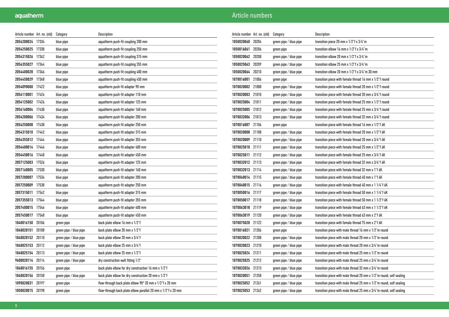| Article number   Art. no. (old) |       | Category               | Description                                                         |
|---------------------------------|-------|------------------------|---------------------------------------------------------------------|
| 2054200024                      | 17334 | blue pipe              | aquatherm push-fit coupling 200 mm                                  |
| 2054250025                      | 17338 | blue pipe              | aquatherm push-fit coupling 250 mm                                  |
| 2054315026                      | 17342 | blue pipe              | aquatherm push-fit coupling 315 mm                                  |
| 2054355027                      | 17344 | blue pipe              | aquatherm push-fit coupling 355 mm                                  |
| 2054400028                      | 17346 | blue pipe              | aquatherm push-fit coupling 400 mm                                  |
| 2054450029                      | 17348 | blue pipe              | aquatherm push-fit coupling 450 mm                                  |
| 2054090000                      | 17422 | blue pipe              | aquatherm push-fit adapter 90 mm                                    |
| 2054110001                      | 17424 | blue pipe              | aquatherm push-fit adapter 110 mm                                   |
| 2054125002                      | 17426 | blue pipe              | aquatherm push-fit adapter 125 mm                                   |
| 2054160004                      | 17430 | blue pipe              | aquatherm push-fit adapter 160 mm                                   |
| 2054200006                      | 17434 | blue pipe              | aquatherm push-fit adapter 200 mm                                   |
| 2054250008                      | 17438 | blue pipe              | aquatherm push-fit adapter 250 mm                                   |
| 2054315010                      | 17442 | blue pipe              | aquatherm push-fit adapter 315 mm                                   |
| 2054355012                      | 17444 | blue pipe              | aquatherm push-fit adapter 355 mm                                   |
| 2054400014                      | 17446 | blue pipe              | aquatherm push-fit adapter 400 mm                                   |
| 2054450016                      | 17448 | blue pipe              | aquatherm push-fit adapter 450 mm                                   |
| 2057125003                      | 17526 | blue pipe              | aquatherm push-fit adapter 125 mm                                   |
| 2057160005                      | 17530 | blue pipe              | aquatherm push-fit adapter 160 mm                                   |
| 2057200007                      | 17534 | blue pipe              | aquatherm push-fit adapter 200 mm                                   |
| 2057250009                      | 17538 | blue pipe              | aquatherm push-fit adapter 250 mm                                   |
| 2057315011                      | 17542 | blue pipe              | aquatherm push-fit adapter 315 mm                                   |
| 2057355013                      | 17544 | blue pipe              | aquatherm push-fit adapter 355 mm                                   |
| 2057400015                      | 17546 | blue pipe              | aquatherm push-fit adapter 400 mm                                   |
| 2057450017                      | 17548 | blue pipe              | aquatherm push-fit adapter 450 mm                                   |
| 1040016150                      | 20106 | green pipe             | back plate elbow 16 mm x 1/2"f                                      |
| 1040020151                      | 20108 | green pipe / blue pipe | back plate elbow 20 mm x 1/2"f                                      |
| 1040020152                      | 20110 | green pipe / blue pipe | back plate elbow 20 mm x 3/4"f                                      |
| 1040025153                      | 20112 | green pipe / blue pipe | back plate elbow 25 mm x 3/4"f                                      |
| 1040025154                      | 20113 | green pipe / blue pipe | back plate elbow 25 mm x 1/2"f                                      |
| 9600020114                      | 20114 | green pipe / blue pipe | dry construction wall fitting 1/2"                                  |
| 1040016155                      | 20156 | green pipe             | back plate elbow for dry construction 16 mm x 1/2"f                 |
| 1040020156                      | 20158 | green pipe / blue pipe | back plate elbow for dry construction 20 mm x 1/2"f                 |
| 1090020031                      | 20197 | green pipe             | flow-through back plate elbow $90^{\circ}$ 20 mm x $1/2$ "f x 20 mm |
| 1050020015                      | 20198 | green pipe             | flow-through back plate elbow parallel 20 mm x 1/2"f x 20 mm        |

| Article number Art. no. (old) |       | Category               | Description                                                              |
|-------------------------------|-------|------------------------|--------------------------------------------------------------------------|
| 1050020060                    | 20204 | green pipe / blue pipe | transition piece 20 mm x 1/2"f x 3/4"m                                   |
| 1050016061                    | 20206 | green pipe             | transition elbow 16 mm x 1/2"f x 3/4"m                                   |
| 1050020062                    | 20208 | green pipe / blue pipe | transition elbow 20 mm x 1/2"f x 3/4"m                                   |
| 1050025063                    | 20209 | green pipe / blue pipe | transition elbow 25 mm x $1/2$ "f x $3/4$ "m                             |
| 1050020064                    | 20210 | green pipe / blue pipe | transition elbow 20 mm x 1/2"f x 3/4"m 30 mm                             |
| 1070016001                    | 21006 | green pipe             | transition piece with female thread 16 mm x 1/2"f round                  |
| 1070020002                    | 21008 | green pipe / blue pipe | transition piece with female thread 20 mm x 1/2"f round                  |
| 1070020003                    | 21010 | green pipe / blue pipe | transition piece with female thread 20 mm x 3/4"f round                  |
| 1070025004                    | 21011 | green pipe / blue pipe | transition piece with female thread 25 mm x 1/2"f round                  |
| 1070025005                    | 21012 | green pipe / blue pipe | transition piece with female thread 25 mm x 3/4"f round                  |
| 1070032006                    | 21013 | green pipe / blue pipe | transition piece with female thread 32 mm x 3/4"f round                  |
| 1070016007                    | 21106 | green pipe             | transition piece with female thread 16 mm x 1/2"f 6K                     |
| 1070020008                    | 21108 | green pipe / blue pipe | transition piece with female thread 20 mm x 1/2"f 6K                     |
| 1070020009                    | 21110 | green pipe / blue pipe | transition piece with female thread 20 mm x 3/4"f 6K                     |
| 1070025010                    | 21111 | green pipe / blue pipe | transition piece with female thread 25 mm x 1/2"f 6K                     |
| 1070025011                    | 21112 | green pipe / blue pipe | transition piece with female thread 25 mm x 3/4"f 6K                     |
| 1070032012 21113              |       | green pipe / blue pipe | transition piece with female thread 32 mm x 3/4"f 6K                     |
| 1070032013 21114              |       | green pipe / blue pipe | transition piece with female thread 32 mm x 1"f 6K                       |
| 1070040014                    | 21115 | green pipe / blue pipe | transition piece with female thread 40 mm x 1"f 6K                       |
| 1070040015                    | 21116 | green pipe / blue pipe | transition piece with female thread 40 mm x 1 1/4"f 6K                   |
| 1070050016                    | 21117 | green pipe / blue pipe | transition piece with female thread 50 mm x 1 1/4"f 6K                   |
| 1070050017                    | 21118 | green pipe / blue pipe | transition piece with female thread 50 mm x 1 1/2"f 6K                   |
| 1070063018                    | 21119 | green pipe / blue pipe | transition piece with female thread 63 mm x 1 1/2"f 6K                   |
| 1070063019                    | 21120 | green pipe / blue pipe | transition piece with female thread 63 mm x 2"f 6K                       |
| 1070075020                    | 21122 | green pipe / blue pipe | transition piece with female thread 75 mm x 2"f 6K                       |
| 1070016021                    | 21206 | green pipe             | transition piece with male thread 16 mm x 1/2"m round                    |
| 1070020022 21208              |       | green pipe / blue pipe | transition piece with male thread 20 mm x 1/2"m round                    |
| 1070020023                    | 21210 | green pipe / blue pipe | transition piece with male thread 20 mm x 3/4"m round                    |
| 1070025024                    | 21211 | green pipe / blue pipe | transition piece with male thread 25 mm x 1/2"m round                    |
| 1070025025                    | 21212 | green pipe / blue pipe | transition piece with male thread 25 mm x 3/4"m round                    |
| 1070032026                    | 21213 | green pipe / blue pipe | transition piece with male thread 32 mm x 3/4"m round                    |
| 1070020051                    | 21258 | green pipe / blue pipe | transition piece with male thread 20 mm x 1/2"m round, self sealing      |
| 1070025052                    | 21261 | green pipe / blue pipe | transition piece with male thread 25 mm x 1/2"m round, self sealing      |
| 1070025053 21262              |       | green pipe / blue pipe | transition piece with male thread $25$ mm x $3/4$ "m round, self sealing |
|                               |       |                        |                                                                          |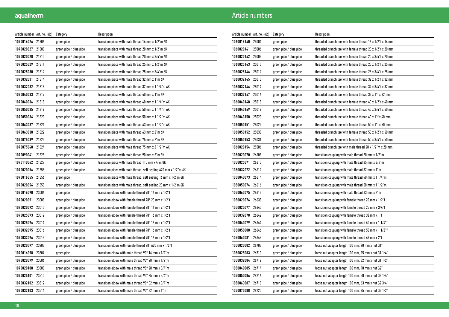| Article number Art. no. (old) |       | Category               | Description                                                               |
|-------------------------------|-------|------------------------|---------------------------------------------------------------------------|
| 1070016026                    | 21306 | green pipe             | transition piece with male thread 16 mm x 1/2"m 6K                        |
| 1070020027                    | 21308 | green pipe / blue pipe | transition piece with male thread 20 mm x 1/2"m 6K                        |
| 1070020028 21310              |       | green pipe / blue pipe | transition piece with male thread 20 mm x 3/4"m 6K                        |
| 1070025029 21311              |       | green pipe / blue pipe | transition piece with male thread 25 mm x 1/2"m 6K                        |
| 1070025030 21312              |       | green pipe / blue pipe | transition piece with male thread 25 mm x 3/4"m 6K                        |
| 1070032031                    | 21314 | green pipe / blue pipe | transition piece with male thread 32 mm x 1"m 6K                          |
| 1070032032                    | 21316 | green pipe / blue pipe | transition piece with male thread 32 mm x 1 1/4"m 6K                      |
| 1070040033                    | 21317 | green pipe / blue pipe | transition piece with male thread 40 mm x 1"m 6K                          |
| 1070040034                    | 21318 | green pipe / blue pipe | transition piece with male thread 40 mm x 1 1/4"m 6K                      |
| 1070050035 21319              |       | green pipe / blue pipe | transition piece with male thread 50 mm x 1 1/4"m 6K                      |
| 1070050036 21320              |       | green pipe / blue pipe | transition piece with male thread 50 mm x 1 1/2"m 6K                      |
| 1070063037                    | 21321 | green pipe / blue pipe | transition piece with male thread 63 mm x 1 1/2"m 6K                      |
| 1070063038                    | 21322 | green pipe / blue pipe | transition piece with male thread 63 mm x 2"m 6K                          |
| 1070075039                    | 21323 | green pipe / blue pipe | transition piece with male thread 75 mm x 2"m 6K                          |
| 1070075040                    | 21324 | green pipe / blue pipe | transition piece with male thread 75 mm x 2 1/2"m 6K                      |
| 1070090041                    | 21325 | green pipe / blue pipe | transition piece with male thread 90 mm x 3"m 8K                          |
| 1070110042 21327              |       | green pipe / blue pipe | transition piece with male thread 110 mm x 4"m 8K                         |
| 1070020054 21355              |       | green pipe / blue pipe | transition piece with male thread, self sealing A20 mm x 1/2"m 6K         |
| 1070016055                    | 21356 | green pipe             | transition piece with male thread, self sealing 16 mm x 1/2"m 6K          |
| 1070020056                    | 21358 | green pipe / blue pipe | transition piece with male thread, self sealing 20 mm x 1/2"m 6K          |
| 1070016090                    | 23006 | green pipe             | transition elbow with female thread $90^{\circ}$ 16 mm x 1/2"f            |
| 1070020091                    | 23008 | green pipe / blue pipe | transition elbow with female thread $90^{\circ}$ 20 mm x $1/2$ "f         |
| 1070020092                    | 23010 | green pipe / blue pipe | transition elbow with female thread 90° 16 mm x 1/2"f                     |
| 1070025093                    | 23012 | green pipe / blue pipe | transition elbow with female thread $90^{\circ}$ 16 mm x 1/2"f            |
| 1070025094                    | 23014 | green pipe / blue pipe | transition elbow with female thread $90^{\circ}$ 16 mm x 1/2"f            |
| 1070032095                    | 23016 | green pipe / blue pipe | transition elbow with female thread $90^{\circ}$ 16 mm x 1/2"f            |
| 1070032096                    | 23018 | green pipe / blue pipe | transition elbow with female thread $90^{\circ}$ 16 mm x 1/2"f            |
| 1070020097                    | 23208 | green pipe / blue pipe | transition elbow with female thread $90^{\circ}$ A20 mm x $1/2^{\circ}$ f |
| 1070016098                    | 23504 | green pipe             | transition elbow with male thread $90^{\circ}$ 16 mm x 1/2"m              |
| 1070020099                    | 23506 | green pipe / blue pipe | transition elbow with male thread $90^{\circ}$ 20 mm x $1/2^{\circ}$ m    |
| 1070020100                    | 23508 | green pipe / blue pipe | transition elbow with male thread $90^{\circ}$ 20 mm x $3/4$ "m           |
| 1070025101                    | 23510 | green pipe / blue pipe | transition elbow with male thread $90^{\circ}$ 25 mm x $3/4$ "m           |
| 1070032102                    | 23512 | green pipe / blue pipe | transition elbow with male thread 90° 32 mm x 3/4"m                       |
| 1070032103                    | 23514 | green pipe / blue pipe | transition elbow with male thread 90° 32 mm x 1"m                         |

| Article number Art. no. (old) |       | Category               | Description                                                              |
|-------------------------------|-------|------------------------|--------------------------------------------------------------------------|
| 1060016140                    | 25004 | green pipe             | threaded branch tee with female thread 16 x 1/2"f x 16 mm                |
| 1060020141                    | 25006 | green pipe / blue pipe | threaded branch tee with female thread 20 x 1/2"f x 20 mm                |
| 1060020142                    | 25008 | green pipe / blue pipe | threaded branch tee with female thread 20 x 3/4"f x 20 mm                |
| 1060025143                    | 25010 | green pipe / blue pipe | threaded branch tee with female thread 25 x 1/2"f x 25 mm                |
| 1060025144                    | 25012 | green pipe / blue pipe | threaded branch tee with female thread $25 \times 3/4$ "f $\times 25$ mm |
| 1060032145                    | 25013 | green pipe / blue pipe | threaded branch tee with female thread 32 x 1/2"f x 32 mm                |
| 1060032146                    | 25014 | green pipe / blue pipe | threaded branch tee with female thread $32 \times 3/4$ f x 32 mm         |
| 1060032147                    | 25016 | green pipe / blue pipe | threaded branch tee with female thread 32 x 1 f x 32 mm                  |
| 1060040148                    | 25018 | green pipe / blue pipe | threaded branch tee with female thread 40 x 1/2"f x 40 mm                |
| 1060040149                    | 25019 | green pipe / blue pipe | threaded branch tee with female thread $40 \times 3/4$ f x 40 mm         |
| 1060040150                    | 25020 | green pipe / blue pipe | threaded branch tee with female thread 40 x 1"f x 40 mm                  |
| 1060050151                    | 25022 | green pipe / blue pipe | threaded branch tee with female thread 50 x 1"f x 50 mm                  |
| 1060050152                    | 25030 | green pipe / blue pipe | threaded branch tee with female thread 50 x 1/2"f x 50 mm                |
| 1060050153                    | 25031 | green pipe / blue pipe | threaded branch tee with female thread 50 x 3/4"f x 50 mm                |
| 1060020154                    | 25506 | green pipe / blue pipe | threaded branch tee with male thread 20 x 1/2"m x 20 mm                  |
| 1050020070                    | 26608 | green pipe / blue pipe | transition coupling with male thread 20 mm x 1/2"m                       |
| 1050025071                    | 26610 | green pipe / blue pipe | transition coupling with male thread 25 mm x 3/4"m                       |
| 1050032072                    | 26612 | green pipe / blue pipe | transition coupling with male thread 32 mm x 1"m                         |
| 1050040073                    | 26614 | green pipe / blue pipe | transition coupling with male thread 40 mm $x$ 1 $1/4$ "m                |
| 1050050074                    | 26616 | green pipe / blue pipe | transition coupling with male thread 50 mm $x$ 1 1/2"m                   |
| 1050063075                    | 26618 | green pipe / blue pipe | transition coupling with male thread 63 mm x 2"m                         |
| 1050020076                    | 26638 | green pipe / blue pipe | transition coupling with female thread 20 mm x 1/2"f                     |
| 1050025077                    | 26640 | green pipe / blue pipe | transition coupling with female thread 25 mm x 3/4"f                     |
| 1050032078                    | 26642 | green pipe / blue pipe | transition coupling with female thread 32 mm x 1"f                       |
| 1050040079                    | 26644 | green pipe / blue pipe | transition coupling with female thread 40 mm x 1 1/4"f                   |
| 1050050080                    | 26646 | green pipe / blue pipe | transition coupling with female thread 50 mm x 1 1/2"f                   |
| 1050063081                    | 26648 | green pipe / blue pipe | transition coupling with female thread 63 mm x 2"f                       |
| 1050020082                    | 26708 | green pipe / blue pipe | loose nut adapter length 100 mm, 20 mm x nut G1"                         |
| 1050025083                    | 26710 | green pipe / blue pipe | loose nut adapter length 100 mm, 25 mm x nut G1 1/4"                     |
| 1050032084                    | 26712 | green pipe / blue pipe | loose nut adapter length 100 mm, 32 mm x nut G1 1/2"                     |
| 1050040085                    | 26714 | green pipe / blue pipe | loose nut adapter length 100 mm, 40 mm x nut G2"                         |
| 1050050086                    | 26716 | green pipe / blue pipe | loose nut adapter length 100 mm, 50 mm x nut G2 1/4"                     |
| 1050063087                    | 26718 | green pipe / blue pipe | loose nut adapter length 100 mm, 63 mm x nut G2 3/4"                     |
| 1050075088                    | 26720 | green pipe / blue pipe | loose nut adapter length 100 mm, 75 mm x nut G3 1/2"                     |
|                               |       |                        |                                                                          |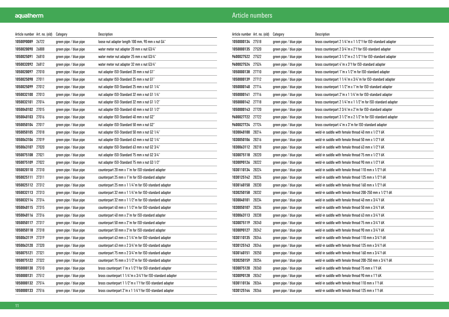| Article number Art. no. (old) |       | Category               | Description                                                |
|-------------------------------|-------|------------------------|------------------------------------------------------------|
| 1050090089 26722              |       | green pipe / blue pipe | loose nut adapter length 100 mm, 90 mm x nut G4"           |
| 1050020090                    | 26808 | green pipe / blue pipe | water meter nut adapter 20 mm x nut G3/4"                  |
| 1050025091                    | 26810 | green pipe / blue pipe | water meter nut adapter 25 mm x nut G3/4"                  |
| 1050032092 26812              |       | green pipe / blue pipe | water meter nut adapter 32 mm x nut G3/4"                  |
| 1050020097                    | 27010 | green pipe / blue pipe | nut adapter ISO-Standard 20 mm x nut G1"                   |
| 1050025098                    | 27011 | green pipe / blue pipe | nut adapter ISO-Standard 25 mm x nut G1"                   |
| 1050025099                    | 27012 | green pipe / blue pipe | nut adapter ISO-Standard 25 mm x nut G1 1/4"               |
| 1050032100                    | 27013 | green pipe / blue pipe | nut adapter ISO-Standard 32 mm x nut G1 1/4"               |
| 1050032101                    | 27014 | green pipe / blue pipe | nut adapter ISO-Standard 32 mm x nut G1 1/2"               |
| 1050040102 27015              |       | green pipe / blue pipe | nut adapter ISO-Standard 40 mm x nut G1 1/2"               |
| 1050040103                    | 27016 | green pipe / blue pipe | nut adapter ISO-Standard 40 mm x nut G2"                   |
| 1050050104                    | 27017 | green pipe / blue pipe | nut adapter ISO-Standard 50 mm x nut G2"                   |
| 1050050105                    | 27018 | green pipe / blue pipe | nut adapter ISO-Standard 50 mm x nut G2 1/4"               |
| 1050063106                    | 27019 | green pipe / blue pipe | nut adapter ISO-Standard 63 mm x nut G2 1/4"               |
| 1050063107                    | 27020 | green pipe / blue pipe | nut adapter ISO-Standard 63 mm x nut G2 3/4"               |
| 1050075108                    | 27021 | green pipe / blue pipe | nut adapter ISO-Standard 75 mm x nut G2 3/4"               |
| 1050075109                    | 27022 | green pipe / blue pipe | nut adapter ISO-Standard 75 mm x nut G3 1/2"               |
| 1050020110                    | 27310 | green pipe / blue pipe | counterpart 20 mm x 1"m for ISO-standard adapter           |
| 1050025111                    | 27311 | green pipe / blue pipe | counterpart 25 mm x 1"m for ISO-standard adapter           |
| 1050025112 27312              |       | green pipe / blue pipe | counterpart 25 mm x 1 1/4"m for ISO-standard adapter       |
| 1050032113 27313              |       | green pipe / blue pipe | counterpart 32 mm x 1 1/4"m for ISO-standard adapter       |
| 1050032114                    | 27314 | green pipe / blue pipe | counterpart 32 mm x 1 1/2"m for ISO-standard adapter       |
| 1050040115 27315              |       | green pipe / blue pipe | counterpart 40 mm x 1 1/2"m for ISO-standard adapter       |
| 1050040116                    | 27316 | green pipe / blue pipe | counterpart 40 mm x 2"m for ISO-standard adapter           |
| 1050050117                    | 27317 | green pipe / blue pipe | counterpart 50 mm x 2"m for ISO-standard adapter           |
| 1050050118                    | 27318 | green pipe / blue pipe | counterpart 50 mm x 2"m for ISO-standard adapter           |
| 1050063119                    | 27319 | green pipe / blue pipe | counterpart 63 mm x 2 1/4"m for ISO-standard adapter       |
| 1050063120 27320              |       | green pipe / blue pipe | counterpart 63 mm x 2 3/4"m for ISO-standard adapter       |
| 1050075121 27321              |       | green pipe / blue pipe | counterpart 75 mm x 2 3/4"m for ISO-standard adapter       |
| 1050075122                    | 27322 | green pipe / blue pipe | counterpart 75 mm x 3 1/2"m for ISO-standard adapter       |
| 1050000130                    | 27510 | green pipe / blue pipe | brass counterpart 1"m x 1/2"f for ISO-standard adapter     |
| 1050000131                    | 27512 | green pipe / blue pipe | brass counterpart 1 1/4"m x 3/4"f for ISO-standard adapter |
| 1050000132 27514              |       | green pipe / blue pipe | brass counterpart 1 1/2"m x 1"f for ISO-standard adapter   |
| 1050000133                    | 27516 | green pipe / blue pipe | brass counterpart 2"m x 1 1/4"f for ISO-standard adapter   |

| Article number Art. no. (old) |       | Category               | Description                                                  |
|-------------------------------|-------|------------------------|--------------------------------------------------------------|
| 1050000134                    | 27518 | green pipe / blue pipe | brass counterpart 2 1/4"m x 1 1/2"f for ISO-standard adapter |
| 1050000135                    | 27520 | green pipe / blue pipe | brass counterpart 2 3/4"m x 2"f for ISO-standard adapter     |
| 9600027522 27522              |       | green pipe / blue pipe | brass counterpart 3 1/2"m x 2 1/2"f for ISO-standard adapter |
| 9600027524 27524              |       | green pipe / blue pipe | brass counterpart 4"m x 3"f for ISO-standard adapter         |
| 1050000138                    | 27710 | green pipe / blue pipe | brass counterpart 1"m x 1/2"m for ISO-standard adapter       |
| 1050000139                    | 27712 | green pipe / blue pipe | brass counterpart 1 1/4"m x 3/4"m for ISO-standard adapter   |
| 1050000140                    | 27714 | green pipe / blue pipe | brass counterpart 1 1/2"m x 1"m for ISO-standard adapter     |
| 1050000141                    | 27716 | green pipe / blue pipe | brass counterpart 2"m x 1 1/4"m for ISO-standard adapter     |
| 1050000142                    | 27718 | green pipe / blue pipe | brass counterpart 2 1/4"m x 1 1/2"m for ISO-standard adapter |
| 1050000143                    | 27720 | green pipe / blue pipe | brass counterpart 2 3/4"m x 2"m for ISO-standard adapter     |
| 9600027722 27722              |       | green pipe / blue pipe | brass counterpart 3 1/2"m x 2 1/2"m for ISO-standard adapter |
| 9600027724                    | 27724 | green pipe / blue pipe | brass counterpart 4"m x 3"m for ISO-standard adapter         |
| 1030040100                    | 28214 | green pipe / blue pipe | weld-in saddle with female thread 40 mm x 1/2"f 6K           |
| 1030050106                    | 28216 | green pipe / blue pipe | weld-in saddle with female thread 50 mm x 1/2"f 6K           |
| 1030063112                    | 28218 | green pipe / blue pipe | weld-in saddle with female thread 63 mm x 1/2"f 6K           |
| 1030075118                    | 28220 | green pipe / blue pipe | weld-in saddle with female thread 75 mm x 1/2"f 6K           |
| 1030090126                    | 28222 | green pipe / blue pipe | weld-in saddle with female thread 90 mm x 1/2"f 6K           |
| 1030110134                    | 28224 | green pipe / blue pipe | weld-in saddle with female thread 110 mm x 1/2"f 6K          |
| 1030125142                    | 28226 | green pipe / blue pipe | weld-in saddle with female thread 125 mm x 1/2"f 6K          |
| 1030160150                    | 28230 | green pipe / blue pipe | weld-in saddle with female thread 160 mm x 1/2"f 6K          |
| 1030250158                    | 28232 | green pipe / blue pipe | weld-in saddle with female thread 200-250 mm x 1/2"f 6K      |
| 1030040101                    | 28234 | green pipe / blue pipe | weld-in saddle with female thread 40 mm x 3/4"f 6K           |
| 1030050107                    | 28236 | green pipe / blue pipe | weld-in saddle with female thread 50 mm x 3/4"f 6K           |
| 1030063113                    | 28238 | green pipe / blue pipe | weld-in saddle with female thread 63 mm x 3/4"f 6K           |
| 1030075119                    | 28240 | green pipe / blue pipe | weld-in saddle with female thread 75 mm x 3/4"f 6K           |
| 1030090127                    | 28242 | green pipe / blue pipe | weld-in saddle with female thread 90 mm x 3/4"f 6K           |
| 1030110135                    | 28244 | green pipe / blue pipe | weld-in saddle with female thread 110 mm x 3/4"f 6K          |
| 1030125143                    | 28246 | green pipe / blue pipe | weld-in saddle with female thread 125 mm x 3/4"f 6K          |
| 1030160151                    | 28250 | green pipe / blue pipe | weld-in saddle with female thread 160 mm x 3/4"f 6K          |
| 1030250159                    | 28254 | green pipe / blue pipe | weld-in saddle with female thread 200-250 mm x 3/4"f 6K      |
| 1030075120                    | 28260 | green pipe / blue pipe | weld-in saddle with female thread 75 mm x 1"f 6K             |
| 1030090128                    | 28262 | green pipe / blue pipe | weld-in saddle with female thread 90 mm x 1"f 6K             |
| 1030110136                    | 28264 | green pipe / blue pipe | weld-in saddle with female thread 110 mm x 1"f 6K            |
| 1030125144 28266              |       | green pipe / blue pipe | weld-in saddle with female thread 125 mm x 1"f 6K            |
|                               |       |                        |                                                              |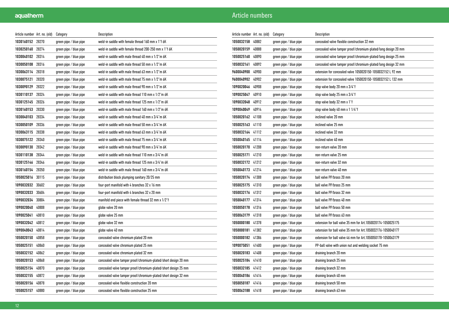| Article number   Art. no. (old) |       | Category               | Description                                                     |
|---------------------------------|-------|------------------------|-----------------------------------------------------------------|
| 1030160152                      | 28270 | green pipe / blue pipe | weld-in saddle with female thread 160 mm x 1"f 6K               |
| 1030250160                      | 28274 | green pipe / blue pipe | weld-in saddle with female thread 200-250 mm x 1"f 6K           |
| 1030040102                      | 28314 | green pipe / blue pipe | weld-in saddle with male thread 40 mm x 1/2"m 6K                |
| 1030050108                      | 28316 | green pipe / blue pipe | weld-in saddle with male thread 50 mm x 1/2"m 6K                |
| 1030063114                      | 28318 | green pipe / blue pipe | weld-in saddle with male thread 63 mm x 1/2"m 6K                |
| 1030075121                      | 28320 | green pipe / blue pipe | weld-in saddle with male thread 75 mm x 1/2"m 6K                |
| 1030090129                      | 28322 | green pipe / blue pipe | weld-in saddle with male thread 90 mm x 1/2"m 6K                |
| 1030110137                      | 28324 | green pipe / blue pipe | weld-in saddle with male thread 110 mm x 1/2"m 6K               |
| 1030125145                      | 28326 | green pipe / blue pipe | weld-in saddle with male thread 125 mm x 1/2"m 6K               |
| 1030160153                      | 28330 | green pipe / blue pipe | weld-in saddle with male thread 160 mm x 1/2"m 6K               |
| 1030040103                      | 28334 | green pipe / blue pipe | weld-in saddle with male thread 40 mm x 3/4"m 6K                |
| 1030050109                      | 28336 | green pipe / blue pipe | weld-in saddle with male thread 50 mm x 3/4"m 6K                |
| 1030063115                      | 28338 | green pipe / blue pipe | weld-in saddle with male thread 63 mm x 3/4"m 6K                |
| 1030075122                      | 28340 | green pipe / blue pipe | weld-in saddle with male thread 75 mm x 3/4"m 6K                |
| 1030090130                      | 28342 | green pipe / blue pipe | weld-in saddle with male thread 90 mm x 3/4"m 6K                |
| 1030110138                      | 28344 | green pipe / blue pipe | weld-in saddle with male thread 110 mm x 3/4"m 6K               |
| 1030125146                      | 28346 | green pipe / blue pipe | weld-in saddle with male thread 125 mm x 3/4"m 6K               |
| 1030160154                      | 28350 | green pipe / blue pipe | weld-in saddle with male thread 160 mm x 3/4"m 6K               |
| 1050025016                      | 30115 | green pipe / blue pipe | distribution block plumping sanitary 20/25 mm                   |
| 1090032032                      | 30602 | green pipe / blue pipe | four-port manifold with 4 branches 32 x 16 mm                   |
| 1090032033                      | 30604 | green pipe / blue pipe | four-port manifold with 4 branches 32 x 20 mm                   |
| 1090032034                      | 30804 | green pipe / blue pipe | manifold end piece with female thread 32 mm x 1/2"f             |
| 1090020040                      | 40808 | green pipe / blue pipe | globe valve 20 mm                                               |
| 1090025041                      | 40810 | green pipe / blue pipe | globe valve 25 mm                                               |
| 1090032042                      | 40812 | green pipe / blue pipe | globe valve 32 mm                                               |
| 1090040043                      | 40814 | green pipe / blue pipe | globe valve 40 mm                                               |
| 1050020150                      | 40858 | green pipe / blue pipe | concealed valve chromium plated 20 mm                           |
| 1050025151                      | 40860 | green pipe / blue pipe | concealed valve chromium plated 25 mm                           |
| 1050032152                      | 40862 | green pipe / blue pipe | concealed valve chromium plated 32 mm                           |
| 1050020153                      | 40868 | green pipe / blue pipe | concealed valve tamper proof/chromium-plated/short design 20 mm |
| 1050025154                      | 40870 | green pipe / blue pipe | concealed valve tamper proof/chromium-plated/short design 25 mm |
| 1050032155                      | 40872 | green pipe / blue pipe | concealed valve tamper proof/chromium-plated/short design 32 mm |
| 1050020156                      | 40878 | green pipe / blue pipe | concealed valve flexible construction 20 mm                     |
| 1050025157                      | 40880 | green pipe / blue pipe | concealed valve flexible construction 25 mm                     |

| Article number   Art. no. (old) |       | Category               | Description                                                    |
|---------------------------------|-------|------------------------|----------------------------------------------------------------|
| 1050032158                      | 40882 | green pipe / blue pipe | concealed valve flexible construction 32 mm                    |
| 1050020159                      | 40888 | green pipe / blue pipe | concealed valve tamper proof/chromium-plated/long design 20 mm |
| 1050025160                      | 40890 | green pipe / blue pipe | concealed valve tamper proof/chromium-plated/long design 25 mm |
| 1050032161                      | 40892 | green pipe / blue pipe | concealed valve tamper proof/chromium-plated/long design 32 mm |
| 9600040900                      | 40900 | green pipe / blue pipe | extension for concealed valve 1050020150-1050032152 L 92 mm    |
| 9600040902                      | 40902 | green pipe / blue pipe | extension for concealed valve 1050020150-1050032152 L 132 mm   |
| 1090020046                      | 40908 | green pipe / blue pipe | stop valve body 20 mm x 3/4"f                                  |
| 1090025047                      | 40910 | green pipe / blue pipe | stop valve body 25 mm x 3/4"f                                  |
| 1090032048                      | 40912 | green pipe / blue pipe | stop valve body 32 mm x 1"f                                    |
| 1090040049                      | 40914 | green pipe / blue pipe | stop valve body 40 mm x 1 1/4"f                                |
| 1050020162                      | 41108 | green pipe / blue pipe | inclined valve 20 mm                                           |
| 1050025163                      | 41110 | green pipe / blue pipe | inclined valve 25 mm                                           |
| 1050032164                      | 41112 | green pipe / blue pipe | inclined valve 32 mm                                           |
| 1050040165                      | 41114 | green pipe / blue pipe | inclined valve 40 mm                                           |
| 1050020170                      | 41208 | green pipe / blue pipe | non-return valve 20 mm                                         |
| 1050025171                      | 41210 | green pipe / blue pipe | non-return valve 25 mm                                         |
| 1050032172                      | 41212 | green pipe / blue pipe | non-return valve 32 mm                                         |
| 1050040173                      | 41214 | green pipe / blue pipe | non-return valve 40 mm                                         |
| 1050020174                      | 41308 | green pipe / blue pipe | ball valve PP/brass 20 mm                                      |
| 1050025175                      | 41310 | green pipe / blue pipe | ball valve PP/brass 25 mm                                      |
| 1050032176                      | 41312 | green pipe / blue pipe | ball valve PP/brass 32 mm                                      |
| 1050040177                      | 41314 | green pipe / blue pipe | ball valve PP/brass 40 mm                                      |
| 1050050178                      | 41316 | green pipe / blue pipe | ball valve PP/brass 50 mm                                      |
| 1050063179                      | 41318 | green pipe / blue pipe | ball valve PP/brass 63 mm                                      |
| 1050000180                      | 41378 | green pipe / blue pipe | extension for ball valve 35 mm for Art.1050020174-1050025175   |
| 1050000181                      | 41382 | green pipe / blue pipe | extension for ball valve 35 mm for Art.1050032176-1050040177   |
| 1050000182                      | 41386 | green pipe / blue pipe | extension for ball valve 46 mm for Art.1050050178-1050063179   |
| 1090075051                      | 41400 | green pipe / blue pipe | PP-ball valve with union nut and welding socket 75 mm          |
| 1050020183                      | 41408 | green pipe / blue pipe | draining branch 20 mm                                          |
| 1050025184                      | 41410 | green pipe / blue pipe | draining branch 25 mm                                          |
| 1050032185                      | 41412 | green pipe / blue pipe | draining branch 32 mm                                          |
| 1050040186                      | 41414 | green pipe / blue pipe | draining branch 40 mm                                          |
| 1050050187                      | 41416 | green pipe / blue pipe | draining branch 50 mm                                          |
| 1050063188                      | 41418 | green pipe / blue pipe | draining branch 63 mm                                          |
|                                 |       |                        |                                                                |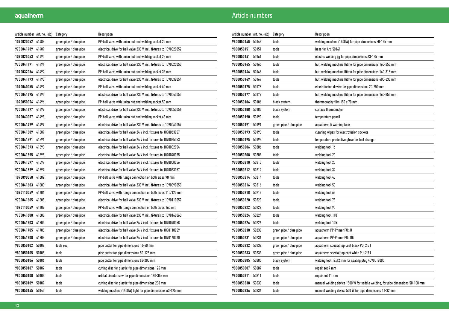| Article number Art. no. (old) |       | Category               | Description                                                        |
|-------------------------------|-------|------------------------|--------------------------------------------------------------------|
| 1090020052 41488              |       | green pipe / blue pipe | PP-ball valve with union nut and welding socket 20 mm              |
| 9700041489                    | 41489 | green pipe / blue pipe | electrical drive for ball valve 230 V incl. fixtures to 1090020052 |
| 1090025053 41490              |       | green pipe / blue pipe | PP-ball valve with union nut and welding socket 25 mm              |
| 9700041491 41491              |       | green pipe / blue pipe | electrical drive for ball valve 230 V incl. fixtures to 1090025053 |
| 1090032054 41492              |       | green pipe / blue pipe | PP-ball valve with union nut and welding socket 32 mm              |
| 9700041493 41493              |       | green pipe / blue pipe | electrical drive for ball valve 230 V incl. fixtures to 1090032054 |
| 1090040055                    | 41494 | green pipe / blue pipe | PP-ball valve with union nut and welding socket 40 mm              |
| 9700041495                    | 41495 | green pipe / blue pipe | electrical drive for ball valve 230 V incl. fixtures to 1090040055 |
| 1090050056 41496              |       | green pipe / blue pipe | PP-ball valve with union nut and welding socket 50 mm              |
| 9700041497 41497              |       | green pipe / blue pipe | electrical drive for ball valve 230 V incl. fixtures to 1090050056 |
| 1090063057 41498              |       | green pipe / blue pipe | PP-ball valve with union nut and welding socket 63 mm              |
| 9700041499                    | 41499 | green pipe / blue pipe | electrical drive for ball valve 230 V incl. fixtures to 1090063057 |
| 9700041589                    | 41589 | green pipe / blue pipe | electrical drive for ball valve 24 V incl. fixtures to 1090063057  |
| 9700041591                    | 41591 | green pipe / blue pipe | electrical drive for ball valve 24 V incl. fixtures to 1090025053  |
| 9700041593 41593              |       | green pipe / blue pipe | electrical drive for ball valve 24 V incl. fixtures to 1090032054  |
| 9700041595 41595              |       | green pipe / blue pipe | electrical drive for ball valve 24 V incl. fixtures to 1090040055  |
| 9700041597 41597              |       | green pipe / blue pipe | electrical drive for ball valve 24 V incl. fixtures to 1090050056  |
| 9700041599 41599              |       | green pipe / blue pipe | electrical drive for ball valve 24 V incl. fixtures to 1090063057  |
| 1090090058                    | 41602 | green pipe / blue pipe | PP-ball valve with flange connection on both sides 90 mm           |
| 9700041603                    | 41603 | green pipe / blue pipe | electrical drive for ball valve 230 V incl. fixtures to 1090090058 |
| 1090110059                    | 41604 | green pipe / blue pipe | PP-ball valve with flange connection on both sides 110/125 mm      |
| 9700041605                    | 41605 | green pipe / blue pipe | electrical drive for ball valve 230 V incl. fixtures to 1090110059 |
| 1090110059                    | 41607 | green pipe / blue pipe | PP-ball valve with flange connection on both sides 160 mm          |
| 9700041608                    | 41608 | green pipe / blue pipe | electrical drive for ball valve 230 V incl. fixtures to 1090160060 |
| 9700041703                    | 41703 | green pipe / blue pipe | electrical drive for ball valve 24 V incl. fixtures to 1090090058  |
| 9700041705                    | 41705 | green pipe / blue pipe | electrical drive for ball valve 24 V incl. fixtures to 1090110059  |
| 9700041708                    | 41708 | green pipe / blue pipe | electrical drive for ball valve 24 V incl. fixtures to 1090160060  |
| 9800050102 50102              |       | tools red              | pipe cutter for pipe dimensions 16-40 mm                           |
| 9800050105                    | 50105 | tools                  | pipe cutter for pipe dimensions 50-125 mm                          |
| 9800050106                    | 50106 | tools                  | pipe cutter for pipe dimensions 63-200 mm                          |
| 9800050107                    | 50107 | tools                  | cutting disc for plastic for pipe dimensions 125 mm                |
| 9800050108                    | 50108 | tools                  | orbital circular saw for pipe dimensions 160-355 mm                |
| 9800050109                    | 50109 | tools                  | cutting disc for plastic for pipe dimensions 230 mm                |
| 9800050145                    | 50145 | tools                  | welding machine (1400W) light for pipe dimensions 63-125 mm        |

| Article number   Art. no. (old) |       | Category               | Description                                                                    |
|---------------------------------|-------|------------------------|--------------------------------------------------------------------------------|
| 9800050148                      | 50148 | tools                  | welding machine (1400W) for pipe dimensions 50-125 mm                          |
| 9800050151                      | 50151 | tools                  | base for Art. 50161                                                            |
| 9800050161                      | 50161 | tools                  | electric welding jig for pipe dimensions 63-125 mm                             |
| 9800050165                      | 50165 | tools                  | butt welding machine Ritmo for pipe dimensions 160-250 mm                      |
| 9800050166                      | 50166 | tools                  | butt welding machine Ritmo for pipe dimensions 160-315 mm                      |
| 9800050169                      | 50169 | tools                  | butt welding machine Ritmo for pipe dimensions 400-630 mm                      |
| 9800050175                      | 50175 | tools                  | electrofusion device for pipe dimensions 20-250 mm                             |
| 9800050177                      | 50177 | tools                  | butt welding machine Ritmo for pipe dimensions 160-355 mm                      |
| 9700050186                      | 50186 | black system           | thermography film 150 x 70 mm                                                  |
| 9800050188                      | 50188 | black system           | surface thermometer                                                            |
| 9800050190                      | 50190 | tools                  | temperature pencil                                                             |
| 9700050191                      | 50191 | green pipe / blue pipe | aquatherm ti warning tape                                                      |
| 9800050193                      | 50193 | tools                  | cleaning wipes for electrofusion sockets                                       |
| 9800050195                      | 50195 | tools                  | temperature predective glove for tool change                                   |
| 9800050206                      | 50206 | tools                  | welding tool 16                                                                |
| 9800050208                      | 50208 | tools                  | welding tool 20                                                                |
| 9800050210                      | 50210 | tools                  | welding tool 25                                                                |
| 9800050212                      | 50212 | tools                  | welding tool 32                                                                |
| 9800050214                      | 50214 | tools                  | welding tool 40                                                                |
| 9800050216                      | 50216 | tools                  | welding tool 50                                                                |
| 9800050218                      | 50218 | tools                  | welding tool 63                                                                |
| 9800050220                      | 50220 | tools                  | welding tool 75                                                                |
| 9800050222                      | 50222 | tools                  | welding tool 90                                                                |
| 9800050224                      | 50224 | tools                  | welding tool 110                                                               |
| 9800050226                      | 50226 | tools                  | welding tool 125                                                               |
| 9700050230                      | 50230 | green pipe / blue pipe | aquatherm PP-Primer PU: 11                                                     |
| 9700050231                      | 50231 | green pipe / blue pipe | aquatherm PP-Primer PU: 10l                                                    |
| 9700050232                      | 50232 | green pipe / blue pipe | aquatherm special top coat black PU: 2,5 l                                     |
| 9700050233                      | 50233 | green pipe / blue pipe | aquatherm special top coat white PU: 2,5 l                                     |
| 9800050285                      | 50285 | black system           | welding tool 12x12 mm for sealing plug 4090012005                              |
| 9800050307                      | 50307 | tools                  | repair set 7 mm                                                                |
| 9800050311                      | 50311 | tools                  | repair set 11 mm                                                               |
| 9800050330                      | 50330 | tools                  | manual welding device 1500 W for saddle welding, for pipe dimensions 50-160 mm |
| 9800050336                      | 50336 | tools                  | manual welding device 500 W for pipe dimensions 16-32 mm                       |
|                                 |       |                        |                                                                                |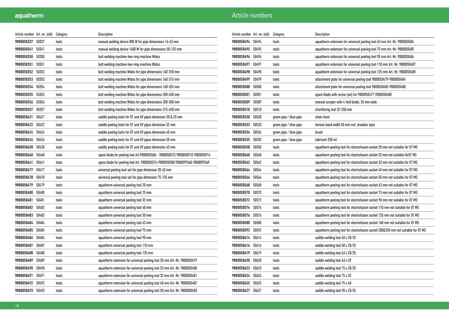| Article number   Art. no. (old) |       | Category | Description                                                                    |
|---------------------------------|-------|----------|--------------------------------------------------------------------------------|
| 9800050337                      | 50337 | tools    | manual welding device 800 W for pipe dimensions 16-63 mm                       |
| 9800050341                      | 50341 | tools    | manual welding device 1400 W for pipe dimensions 50-125 mm                     |
| 9800050350                      | 50350 | tools    | butt welding machine-two-ring-machine Widos                                    |
| 9800050351                      | 50351 | tools    | butt welding machine-two-ring-machine Widos                                    |
| 9800050352                      | 50352 | tools    | butt welding machine Widos for pipe dimensions 160-250 mm                      |
| 9800050353                      | 50353 | tools    | butt welding machine Widos for pipe dimensions 160-315 mm                      |
| 9800050354                      | 50354 | tools    | butt welding machine Widos for pipe dimensions 160-355 mm                      |
| 9800050355                      | 50355 | tools    | butt welding machine Widos for pipe dimensions 200-450 mm                      |
| 9800050356                      | 50356 | tools    | butt welding machine Widos for pipe dimensions 200-500 mm                      |
| 9800050357                      | 50357 | tools    | butt welding machine Widos for pipe dimensions 315-630 mm                      |
| 9800050421                      | 50421 | tools    | saddle peeling tools for OT und UV pipes dimension 20 & 25 mm                  |
| 9800050422                      | 50422 | tools    | saddle peeling tools for OT und UV pipes dimension 32 mm                       |
| 9800050424                      | 50424 | tools    | saddle peeling tools for OT und UV pipes dimension 40 mm                       |
| 9800050426                      | 50426 | tools    | saddle peeling tools for OT und UV pipes dimension 50 mm                       |
| 9800050428                      | 50428 | tools    | saddle peeling tools for OT und UV pipes dimension 63 mm                       |
| 9800050440                      | 50440 | tools    | spare blade for peeling tool Art.9800050506 - 9800050572/9800050910-9800050914 |
| 9800050441                      | 50441 | tools    | spare blade for peeling tool Art. 9800050574-9800050580/9800099368-9800099369  |
| 9800050477                      | 50477 | tools    | universal peeling tool-set for pipe dimension 20-63 mm                         |
| 9800050478                      | 50478 | tools    | universal peeling tool-set for pipe dimension 75-125 mm                        |
| 9800050479                      | 50479 | tools    | aquatherm universal peeling tool 20 mm                                         |
| 9800050480                      | 50480 | tools    | aquatherm universal peeling tool 25 mm                                         |
| 9800050481                      | 50481 | tools    | aquatherm universal peeling tool 32 mm                                         |
| 9800050482                      | 50482 | tools    | aquatherm universal peeling tool 40 mm                                         |
| 9800050483                      | 50483 | tools    | aquatherm universal peeling tool 50 mm                                         |
| 9800050484                      | 50484 | tools    | aquatherm universal peeling tool 63 mm                                         |
| 9800050485                      | 50485 | tools    | aquatherm universal peeling tool 75 mm                                         |
| 9800050486                      | 50486 | tools    | aquatherm universal peeling tool 90 mm                                         |
| 9800050487                      | 50487 | tools    | aquatherm universal peeling tool 110 mm                                        |
| 9800050488                      | 50488 | tools    | aquatherm universal peeling tool 125 mm                                        |
| 9800050489                      | 50489 | tools    | aquatherm extension for universal peeling tool 20 mm Art.-Nr. 9800050479       |
| 9800050490                      | 50490 | tools    | aquatherm extension for universal peeling tool 25 mm Art.-Nr. 9800050480       |
| 9800050491                      | 50491 | tools    | aquatherm extension for universal peeling tool 32 mm Art.-Nr. 9800050481       |
| 9800050492                      | 50492 | tools    | aquatherm extension for universal peeling tool 40 mm Art.-Nr. 9800050482       |
| 9800050493                      | 50493 | tools    | aquatherm extension for universal peeling tool 50 mm Art.-Nr. 9800050483       |

| Article number   Art. no. (old) |       | Category               | Description                                                                       |
|---------------------------------|-------|------------------------|-----------------------------------------------------------------------------------|
| 9800050494                      | 50494 | tools                  | aquatherm extension for universal peeling tool 63 mm Art.-Nr. 9800050484          |
| 9800050495                      | 50495 | tools                  | aquatherm extension for universal peeling tool 75 mm Art.-Nr. 9800050485          |
| 9800050496                      | 50496 | tools                  | aquatherm extension for universal peeling tool 90 mm Art.-Nr. 9800050486          |
| 9800050497                      | 50497 | tools                  | aquatherm extension for universal peeling tool 110 mm Art.-Nr. 9800050487         |
| 9800050498                      | 50498 | tools                  | aquatherm extension for universal peeling tool 125 mm Art.-Nr. 9800050488         |
| 9800050499                      | 50499 | tools                  | attachment plate for universal peeling tool 9800050479-9800050484                 |
| 9800050500                      | 50500 | tools                  | attachment plate for universal peeling tool 9800050485-9800050488                 |
| 9800050501                      | 50501 | tools                  | spare blade with screw (set) for 9800050477-9800050488                            |
| 9800050509                      | 50509 | tools                  | manual scraper with 4-fold blade, 35 mm wide                                      |
| 9800050510                      | 50510 | tools                  | chamfering tool 32-250 mm                                                         |
| 9800050530                      | 50530 | green pipe / blue pipe | chain hoist                                                                       |
| 9800050533                      | 50533 | green pipe / blue pipe | tension band width 50 mm incl. drawbar eyes                                       |
| 9800050534                      | 50534 | green pipe / blue pipe | brush                                                                             |
| 9800050535                      | 50535 | green pipe / blue pipe | lubricant 250 ml                                                                  |
| 9800050558                      | 50558 | tools                  | aquatherm peeling tool for electrofusion socket 20 mm not suitable for OT MS      |
| 9800050560                      | 50560 | tools                  | aquatherm peeling tool for electrofusion socket 25 mm not suitable forOT MS       |
| 9800050562                      | 50562 | tools                  | aquatherm peeling tool for electrofusion socket 32 mm not suitable for OT MS      |
| 9800050564                      | 50564 | tools                  | aquatherm peeling tool for electrofusion socket 40 mm not suitable for OT MS      |
| 9800050566                      | 50566 | tools                  | aquatherm peeling tool for electrofusion socket 50 mm not suitable for OT MS      |
| 9800050568                      | 50568 | tools                  | aquatherm peeling tool for electrofusion socket 63 mm not suitable for OT MS      |
| 9800050570                      | 50570 | tools                  | aquatherm peeling tool for electrofusion socket 75 mm not suitable for OT MS      |
| 9800050572                      | 50572 | tools                  | aquatherm peeling tool for electrofusion socket 90 mm not suitable for OT MS      |
| 9800050574                      | 50574 | tools                  | aquatherm peeling tool for electrofusion socket 110 mm not suitable for OT MS     |
| 9800050576                      | 50576 | tools                  | aquatherm peeling tool for electrofusion socket 125 mm not suitable for OT MS     |
| 9800050580                      | 50580 | tools                  | aquatherm peeling tool for electrofusion socket 160 mm not suitable for OT MS     |
| 9800050592                      | 50592 | tools                  | aquatherm peeling tool for electrofusion socket 200&250 mm not suitable for OT MS |
| 9800050614                      | 50614 | tools                  | saddle welding tool 40 x 20/25                                                    |
| 9800050616                      | 50616 | tools                  | saddle welding tool 50 x 20/25                                                    |
| 9800050619                      | 50619 | tools                  | saddle welding tool 63 x 20/25                                                    |
| 9800050620                      | 50620 | tools                  | saddle welding tool 63 x 32                                                       |
| 9800050623                      | 50623 | tools                  | saddle welding tool 75 x 20/25                                                    |
| 9800050624                      | 50624 | tools                  | saddle welding tool 75 x 32                                                       |
| 9800050625                      | 50625 | tools                  | saddle welding tool 75 x 40                                                       |
| 9800050627                      | 50627 | tools                  | saddle welding tool 90 x 20/25                                                    |
|                                 |       |                        |                                                                                   |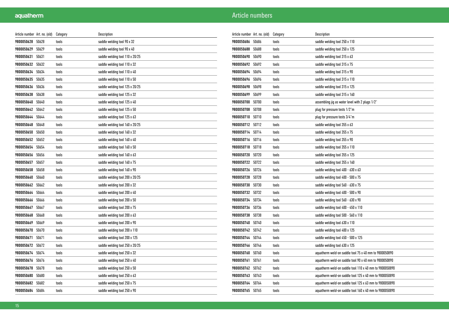| Article number   Art. no. (old) |       | Category | Description                     |
|---------------------------------|-------|----------|---------------------------------|
| 9800050628                      | 50628 | tools    | saddle welding tool 90 x 32     |
| 9800050629                      | 50629 | tools    | saddle welding tool 90 x 40     |
| 9800050631                      | 50631 | tools    | saddle welding tool 110 x 20/25 |
| 9800050632                      | 50632 | tools    | saddle welding tool 110 x 32    |
| 9800050634                      | 50634 | tools    | saddle welding tool 110 x 40    |
| 9800050635                      | 50635 | tools    | saddle welding tool 110 x 50    |
| 9800050636                      | 50636 | tools    | saddle welding tool 125 x 20/25 |
| 9800050638                      | 50638 | tools    | saddle welding tool 125 x 32    |
| 9800050640                      | 50640 | tools    | saddle welding tool 125 x 40    |
| 9800050642                      | 50642 | tools    | saddle welding tool 125 x 50    |
| 9800050644                      | 50644 | tools    | saddle welding tool 125 x 63    |
| 9800050648                      | 50648 | tools    | saddle welding tool 160 x 20/25 |
| 9800050650                      | 50650 | tools    | saddle welding tool 160 x 32    |
| 9800050652                      | 50652 | tools    | saddle welding tool 160 x 40    |
| 9800050654                      | 50654 | tools    | saddle welding tool 160 x 50    |
| 9800050656                      | 50656 | tools    | saddle welding tool 160 x 63    |
| 9800050657                      | 50657 | tools    | saddle welding tool 160 x 75    |
| 9800050658                      | 50658 | tools    | saddle welding tool 160 x 90    |
| 9800050660                      | 50660 | tools    | saddle welding tool 200 x 20/25 |
| 9800050662                      | 50662 | tools    | saddle welding tool 200 x 32    |
| 9800050664                      | 50664 | tools    | saddle welding tool 200 x 40    |
| 9800050666                      | 50666 | tools    | saddle welding tool 200 x 50    |
| 9800050667                      | 50667 | tools    | saddle welding tool 200 x 75    |
| 9800050668                      | 50668 | tools    | saddle welding tool 200 x 63    |
| 9800050669                      | 50669 | tools    | saddle welding tool 200 x 90    |
| 9800050670                      | 50670 | tools    | saddle welding tool 200 x 110   |
| 9800050671                      | 50671 | tools    | saddle welding tool 200 x 125   |
| 9800050672                      | 50672 | tools    | saddle welding tool 250 x 20/25 |
| 9800050674                      | 50674 | tools    | saddle welding tool 250 x 32    |
| 9800050676                      | 50676 | tools    | saddle welding tool 250 x 40    |
| 9800050678                      | 50678 | tools    | saddle welding tool 250 x 50    |
| 9800050680                      | 50680 | tools    | saddle welding tool 250 x 63    |
| 9800050682                      | 50682 | tools    | saddle welding tool 250 x 75    |
| 9800050684                      | 50684 | tools    | saddle welding tool 250 x 90    |

| Article number   Art. no. (old) |       | Category | Description                                             |
|---------------------------------|-------|----------|---------------------------------------------------------|
| 9800050686                      | 50686 | tools    | saddle welding tool 250 x 110                           |
| 9800050688                      | 50688 | tools    | saddle welding tool 250 x 125                           |
| 9800050690                      | 50690 | tools    | saddle welding tool 315 x 63                            |
| 9800050692                      | 50692 | tools    | saddle welding tool 315 x 75                            |
| 9800050694                      | 50694 | tools    | saddle welding tool 315 x 90                            |
| 9800050696                      | 50696 | tools    | saddle welding tool 315 x 110                           |
| 9800050698                      | 50698 | tools    | saddle welding tool 315 x 125                           |
| 9800050699                      | 50699 | tools    | saddle welding tool 315 x 160                           |
| 9800050700                      | 50700 | tools    | assembling jig as water level with 2 plugs 1/2"         |
| 9800050708                      | 50708 | tools    | plug for pressure tests 1/2"m                           |
| 9800050710                      | 50710 | tools    | plug for pressure tests 3/4"m                           |
| 9800050712                      | 50712 | tools    | saddle welding tool 355 x 63                            |
| 9800050714                      | 50714 | tools    | saddle welding tool 355 x 75                            |
| 9800050716                      | 50716 | tools    | saddle welding tool 355 x 90                            |
| 9800050718                      | 50718 | tools    | saddle welding tool 355 x 110                           |
| 9800050720                      | 50720 | tools    | saddle welding tool 355 x 125                           |
| 9800050722                      | 50722 | tools    | saddle welding tool 355 x 160                           |
| 9800050726                      | 50726 | tools    | saddle welding tool 400 - 630 x 63                      |
| 9800050728                      | 50728 | tools    | saddle welding tool 400 - 500 x 75                      |
| 9800050730                      | 50730 | tools    | saddle welding tool 560 - 630 x 75                      |
| 9800050732                      | 50732 | tools    | saddle welding tool 400 - 500 x 90                      |
| 9800050734                      | 50734 | tools    | saddle welding tool 560 - 630 x 90                      |
| 9800050736                      | 50736 | tools    | saddle welding tool 400 - 450 x 110                     |
| 9800050738                      | 50738 | tools    | saddle welding tool 500 - 560 x 110                     |
| 9800050740                      | 50740 | tools    | saddle welding tool 630 x 110                           |
| 9800050742                      | 50742 | tools    | saddle welding tool 400 x 125                           |
| 9800050744                      | 50744 | tools    | saddle welding tool 450 - 500 x 125                     |
| 9800050746                      | 50746 | tools    | saddle welding tool 630 x 125                           |
| 9800050760                      | 50760 | tools    | aquatherm weld-on saddle tool 75 x 40 mm to 9800050890  |
| 9800050761                      | 50761 | tools    | aquatherm weld-on saddle tool 90 x 40 mm to 9800050890  |
| 9800050762                      | 50762 | tools    | aquatherm weld-on saddle tool 110 x 40 mm to 9800050890 |
| 9800050763                      | 50763 | tools    | aquatherm weld-on saddle tool 125 x 40 mm to 9800050890 |
| 9800050764                      | 50764 | tools    | aquatherm weld-on saddle tool 125 x 63 mm to 9800050890 |
| 9800050765                      | 50765 | tools    | aquatherm weld-on saddle tool 160 x 40 mm to 9800050890 |
|                                 |       |          |                                                         |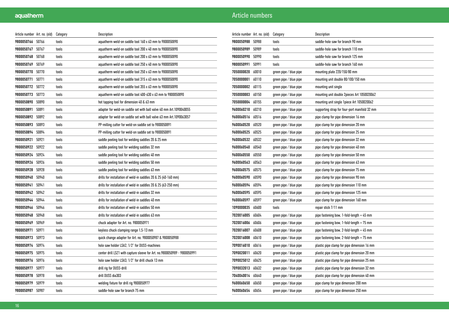| Article number   Art. no. (old) |       | Category | Description                                                               |
|---------------------------------|-------|----------|---------------------------------------------------------------------------|
| 9800050766                      | 50766 | tools    | aquatherm weld-on saddle tool 160 x 63 mm to 9800050890                   |
| 9800050767                      | 50767 | tools    | aquatherm weld-on saddle tool 200 x 40 mm to 9800050890                   |
| 9800050768                      | 50768 | tools    | aquatherm weld-on saddle tool 200 x 63 mm to 9800050890                   |
| 9800050769                      | 50769 | tools    | aquatherm weld-on saddle tool 250 x 40 mm to 9800050890                   |
| 9800050770                      | 50770 | tools    | aquatherm weld-on saddle tool 250 x 63 mm to 9800050890                   |
| 9800050771 50771                |       | tools    | aquatherm weld-on saddle tool 315 x 63 mm to 9800050890                   |
| 9800050772                      | 50772 | tools    | aquatherm weld-on saddle tool 355 x 63 mm to 9800050890                   |
| 9800050773                      | 50773 | tools    | aquatherm weld-on saddle tool 400-630 x 63 mm to 9800050890               |
| 9800050890                      | 50890 | tools    | hot tapping tool for dimension 40 & 63 mm                                 |
| 9800050891                      | 50891 | tools    | adapter for weld-on saddle set with ball valve 40 mm Art.1090040055       |
| 9800050892                      | 50892 | tools    | adapter for weld-on saddle set with ball valve 63 mm Art.1090063057       |
| 9800050893                      | 50893 | tools    | PP-milling cutter for weld-on saddle set to 9800050891                    |
| 9800050894                      | 50894 | tools    | PP-milling cutter for weld-on saddle set to 9800050891                    |
| 9800050921                      | 50921 | tools    | saddle peeling tool for welding saddles 20 & 25 mm                        |
| 9800050922 50922                |       | tools    | saddle peeling tool for welding saddles 32 mm                             |
| 9800050924                      | 50924 | tools    | saddle peeling tool for welding saddles 40 mm                             |
| 9800050926                      | 50926 | tools    | saddle peeling tool for welding saddles 50 mm                             |
| 9800050928                      | 50928 | tools    | saddle peeling tool for welding saddles 63 mm                             |
| 9800050940                      | 50940 | tools    | drills for installation of weld-in saddles 20 & 25 (40-160 mm)            |
| 9800050941                      | 50941 | tools    | drills for installation of weld-in saddles 20 & 25 (63-250 mm)            |
| 9800050942                      | 50942 | tools    | drills for installation of weld-in saddles 32 mm                          |
| 9800050944                      | 50944 | tools    | drills for installation of weld-in saddles 40 mm                          |
| 9800050946                      | 50946 | tools    | drills for installation of weld-in saddles 50 mm                          |
| 9800050948                      | 50948 | tools    | drills for installation of weld-in saddles 63 mm                          |
| 9800050969                      | 50969 | tools    | chuck adapter for Art. no. 9800050971                                     |
| 9800050971                      | 50971 | tools    | keyless chuck clamping range 1,5-13 mm                                    |
| 9800050973                      | 50973 | tools    | quick change adapter for Art. no. 9800050987 & 9800050988                 |
| 9800050974                      | 50974 | tools    | hole saw holder LSA2, 1/2" for DUSS-machines                              |
| 9800050975                      | 50975 | tools    | center drill LSZ1 with capture sleeve for Art. no.9800050989 - 9800050991 |
| 9800050976                      | 50976 | tools    | hole saw holder LSA3, 1/2" for drill chuck 13 mm                          |
| 9800050977                      | 50977 | tools    | drill rig for DUSS-drill                                                  |
| 9800050978                      | 50978 | tools    | drill DUSS dia303                                                         |
| 9800050979                      | 50979 | tools    | welding fixture for drill rig 9800050977                                  |
| 9800050987                      | 50987 | tools    | saddle-hole saw for branch 75 mm                                          |

| Article number Art. no. (old) |       | Category               | Description                                   |
|-------------------------------|-------|------------------------|-----------------------------------------------|
| 9800050988                    | 50988 | tools                  | saddle-hole saw for branch 90 mm              |
| 9800050989                    | 50989 | tools                  | saddle-hole saw for branch 110 mm             |
| 9800050990                    | 50990 | tools                  | saddle-hole saw for branch 125 mm             |
| 9800050991                    | 50991 | tools                  | saddle-hole saw for branch 160 mm             |
| 7050000020                    | 60010 | green pipe / blue pipe | mounting plate 220/150/80 mm                  |
| 7050000001                    | 60110 | green pipe / blue pipe | mounting unit double 80/100/150 mm            |
| 7050000002                    | 60115 | green pipe / blue pipe | mounting unit single                          |
| 7050000003                    | 60150 | green pipe / blue pipe | mounting unit double 2pieces Art 1050020062   |
| 7050000004                    | 60155 | green pipe / blue pipe | mounting unit single 1 piece Art 1050020062   |
| 9600060210                    | 60210 | green pipe / blue pipe | supporting strap for four-port manifold 32 mm |
| 9600060516                    | 60516 | green pipe / blue pipe | pipe clamp for pipe dimension 16 mm           |
| 9600060520                    | 60520 | green pipe / blue pipe | pipe clamp for pipe dimension 20 mm           |
| 9600060525                    | 60525 | green pipe / blue pipe | pipe clamp for pipe dimension 25 mm           |
| 9600060532                    | 60532 | green pipe / blue pipe | pipe clamp for pipe dimension 32 mm           |
| 9600060540                    | 60540 | green pipe / blue pipe | pipe clamp for pipe dimension 40 mm           |
| 9600060550                    | 60550 | green pipe / blue pipe | pipe clamp for pipe dimension 50 mm           |
| 9600060563                    | 60563 | green pipe / blue pipe | pipe clamp for pipe dimension 63 mm           |
| 9600060575                    | 60575 | green pipe / blue pipe | pipe clamp for pipe dimension 75 mm           |
| 9600060590                    | 60590 | green pipe / blue pipe | pipe clamp for pipe dimension 90 mm           |
| 9600060594                    | 60594 | green pipe / blue pipe | pipe clamp for pipe dimension 110 mm          |
| 9600060595                    | 60595 | green pipe / blue pipe | pipe clamp for pipe dimension 125 mm          |
| 9600060597                    | 60597 | green pipe / blue pipe | pipe clamp for pipe dimension 160 mm          |
| 1090000035                    | 60600 | tools                  | repair stick 7/11 mm                          |
| 7020016005                    | 60604 | green pipe / blue pipe | pipe fastening bow, 1-fold-length = 45 mm     |
| 7020016006                    | 60606 | green pipe / blue pipe | pipe fastening bow, 1-fold-length = 75 mm     |
| 7020016007                    | 60608 | green pipe / blue pipe | pipe fastening bow, 2-fold-length = 45 mm     |
| 7020016008                    | 60610 | green pipe / blue pipe | pipe fastening bow, 2-fold-length = 75 mm     |
| 7090016010                    | 60616 | green pipe / blue pipe | plastic pipe clamp for pipe dimension 16 mm   |
| 7090020011                    | 60620 | green pipe / blue pipe | plastic pipe clamp for pipe dimension 20 mm   |
| 7090025012                    | 60625 | green pipe / blue pipe | plastic pipe clamp for pipe dimension 25 mm   |
| 7090032013                    | 60632 | green pipe / blue pipe | plastic pipe clamp for pipe dimension 32 mm   |
| 7040040014                    | 60640 | green pipe / blue pipe | plastic pipe clamp for pipe dimension 40 mm   |
| 9600060650                    | 60650 | green pipe / blue pipe | pipe clamp for pipe dimension 200 mm          |
| 9600060654                    | 60654 | green pipe / blue pipe | pipe clamp for pipe dimension 250 mm          |
|                               |       |                        |                                               |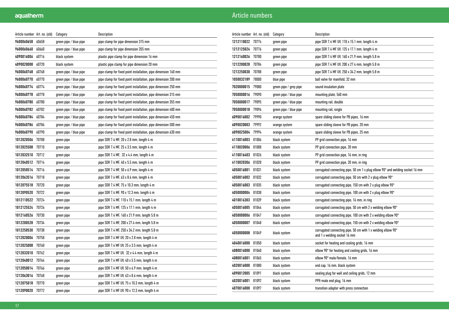| Article number Art. no. (old) |       | Category               | Description                                                    |
|-------------------------------|-------|------------------------|----------------------------------------------------------------|
| 9600060658                    | 60658 | green pipe / blue pipe | pipe clamp for pipe dimension 315 mm                           |
| 9600060660                    | 60660 | green pipe / blue pipe | pipe clamp for pipe dimension 355 mm                           |
| 4090016006                    | 60716 | black system           | plastic pipe clamp for pipe dimension 16 mm                    |
| 4090020008                    | 60720 | black system           | plastic pipe clamp for pipe dimension 20 mm                    |
| 9600060768                    | 60768 | green pipe / blue pipe | pipe clamp for fixed point installation, pipe dimension 160 mm |
| 9600060770                    | 60770 | green pipe / blue pipe | pipe clamp for fixed point installation, pipe dimension 200 mm |
| 9600060774                    | 60774 | green pipe / blue pipe | pipe clamp for fixed point installation, pipe dimension 250 mm |
| 9600060778                    | 60778 | green pipe / blue pipe | pipe clamp for fixed point installation, pipe dimension 315 mm |
| 9600060780                    | 60780 | green pipe / blue pipe | pipe clamp for fixed point installation, pipe dimension 355 mm |
| 9600060782 60782              |       | green pipe / blue pipe | pipe clamp for fixed point installation, pipe dimension 400 mm |
| 9600060784                    | 60784 | green pipe / blue pipe | pipe clamp for fixed point installation, pipe dimension 450 mm |
| 9600060786                    | 60786 | green pipe / blue pipe | pipe clamp for fixed point installation, pipe dimension 500 mm |
| 9600060790                    | 60790 | green pipe / blue pipe | pipe clamp for fixed point installation, pipe dimension 630 mm |
| 1012020506                    | 70708 | green pipe             | pipe SDR 7.4 MF, 20 x 2.8 mm, length 4 m                       |
| 1012025508                    | 70710 | green pipe             | pipe SDR 7.4 MF, 25 x 3.5 mm, length 4 m                       |
| 1012032510 70712              |       | green pipe             | pipe SDR 7.4 MF, 32 x 4.4 mm, length 4 m                       |
| 1012040512 70714              |       | green pipe             | pipe SDR 7.4 MF, 40 x 5.5 mm, length 4 m                       |
| 1012050514                    | 70716 | green pipe             | pipe SDR 7.4 MF, 50 x 6.9 mm, length 4 m                       |
| 1012063516                    | 70718 | green pipe             | pipe SDR 7.4 MF, 63 x 8.6 mm, length 4 m                       |
| 1012075518                    | 70720 | green pipe             | pipe SDR 7.4 MF, 75 x 10.3 mm, length 4 m                      |
| 1012090520                    | 70722 | green pipe             | pipe SDR 7.4 MF, 90 x 12.3 mm, length 4 m                      |
| 1012110522 70724              |       | green pipe             | pipe SDR 7.4 MF, 110 x 15.1 mm, length 4 m                     |
| 1012125524                    | 70726 | green pipe             | pipe SDR 7.4 MF, 125 x 17.1 mm, length 4 m                     |
| 1012160526                    | 70730 | green pipe             | pipe SDR 7.4 MF, 160 x 21.9 mm, length 5.8 m                   |
| 1012200528                    | 70734 | green pipe             | pipe SDR 7.4 MF, 200 x 27.4 mm, length 5.8 m                   |
| 1012250530                    | 70738 | green pipe             | pipe SDR 7.4 MF, 250 x 34.2 mm, length 5.8 m                   |
| 1212020006                    | 70758 | green pipe             | pipe SDR 7.4 MF UV, 20 x 2.8 mm, length 4 m                    |
| 1212025008                    | 70760 | green pipe             | pipe SDR 7.4 MF UV, 25 x 3.5 mm, length 4 m                    |
| 1212032010                    | 70762 | green pipe             | pipe SDR 7.4 MF UV, 32 x 4.4 mm, length 4 m                    |
| 1212040012                    | 70764 | green pipe             | pipe SDR 7.4 MF UV, 40 x 5.5 mm, length 4 m                    |
| 1212050014                    | 70766 | green pipe             | pipe SDR 7.4 MF UV, 50 x 6.9 mm, length 4 m                    |
| 1212063016                    | 70768 | green pipe             | pipe SDR 7.4 MF UV, 63 x 8.6 mm, length 4 m                    |
| 1212075018                    | 70770 | green pipe             | pipe SDR 7.4 MF UV, 75 x 10.3 mm, length 4 m                   |
| 1212090020                    | 70772 | green pipe             | pipe SDR 7.4 MF UV, 90 x 12.3 mm, length 4 m                   |

| Article number Art. no. (old) |       | Category               | Description                                                                                  |
|-------------------------------|-------|------------------------|----------------------------------------------------------------------------------------------|
| 1212110022                    | 70774 | green pipe             | pipe SDR 7.4 MF UV, 110 x 15.1 mm, length 4 m                                                |
| 1212125024 70776              |       | green pipe             | pipe SDR 7.4 MF UV, 125 x 17.1 mm, length 4 m                                                |
| 1212160026                    | 70780 | green pipe             | pipe SDR 7.4 MF UV, 160 x 21.9 mm, length 5.8 m                                              |
| 1212200028                    | 70784 | green pipe             | pipe SDR 7.4 MF UV, 200 x 27.4 mm, length 5.8 m                                              |
| 1212250030                    | 70788 | green pipe             | pipe SDR 7.4 MF UV, 250 x 34.2 mm, length 5.8 m                                              |
| 1050032189                    | 78000 | blue pipe              | ball valve for manifold, 32 mm                                                               |
| 7020000015                    | 79080 | green pipe / grey pipe | sound insulation plate                                                                       |
| 7050000016                    | 79090 | green pipe / blue pipe | mounting plate, 560 mm                                                                       |
| 7050000017                    | 79095 | green pipe / blue pipe | mounting rail, double                                                                        |
| 7050000018                    | 79096 | green pipe / blue pipe | mounting rail, single                                                                        |
| 6090016002                    | 79990 | orange system          | spare sliding sleeve for PB pipes, 16 mm                                                     |
| 6090020003                    | 79992 | orange system          | spare sliding sleeve for PB pipes, 20 mm                                                     |
| 6090025004                    | 79994 | orange system          | spare sliding sleeve for PB pipes, 25 mm                                                     |
| 4110016003                    | 81006 | black system           | PP grid connection pipe, 16 mm                                                               |
| 4110020006                    | 81008 | black system           | PP grid connection pipe, 20 mm                                                               |
| 4110016403                    | 81026 | black system           | PP grid connection pipe, 16 mm, in ring                                                      |
| 4110020306                    | 81028 | black system           | PP grid connection pipe, 20 mm, in ring                                                      |
| 4050016001                    | 81031 | black system           | corrugated connecting pipe, 50 cm 1 x plug elbow $90^{\circ}$ and welding socket 16 mm       |
| 4050016002                    | 81032 | black system           | corrugated connecting pipe, 50 cm with 2 x plug elbow $90^\circ$                             |
| 4050016003                    | 81035 | black system           | corrugated connecting pipe, 150 cm with 2 x plug elbow $90^{\circ}$                          |
| 4050000004                    | 81038 | black system           | corrugated connecting pipe, 100 cm with 2 x plug elbow $90^{\circ}$                          |
| 4010016303                    | 81039 | black system           | corrugated connecting pipe, 16 mm, in ring                                                   |
| 4050016005                    | 81044 | black system           | corrugated connecting pipe, 50 cm with 2 x welding elbow $90^{\circ}$                        |
| 4050000006                    | 81047 | black system           | corrugated connecting pipe, 100 cm with 2 x welding elbow $90^{\circ}$                       |
| 4050000007                    | 81048 | black system           | corrugated connecting pipe, 150 cm with 2 x welding elbow $90^\circ$                         |
| 4050000008                    | 81049 | black system           | corrugated connecting pipe, 50 cm with 1 x welding elbow 90°<br>and 1 x welding socket 16 mm |
| 4040016000                    | 81050 | black system           | socket for heating and cooling grids, 16 mm                                                  |
| 4080016000                    | 81060 | black system           | elbow 90° for heating and cooling grids, 16 mm                                               |
| 4080016001                    | 81065 | black system           | elbow 90° male/female, 16 mm                                                                 |
| 4020016000                    | 81080 | black system           | end cap, 16 mm, black system                                                                 |
| 4090012005                    | 81091 | black system           | sealing plug for wall and ceiling grids, 12 mm                                               |
| 4020016001                    | 81092 | black system           | PPR-male end plug, 16 mm                                                                     |
| 4070016000                    | 81097 | black system           | transition adapter with press connection                                                     |
|                               |       |                        |                                                                                              |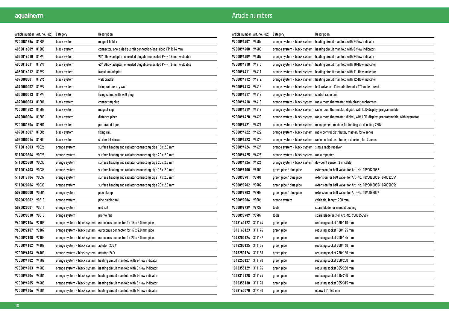| Article numbers |  |  |
|-----------------|--|--|
|                 |  |  |

| Article number Art. no. (old) |       | Category                     | Description                                                       |
|-------------------------------|-------|------------------------------|-------------------------------------------------------------------|
| 9700081286                    | 81286 | black system                 | magnet holder                                                     |
| 4050016009                    | 81288 | black system                 | connector, one-sided pushfit connection/one-sided PP-R 16 mm      |
| 4050016010                    | 81290 | black system                 | 90° elbow adapter, onesided plugable/onesided PP-R 16 mm weldable |
| 4050016011                    | 81291 | black system                 | 45° elbow adapter, onesided plugable/onesided PP-R 16 mm weldable |
| 4050016012                    | 81292 | black system                 | transition adapter                                                |
| 4090000001                    | 81296 | black system                 | wall bracket                                                      |
| 4090000002                    | 81297 | black system                 | fixing rail for dry wall                                          |
| 4050000013                    | 81298 | black system                 | fixing clamp with wall plug                                       |
| 4090000003                    | 81301 | black system                 | connecting plug                                                   |
| 9700081302                    | 81302 | black system                 | magnet clip                                                       |
| 4090000004                    | 81303 | black system                 | distance piece                                                    |
| 9700081304                    | 81304 | black system                 | perforated tape                                                   |
| 4090016007                    | 81506 | black system                 | fixing rail                                                       |
| 4050000014                    | 81800 | black system                 | starter kit shower                                                |
| 5110016303                    | 90026 | orange system                | surface heating and radiator connecting pipe 16 x 2.0 mm          |
| 5110020306                    | 90028 | orange system                | surface heating and radiator connecting pipe 20 x 2.0 mm          |
| 5110025308                    | 90030 | orange system                | surface heating and radiator connecting pipe 25 x 2.3 mm          |
| 5110016403                    | 90036 | orange system                | surface heating and radiator connecting pipe 16 x 2.0 mm          |
| 5110017404                    | 90037 | orange system                | surface heating and radiator connecting pipe 17 x 2.0 mm          |
| 5110020406                    | 90038 | orange system                | surface heating and radiator connecting pipe 20 x 2.0 mm          |
| 5090000000                    | 90504 | orange system                | pipe clamp                                                        |
| 5020020002                    | 90510 | orange system                | pipe guiding rail                                                 |
| 5090020001                    | 90511 | orange system                | end rail                                                          |
| 9700090518                    | 90518 | orange system                | profile rail                                                      |
| 9600092106                    | 92106 | orange system / black system | euroconus connector for 16 x 2.0 mm pipe                          |
| 9600092107                    | 92107 | orange system / black system | euroconus connector for 17 x 2.0 mm pipe                          |
| 9600092108                    | 92108 | orange system / black system | euroconus connector for 20 x 2.0 mm pipe                          |
| 9700094102                    | 94102 | orange system / black system | actutor, 230 V                                                    |
| 9700094103                    | 94103 | orange system / black system | actutor, 24 V                                                     |
| 9700094402                    | 94402 | orange system / black system | heating circuit manifold with 2-flow indicator                    |
| 9700094403                    | 94403 | orange system / black system | heating circuit manifold with 3-flow indicator                    |
| 9700094404                    | 94404 | orange system / black system | heating circuit manifold with 4-flow indicator                    |
| 9700094405                    | 94405 | orange system / black system | heating circuit manifold with 5-flow indicator                    |
| 9700094406                    | 94406 | orange system / black system | heating circuit manifold with 6-flow indicator                    |

| Article number   Art. no. (old) |        | Category                     | Description                                                                    |
|---------------------------------|--------|------------------------------|--------------------------------------------------------------------------------|
| 9700094407                      | 94407  | orange system / black system | heating circuit manifold with 7-flow indicator                                 |
| 9700094408                      | 94408  | orange system / black system | heating circuit manifold with 8-flow indicator                                 |
| 9700094409                      | 94409  | orange system / black system | heating circuit manifold with 9-flow indicator                                 |
| 9700094410                      | 94410  | orange system / black system | heating circuit manifold with 10-flow indicator                                |
| 9700094411                      | 94411  | orange system / black system | heating circuit manifold with 11-flow indicator                                |
| 9700094412                      | 94412  | orange system / black system | heating circuit manifold with 12-flow indicator                                |
| 9600094413                      | 94413  | orange system / black system | ball valve set 1"female thread x 1"female thread                               |
| 9700094417                      | 94417  | orange system / black system | central radio unit                                                             |
| 9700094418                      | 94418  | orange system / black system | radio room thermostat, with glass touchscreen                                  |
| 9700094419                      | 94419  | orange system / black system | radio room thermostat, digital, with LCD-display, programmable                 |
| 9700094420                      | 94420  | orange system / black system | radio room thermostat, digital, with LCD-display, programmable, with hygrostat |
| 9700094421                      | 94421  | orange system / black system | management module for heating an dcooling 230V                                 |
| 9700094422                      | 94422  | orange system / black system | radio control distributor, master, for 6 zones                                 |
| 9700094423                      | 94423  | orange system / black system | radio control distributor, extension, for 4 zones                              |
| 9700094424                      | 94424  | orange system / black system | single radio receiver                                                          |
| 9700094425                      | 94425  | orange system / black system | radio repeater                                                                 |
| 9700094426                      | 94426  | orange system / black system | dewpoint sensor, 3 m cable                                                     |
| 9700098900                      | 98900  | green pipe / blue pipe       | extension for ball valve, for Art.-No. 1090020052                              |
| 9700098901                      | 98901  | green pipe / blue pipe       | extension for ball valve, for Art.-No. 1090025053/1090032054                   |
| 9700098902                      | 98902  | green pipe / blue pipe       | extension for ball valve, for Art.-No. 1090040055/1090050056                   |
| 9700098903                      | 98903  | green pipe / blue pipe       | extension for ball valve, for Art.-No. 1090063057                              |
| 9700099086                      | 99086  | orange system                | cable tie, length: 200 mm                                                      |
| 9700099739                      | 99739  | tools                        | spare blade for manual peeling                                                 |
| 9800099909                      | 99909  | tools                        | spare blade set for Art.-No. 9800050509                                        |
| 1043160122                      | 311174 | green pipe                   | reducing socket 160/110 mm                                                     |
| 1043160123                      | 311176 | green pipe                   | reducing socket 160/125 mm                                                     |
| 1043200124                      | 311182 | green pipe                   | reducing socket 200/125 mm                                                     |
| 1043200125                      | 311184 | green pipe                   | reducing socket 200/160 mm                                                     |
| 1043250126                      | 311188 | green pipe                   | reducing socket 250/160 mm                                                     |
| 1043250127                      | 311190 | green pipe                   | reducing socket 250/200 mm                                                     |
| 1043355129                      | 311196 | green pipe                   | reducing socket 355/250 mm                                                     |
| 1043315128                      | 311194 | green pipe                   | reducing socket 315/250 mm                                                     |
| 1043355130                      | 311198 | green pipe                   | reducing socket 355/315 mm                                                     |
| 1083160070                      | 312130 | green pipe                   | elbow 90° 160 mm                                                               |
|                                 |        |                              |                                                                                |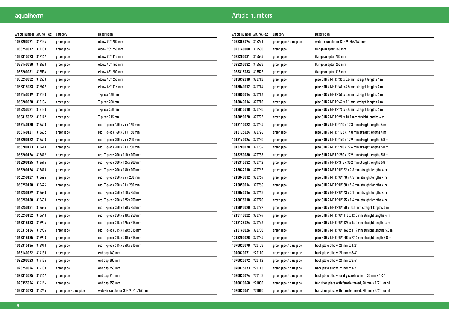| Article number Art. no. (old) |        | Category               | Description                          |
|-------------------------------|--------|------------------------|--------------------------------------|
| 1083200071                    | 312134 | green pipe             | elbow $90^\circ 200$ mm              |
| 1083250072                    | 312138 | green pipe             | elbow $90^\circ 250$ mm              |
| 1083315073                    | 312142 | green pipe             | elbow 90° 315 mm                     |
| 1083160030                    | 312530 | green pipe             | elbow 45° 160 mm                     |
| 1083200031                    | 312534 | green pipe             | elbow 45° 200 mm                     |
| 1083250032                    | 312538 | green pipe             | elbow $45^{\circ}$ 250 mm            |
| 1083315033                    | 312542 | green pipe             | elbow $45^{\circ}$ 315 mm            |
| 1063160019                    | 313130 | green pipe             | T-piece 160 mm                       |
| 1063200020                    | 313134 | green pipe             | T-piece 200 mm                       |
| 1063250021                    | 313138 | green pipe             | T-piece 250 mm                       |
| 1063315022                    | 313142 | green pipe             | T-piece 315 mm                       |
| 1063160120                    | 313600 | green pipe             | red. T-piece 160 x 75 x 160 mm       |
| 1063160121                    | 313602 | green pipe             | red. T-piece 160 x 90 x 160 mm       |
| 1063200122                    | 313608 | green pipe             | red. T-piece 200 x 75 x 200 mm       |
| 1063200123                    | 313610 | green pipe             | red. T-piece 200 x 90 x 200 mm       |
| 1063200124                    | 313612 | green pipe             | red. T-piece 200 x 110 x 200 mm      |
| 1063200125                    | 313614 | green pipe             | red. T-piece 200 x 125 x 200 mm      |
| 1063200126                    | 313618 | green pipe             | red. T-piece 200 x 160 x 200 mm      |
| 1063250127                    | 313624 | green pipe             | red. T-piece 250 x 75 x 250 mm       |
| 1063250128                    | 313626 | green pipe             | red. T-piece 250 x 90 x 250 mm       |
| 1063250129                    | 313628 | green pipe             | red. T-piece 250 x 110 x 250 mm      |
| 1063250130                    | 313630 | green pipe             | red. T-piece 250 x 125 x 250 mm      |
| 1063250131                    | 313634 | green pipe             | red. T-piece 250 x 160 x 250 mm      |
| 1063250132                    | 313640 | green pipe             | red. T-piece 250 x 200 x 250 mm      |
| 1063315133                    | 313904 | green pipe             | red. T-piece 315 x 125 x 315 mm      |
| 1063315134                    | 313906 | green pipe             | red. T-piece 315 x 160 x 315 mm      |
| 1063315135                    | 313908 | green pipe             | red. T-piece 315 x 200 x 315 mm      |
| 1063315136                    | 313910 | green pipe             | red. T-piece 315 x 250 x 315 mm      |
| 1023160022 314130             |        | green pipe             | end cap 160 mm                       |
| 1023200023                    | 314134 | green pipe             | end cap 200 mm                       |
| 1023250024                    | 314138 | green pipe             | end cap 250 mm                       |
| 1023315025                    | 314142 | green pipe             | end cap 315 mm                       |
| 1023355026                    | 314144 | green pipe             | end cap 355 mm                       |
| 1033315073                    | 315265 | green pipe / blue pipe | weld-in saddle for SDR 9, 315/160 mm |

| Article number Art. no. (old) |        | Category               | Description                                              |
|-------------------------------|--------|------------------------|----------------------------------------------------------|
| 1033355074                    | 315271 | green pipe / blue pipe | weld-in saddle for SDR 9, 355/160 mm                     |
| 1023160000                    | 315530 | green pipe             | flange adapter 160 mm                                    |
| 1023200031                    | 315534 | green pipe             | flange adapter 200 mm                                    |
| 1023250032 315538             |        | green pipe             | flange adapter 250 mm                                    |
| 1023315033                    | 315542 | green pipe             | flange adapter 315 mm                                    |
| 1013032010                    | 370712 | green pipe             | pipe SDR 9 MF RP 32 x 3.6 mm straight lengths 4 m        |
| 1013040012                    | 370714 | green pipe             | pipe SDR 9 MF RP 40 x 4.5 mm straight lengths 4 m        |
| 1013050014                    | 370716 | green pipe             | pipe SDR 9 MF RP 50 x 5.6 mm straight lengths 4 m        |
| 1013063016                    | 370718 | green pipe             | pipe SDR 9 MF RP 63 x 7.1 mm straight lengths 4 m        |
| 1013075018                    | 370720 | green pipe             | pipe SDR 9 MF RP 75 x 8.4 mm straight lengths 4 m        |
| 1013090020                    | 370722 | green pipe             | pipe SDR 9 MF RP 90 x 10.1 mm straight lengths 4 m       |
| 1013110022                    | 370724 | green pipe             | pipe SDR 9 MF RP 110 x 12.3 mm straight lengths 4 m      |
| 1013125024                    | 370726 | green pipe             | pipe SDR 9 MF RP 125 x 14.0 mm straight lengths 4 m      |
| 1013160026                    | 370730 | green pipe             | pipe SDR 9 MF RP 160 x 17.9 mm straight lengths 5.8 m    |
| 1013200028                    | 370734 | green pipe             | pipe SDR 9 MF RP 200 x 22.4 mm straight lengths 5.8 m    |
| 1013250030                    | 370738 | green pipe             | pipe SDR 9 MF RP 250 x 27.9 mm straight lengths 5.8 m    |
| 1013315032 370742             |        | green pipe             | pipe SDR 9 MF RP 315 x 35.2 mm straight lengths 5.8 m    |
| 1213032010                    | 370762 | green pipe             | pipe SDR 9 MF RP UV 32 x 3.6 mm straight lengths 4 m     |
| 1213040012                    | 370764 | green pipe             | pipe SDR 9 MF RP UV 40 x 4.5 mm straight lengths 4 m     |
| 1213050014                    | 370766 | green pipe             | pipe SDR 9 MF RP UV 50 x 5.6 mm straight lengths 4 m     |
| 1213063016                    | 370768 | green pipe             | pipe SDR 9 MF RP UV 63 x 7.1 mm straight lengths 4 m     |
| 1213075018                    | 370770 | green pipe             | pipe SDR 9 MF RP UV 75 x 8.4 mm straight lengths 4 m     |
| 1213090020                    | 370772 | green pipe             | pipe SDR 9 MF RP UV 90 x 10.1 mm straight lengths 4 m    |
| 1213110022                    | 370774 | green pipe             | pipe SDR 9 MF RP UV 110 x 12.3 mm straight lengths 4 m   |
| 1213125024                    | 370776 | green pipe             | pipe SDR 9 MF RP UV 125 x 14.0 mm straight lengths 4 m   |
| 1213160026                    | 370780 | green pipe             | pipe SDR 9 MF RP UV 160 x 17.9 mm straight lengths 5.8 m |
| 1213200028                    | 370784 | green pipe             | pipe SDR 9 MF RP UV 200 x 22.4 mm straight length 5.8 m  |
| 1090020070                    | 920108 | green pipe / blue pipe | back plate elbow, 20 mm x 1/2"                           |
| 1090020071                    | 920110 | green pipe / blue pipe | back plate elbow, 20 mm x 3/4"                           |
| 1090025072                    | 920112 | green pipe / blue pipe | back plate elbow, 25 mm x 3/4"                           |
| 1090025073                    | 920113 | green pipe / blue pipe | back plate elbow, 25 mm x 1/2"                           |
| 1090020074                    | 920158 | green pipe / blue pipe | back plate elbow for dry construction, 20 mm x 1/2"      |
| 1070020060                    | 921008 | green pipe / blue pipe | transition piece with female thread, 20 mm x 1/2" round  |
| 1070020061                    | 921010 | green pipe / blue pipe | transition piece with female thread, 20 mm x 3/4" round  |
|                               |        |                        |                                                          |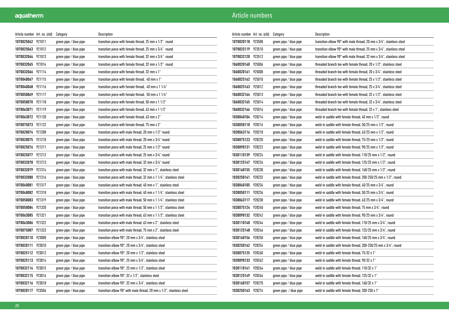| Article number Art. no. (old) |        | Category               | Description                                                                         |
|-------------------------------|--------|------------------------|-------------------------------------------------------------------------------------|
| 1070025062 921011             |        | green pipe / blue pipe | transition piece with female thread, 25 mm x 1/2" round                             |
| 1070025063 921012             |        | green pipe / blue pipe | transition piece with female thread, 25 mm x 3/4" round                             |
| 1070032064                    | 921013 | green pipe / blue pipe | transition piece with female thread, 32 mm x 3/4" round                             |
| 1070032065 921014             |        | green pipe / blue pipe | transition piece with female thread, 32 mm x 1/2" round                             |
| 1070032066                    | 921114 | green pipe / blue pipe | transition piece with female thread, 32 mm x 1"                                     |
| 1070040067                    | 921115 | green pipe / blue pipe | transition piece with female thread, 40 mm x 1"                                     |
| 1070040068 921116             |        | green pipe / blue pipe | transition piece with female thread, 40 mm x 1 1/4"                                 |
| 1070050069                    | 921117 | green pipe / blue pipe | transition piece with female thread, 50 mm x 1 1/4"                                 |
| 1070050070                    | 921118 | green pipe / blue pipe | transition piece with female thread, 50 mm x 1 1/2"                                 |
| 1070063071                    | 921119 | green pipe / blue pipe | transition piece with female thread, 63 mm x 1 1/2"                                 |
| 1070063072                    | 921120 | green pipe / blue pipe | transition piece with female thread, 63 mm x 2"                                     |
| 1070075073                    | 921122 | green pipe / blue pipe | transition piece with female thread, 75 mm x 2"                                     |
| 1070020074                    | 921208 | green pipe / blue pipe | transition piece with male thread, 20 mm x 1/2" round                               |
| 1070020075 921210             |        | green pipe / blue pipe | transition piece with male thread, 20 mm x 3/4" round                               |
| 1070025076 921211             |        | green pipe / blue pipe | transition piece with male thread, 25 mm x 1/2" round                               |
| 1070025077 921212             |        | green pipe / blue pipe | transition piece with male thread, 25 mm x 3/4" round                               |
| 1070032078 921213             |        | green pipe / blue pipe | transition piece with male thread, 32 mm x 3/4" round                               |
| 1070032079                    | 921314 | green pipe / blue pipe | transition piece with male thread, 32 mm x 1", stainless steel                      |
| 1070032080                    | 921316 | green pipe / blue pipe | transition piece with male thread, 32 mm x 1 1/4", stainless steel                  |
| 1070040081                    | 921317 | green pipe / blue pipe | transition piece with male thread, 40 mm x 1", stainless steel                      |
| 1070040082                    | 921318 | green pipe / blue pipe | transition piece with male thread, 40 mm x 1 1/4", stainless steel                  |
| 1070050083                    | 921319 | green pipe / blue pipe | transition piece with male thread, 50 mm x 1 1/4", stainless steel                  |
| 1070050084                    | 921320 | green pipe / blue pipe | transition piece with male thread, 50 mm x 1 1/2", stainless steel                  |
| 1070063085                    | 921321 | green pipe / blue pipe | transition piece with male thread, 63 mm x 1 1/2", stainless steel                  |
| 1070063086                    | 921322 | green pipe / blue pipe | transition piece with male thread, 63 mm x 2", stainless steel                      |
| 1070075087                    | 921323 | green pipe / blue pipe | transition piece with male thread, 75 mm x 2", stainless steel                      |
| 1070020110 923008             |        | green pipe / blue pipe | transition elbow $90^{\circ}$ , 20 mm x $3/4^{\circ}$ , stainless steel             |
| 1070020111                    | 923010 | green pipe / blue pipe | transition elbow $90^{\circ}$ , 20 mm x $3/4^{\circ}$ , stainless steel             |
| 1070025112 923012             |        | green pipe / blue pipe | transition elbow $90^\circ$ , 20 mm x $1/2$ ", stainless steel                      |
| 1070025113 923014             |        | green pipe / blue pipe | transition elbow $90^\circ$ , 25 mm x $3/4$ ", stainless steel                      |
| 1070032114                    | 923015 | green pipe / blue pipe | transition elbow $90^\circ$ , 25 mm x $1/2^\circ$ , stainless steel                 |
| 1070032115                    | 923016 | green pipe / blue pipe | transition elbow $90^{\circ}$ , 32 x $1/2^{\circ}$ , stainless steel                |
| 1070032116 923018             |        | green pipe / blue pipe | transition elbow 90°, 32 mm x 3/4", stainless steel                                 |
| 1070020117                    | 923506 | green pipe / blue pipe | transition elbow $90^\circ$ with male thread, 20 mm x $1/2^\circ$ , stainless steel |

| Article number Art. no. (old) |        | Category               | Description                                                                    |
|-------------------------------|--------|------------------------|--------------------------------------------------------------------------------|
| 1070020118                    | 923508 | green pipe / blue pipe | transition elbow $90^\circ$ with male thread, 20 mm x $3/4$ ", stainless steel |
| 1070025119                    | 923510 | green pipe / blue pipe | transition elbow 90° with male thread, 25 mm x 3/4", stainless steel           |
| 1070032120                    | 923512 | green pipe / blue pipe | transition elbow $90^\circ$ with male thread, 32 mm x $3/4$ ", stainless steel |
| 1060020160                    | 925006 | green pipe / blue pipe | threaded branch tee with female thread, 20 x 1/2", stainless steel             |
| 1060020161                    | 925008 | green pipe / blue pipe | threaded branch tee with female thread, 20 x 3/4", stainless steel             |
| 1060025162 925010             |        | green pipe / blue pipe | threaded branch tee with female thread, 25 x 1/2", stainless steel             |
| 1060025163                    | 925012 | green pipe / blue pipe | threaded branch tee with female thread, 25 x 3/4", stainless steel             |
| 1060032164                    | 925013 | green pipe / blue pipe | threaded branch tee with female thread, 32 x 1/2", stainless steel             |
| 1060032165                    | 925014 | green pipe / blue pipe | threaded branch tee with female thread, 32 x 3/4", stainless steel             |
| 1060032166                    | 925016 | green pipe / blue pipe | threaded branch tee with female thread, 32 x 1", stainless steel               |
| 1030040104                    | 928214 | green pipe / blue pipe | weld-in saddle with female thread, 40 mm x 1/2", round                         |
| 1030050110                    | 928216 | green pipe / blue pipe | weld-in saddle with female thread, 50/25 mm x 1/2", round                      |
| 1030063116                    | 928218 | green pipe / blue pipe | weld-in saddle with female thread, 63/25 mm x 1/2", round                      |
| 1030075123                    | 928220 | green pipe / blue pipe | weld-in saddle with female thread, 75/25 mm x 1/2", round                      |
| 1030090131                    | 928222 | green pipe / blue pipe | weld-in saddle with female thread, 90/25 mm x 1/2", round                      |
| 1030110139                    | 928224 | green pipe / blue pipe | weld-in saddle with female thread, 110/25 mm x 1/2", round                     |
| 1030125147                    | 928226 | green pipe / blue pipe | weld-in saddle with female thread, 125/25 mm x 1/2", round                     |
| 1030160155                    | 928230 | green pipe / blue pipe | weld-in saddle with female thread, 160/25 mm x 1/2", round                     |
| 1030250161                    | 928232 | green pipe / blue pipe | weld-in saddle with female thread, 200-250/25 mm x 1/2", round                 |
| 1030040105                    | 928234 | green pipe / blue pipe | weld-in saddle with female thread, 40/25 mm x 3/4", round                      |
| 1030050111                    | 928236 | green pipe / blue pipe | weld-in saddle with female thread, 50/25 mm x 3/4", round                      |
| 1030063117                    | 928238 | green pipe / blue pipe | weld-in saddle with female thread, 63/25 mm x 3/4", round                      |
| 1030075124                    | 928240 | green pipe / blue pipe | weld-in saddle with female thread, 75 mm x 3/4", round                         |
| 1030090132                    | 928242 | green pipe / blue pipe | weld-in saddle with female thread, 90/25 mm x 3/4", round                      |
| 1030110140                    | 928244 | green pipe / blue pipe | weld-in saddle with female thread, 110/25 mm x 3/4", round                     |
| 1030125148                    | 928246 | green pipe / blue pipe | weld-in saddle with female thread, 125/25 mm x 3/4", round                     |
| 1030160156                    | 928250 | green pipe / blue pipe | weld-in saddle with female thread, 160/25 mm x 3/4", round                     |
| 1030250162 928254             |        | green pipe / blue pipe | weld-in saddle with female thread, 200-250/25 mm x 3/4", round                 |
| 1030075125                    | 928260 | green pipe / blue pipe | weld-in saddle with female thread. 75/32 x 1"                                  |
| 1030090133                    | 928262 | green pipe / blue pipe | weld-in saddle with female thread, 90/32 x 1"                                  |
| 1030110141                    | 928264 | green pipe / blue pipe | weld-in saddle with female thread, 110/32 x 1"                                 |
| 1030125149                    | 928266 | green pipe / blue pipe | weld-in saddle with female thread, 125/32 x 1"                                 |
| 1030160157                    | 928270 | green pipe / blue pipe | weld-in saddle with female thread, 160/32 x 1"                                 |
| 1030250163                    | 928274 | green pipe / blue pipe | weld-in saddle with female thread, 200-250 x 1"                                |
|                               |        |                        |                                                                                |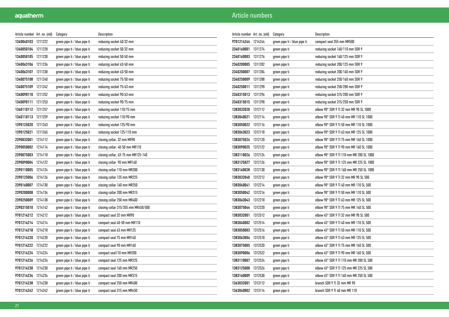| Article number   Art. no. (old) |         | Category                     | Description                         |
|---------------------------------|---------|------------------------------|-------------------------------------|
| 1340040103                      | 1211222 | green pipe ti / blue pipe ti | reducing socket 40/32 mm            |
| 1340050104                      | 1211228 | green pipe ti / blue pipe ti | reducing socket 50/32 mm            |
| 1340050105 1211230              |         | green pipe ti / blue pipe ti | reducing socket 50/40 mm            |
| 1340063106 1211236              |         | green pipe ti / blue pipe ti | reducing socket 63/40 mm            |
| 1340063107                      | 1211238 | green pipe ti / blue pipe ti | reducing socket 63/50 mm            |
| 1340075108                      | 1211240 | green pipe ti / blue pipe ti | reducing socket 75/50 mm            |
| 1340075109                      | 1211242 | green pipe ti / blue pipe ti | reducing socket 75/63 mm            |
| 1340090110                      | 1211252 | green pipe ti / blue pipe ti | reducing socket 90/63 mm            |
| 1340090111                      | 1211253 | green pipe ti / blue pipe ti | reducing socket 90/75 mm            |
| 1340110112 1211257              |         | green pipe ti / blue pipe ti | reducing socket 110/75 mm           |
| 1340110113                      | 1211259 | green pipe ti / blue pipe ti | reducing socket 110/90 mm           |
| 1390125020                      | 1211263 | green pipe ti / blue pipe ti | reducing socket 125/90 mm           |
| 1390125021                      | 1211265 | green pipe ti / blue pipe ti | reducing socket 125/110 mm          |
| 2390032001                      | 1214112 | green pipe ti / blue pipe ti | closing collar, 32 mm MR90          |
| 2390050002 1214114              |         | green pipe ti / blue pipe ti | closing collar, 40-50 mm MR110      |
| 2390075003 1214118              |         | green pipe ti / blue pipe ti | closing collar, 63-75 mm MR125-140  |
| 2390090004                      | 1214122 | green pipe ti / blue pipe ti | closing collar 90 mm MR160          |
| 2390110005                      | 1214124 | green pipe ti / blue pipe ti | closing collar 110 mm MR200         |
| 2390125006                      | 1214126 | green pipe ti / blue pipe ti | closing collar 125 mm MR225         |
| 2390160007                      | 1214130 | green pipe ti / blue pipe ti | closing collar 160 mm MR250         |
| 2390200008                      | 1214134 | green pipe ti / blue pipe ti | closing collar 200 mm MR315         |
| 2390250009                      | 1214138 | green pipe ti / blue pipe ti | closing collar 250 mm MR400         |
| 2390315010                      | 1214142 | green pipe ti / blue pipe ti | closing collar 315/355 mm MR450/500 |
| 9701214212 1214212              |         | green pipe ti / blue pipe ti | compact seal 32 mm MR90             |
| 9701214214                      | 1214214 | green pipe ti / blue pipe ti | compact seal 40-50 mm MR110         |
| 9701214218                      | 1214218 | green pipe ti / blue pipe ti | compact seal 63 mm MR125            |
| 9701214220 1214220              |         | green pipe ti / blue pipe ti | compact seal 75 mm MR140            |
| 9701214222 1214222              |         | green pipe ti / blue pipe ti | compact seal 90 mm MR160            |
| 9701214224 1214224              |         | green pipe ti / blue pipe ti | compact seal110 mm MR200            |
| 9701214226                      | 1214226 | green pipe ti / blue pipe ti | compact seal 125 mm MR225           |
| 9701214230                      | 1214230 | green pipe ti / blue pipe ti | compact seal 160 mm MR250           |
| 9701214234                      | 1214234 | green pipe ti / blue pipe ti | compact seal 200 mm MR315           |
| 9701214238                      | 1214238 | green pipe ti / blue pipe ti | compact seal 250 mm MR400           |
| 9701214242 1214242              |         | green pipe ti / blue pipe ti | compact seal 315 mm MR450           |

| Article number   Art. no. (old) |         | Category                     | Description                              |
|---------------------------------|---------|------------------------------|------------------------------------------|
| 9701214244                      | 1214244 | green pipe ti / blue pipe ti | compact seal 355 mm MR500                |
| 2340160001                      | 1311274 | green pipe ti                | reducing socket 160/110 mm SDR 9         |
| 2340160003                      | 1311276 | green pipe ti                | reducing socket 160/125 mm SDR 9         |
| 2340200005                      | 1311282 | green pipe ti                | reducing socket 200/125 mm SDR 9         |
| 2340200007                      | 1311284 | green pipe ti                | reducing socket 200/160 mm SDR 9         |
| 2340250009                      | 1311288 | green pipe ti                | reducing socket 250/160 mm SDR 9         |
| 2340250011                      | 1311290 | green pipe ti                | reducing socket 250/200 mm SDR 9         |
| 2340315013                      | 1311296 | green pipe ti                | reducing socket 315/200 mm SDR 9         |
| 2340315015                      | 1311298 | green pipe ti                | reducing socket 315/250 mm SDR 9         |
| 1383032020                      | 1312112 | green pipe ti                | elbow 90° SDR 9 TI 32 mm MR 90 SL 1000   |
| 1383040021                      | 1312114 | green pipe ti                | elbow 90° SDR 9 TI 40 mm MR 110 SL 1000  |
| 1383050022                      | 1312116 | green pipe ti                | elbow 90° SDR 9 TI 50 mm MR 110 SL 1000  |
| 1383063023                      | 1312118 | green pipe ti                | elbow 90° SDR 9 TI 63 mm MR 125 SL 1000  |
| 1383075024                      | 1312120 | green pipe ti                | elbow 90° SDR 9 TI 75 mm MR 140 SL 1000  |
| 1383090025                      | 1312122 | green pipe ti                | elbow 90° SDR 9 TI 90 mm MR 160 SL 1000  |
| 1383110026                      | 1312124 | green pipe ti                | elbow 90° SDR 9 TI 110 mm MR 200 SL 1000 |
| 1383125027                      | 1312126 | green pipe ti                | elbow 90° SDR 9 TI 125 mm MR 225 SL 1000 |
| 1383160028                      | 1312130 | green pipe ti                | elbow 90° SDR 9 TI 160 mm MR 250 SL 1000 |
| 1383032040                      | 1312212 | green pipe ti                | elbow 90° SDR 9 TI 32 mm MR 90 SL 500    |
| 1383040041                      | 1312214 | green pipe ti                | elbow 90° SDR 9 TI 40 mm MR 110 SL 500   |
| 1383050042                      | 1312216 | green pipe ti                | elbow 90° SDR 9 TI 50 mm MR 110 SL 500   |
| 1383063043                      | 1312218 | green pipe ti                | elbow 90° SDR 9 TI 63 mm MR 125 SL 500   |
| 1383075044                      | 1312220 | green pipe ti                | elbow 90° SDR 9 TI 75 mm MR 140 SL 500   |
| 1383032001                      | 1312512 | green pipe ti                | elbow 45° SDR 9 TI 32 mm MR 90 SL 500    |
| 1383040002                      | 1312514 | green pipe ti                | elbow 45° SDR 9 TI 40 mm MR 110 SL 500   |
| 1383050003                      | 1312516 | green pipe ti                | elbow 45° SDR 9 TI 50 mm MR 110 SL 500   |
| 1383063004                      | 1312518 | green pipe ti                | elbow 45° SDR 9 TI 63 mm MR 125 SL 500   |
| 1383075005                      | 1312520 | green pipe ti                | elbow 45° SDR 9 TI 75 mm MR 140 SL 500   |
| 1383090006                      | 1312522 | green pipe ti                | elbow 45° SDR 9 TI 90 mm MR 160 SL 500   |
| 1383110007                      | 1312524 | green pipe ti                | elbow 45° SDR 9 TI 110 mm MR 200 SL 500  |
| 1383125008                      | 1312526 | green pipe ti                | elbow 45° SDR 9 TI 125 mm MR 225 SL 500  |
| 1383160009                      | 1312530 | green pipe ti                | elbow 45° SDR 9 TI 160 mm MR 250 SL 500  |
| 1363032001                      | 1313112 | green pipe ti                | branch SDR 9 TI 32 mm MR 90              |
| 1363040002                      | 1313114 | green pipe ti                | branch SDR 9 TI 40 mm MR 110             |
|                                 |         |                              |                                          |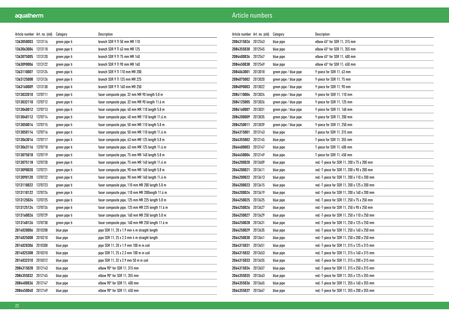| Article number Art. no. (old) |         | Category      | Description                                       |
|-------------------------------|---------|---------------|---------------------------------------------------|
| 1363050003                    | 1313116 | green pipe ti | branch SDR 9 TI 50 mm MR 110                      |
| 1363063004                    | 1313118 | green pipe ti | branch SDR 9 TI 63 mm MR 125                      |
| 1363075005 1313120            |         | green pipe ti | branch SDR 9 TI 75 mm MR 140                      |
| 1363090006                    | 1313122 | green pipe ti | branch SDR 9 TI 90 mm MR 160                      |
| 1363110007                    | 1313124 | green pipe ti | branch SDR 9 TI 110 mm MR 200                     |
| 1363125008                    | 1313126 | green pipe ti | branch SDR 9 TI 125 mm MR 225                     |
| 1363160009                    | 1313130 | green pipe ti | branch SDR 9 TI 160 mm MR 250                     |
| 1313032010                    | 1370711 | green pipe ti | faser composite pipe, 32 mm MR 90 length 5.8 m    |
| 1313032110                    | 1370712 | green pipe ti | faser composite pipe, 32 mm MR 90 length 11.6 m   |
| 1313040012                    | 1370713 | green pipe ti | faser composite pipe, 40 mm MR 110 length 5.8 m   |
| 1313040112 1370714            |         | green pipe ti | faser composite pipe, 40 mm MR 110 length 11.6 m  |
| 1313050014                    | 1370715 | green pipe ti | faser composite pipe, 50 mm MR 110 length 5.8 m   |
| 1313050114                    | 1370716 | green pipe ti | faser composite pipe, 50 mm MR 110 length 11.6 m  |
| 1313063016                    | 1370717 | green pipe ti | faser composite pipe, 63 mm MR 125 length 5.8 m   |
| 1313063116 1370718            |         | green pipe ti | faser composite pipe, 63 mm MR 125 length 11.6 m  |
| 1313075018                    | 1370719 | green pipe ti | faser composite pipe, 75 mm MR 140 length 5.8 m   |
| 1313075118                    | 1370720 | green pipe ti | faser composite pipe, 75 mm MR 140 length 11.6 m  |
| 1313090020                    | 1370721 | green pipe ti | faser composite pipe, 90 mm MR 160 length 5.8 m   |
| 1313090120                    | 1370722 | green pipe ti | faser composite pipe, 90 mm MR 160 length 11.6 m  |
| 1313110022                    | 1370723 | green pipe ti | faser composite pipe, 110 mm MR 200 length 5.8 m  |
| 1313110122                    | 1370724 | green pipe ti | faser composite pipe, 110 mm MR 200length 11.6 m  |
| 1313125024                    | 1370725 | green pipe ti | faser composite pipe, 125 mm MR 225 length 5.8 m  |
| 1313125124                    | 1370726 | green pipe ti | faser composite pipe, 125 mm MR 225 length 11.6 m |
| 1313160026                    | 1370729 | green pipe ti | faser composite pipe, 160 mm MR 250 length 5.8 m  |
| 1313160126                    | 1370730 | green pipe ti | faser composite pipe, 160 mm MR 250 length 11.6 m |
| 2014020006                    | 2010208 | blue pipe     | pipe SDR 11, 20 x 1.9 mm 4 m straight length      |
| 2014025008                    | 2010210 | blue pipe     | pipe SDR 11, 25 x 2.3 mm 4 m straight length      |
| 2014020306                    | 2010308 | blue pipe     | pipe SDR 11, 20 x 1.9 mm 100 m in coil            |
| 2014025308                    | 2010310 | blue pipe     | pipe SDR 11, 25 x 2.3 mm 100 m in coil            |
| 2014032310                    | 2010312 | blue pipe     | pipe SDR 11, 32 x 2.9 mm 50 m in coil             |
| 2084315028                    | 2012143 | blue pipe     | elbow 90° for SDR 11, 315 mm                      |
| 2084355032                    | 2012145 | blue pipe     | elbow 90° for SDR 11, 355 mm                      |
| 2084400036                    | 2012147 | blue pipe     | elbow 90° for SDR 11, 400 mm                      |
| 2084450040                    | 2012149 | blue pipe     | elbow 90° for SDR 11, 450 mm                      |

| Article number Art. no. (old) |         | Category               | Description                                 |
|-------------------------------|---------|------------------------|---------------------------------------------|
| 2084315026                    | 2012543 | blue pipe              | elbow 45° for SDR 11, 315 mm                |
| 2084355030                    | 2012545 | blue pipe              | elbow 45° for SDR 11, 355 mm                |
| 2084400034                    | 2012547 | blue pipe              | elbow 45° for SDR 11, 400 mm                |
| 2084450038                    | 2012549 | blue pipe              | elbow $45^{\circ}$ for SDR 11, 450 mm       |
| 2084063001                    | 2013018 | green pipe / blue pipe | Y-piece for SDR 11, 63 mm                   |
| 2084075002                    | 2013020 | green pipe / blue pipe | Y-piece for SDR 11, 75 mm                   |
| 2084090003                    | 2013022 | green pipe / blue pipe | Y-piece for SDR 11, 90 mm                   |
| 2084110004                    | 2013024 | green pipe / blue pipe | Y-piece for SDR 11, 110 mm                  |
| 2084125005                    | 2013026 | green pipe / blue pipe | Y-piece for SDR 11, 125 mm                  |
| 2084160007                    | 2013031 | green pipe / blue pipe | Y-piece for SDR 11, 160 mm                  |
| 2084200009                    | 2013035 | green pipe / blue pipe | Y-piece for SDR 11, 200 mm                  |
| 2084250011                    | 2013039 | green pipe / blue pipe | Y-piece for SDR 11, 250 mm                  |
| 2064315001                    | 2013143 | blue pipe              | T-piece for SDR 11, 315 mm                  |
| 2064355002                    | 2013145 | blue pipe              | T-piece for SDR 11, 355 mm                  |
| 2064400003                    | 2013147 | blue pipe              | T-piece for SDR 11, 400 mm                  |
| 2064450004                    | 2013149 | blue pipe              | T-piece for SDR 11, 450 mm                  |
| 2064200020                    | 2013609 | blue pipe              | red.-T-piece for SDR 11, 200 x 75 x 200 mm  |
| 2064200021                    | 2013611 | blue pipe              | red.-T-piece for SDR 11, 200 x 90 x 200 mm  |
| 2064200022                    | 2013613 | blue pipe              | red.-T-piece for SDR 11, 200 x 110 x 200 mm |
| 2064200023                    | 2013615 | blue pipe              | red.-T-piece for SDR 11, 200 x 125 x 200 mm |
| 2064200024                    | 2013619 | blue pipe              | red.-T-piece for SDR 11, 200 x 160 x 200 mm |
| 2064250025                    | 2013625 | blue pipe              | red.-T-piece for SDR 11, 250 x 75 x 250 mm  |
| 2064250026                    | 2013627 | blue pipe              | red.-T-piece for SDR 11, 250 x 90 x 250 mm  |
| 2064250027                    | 2013629 | blue pipe              | red.-T-piece for SDR 11, 250 x 110 x 250 mm |
| 2064250028                    | 2013631 | blue pipe              | red.-T-piece for SDR 11, 250 x 125 x 250 mm |
| 2064250029                    | 2013635 | blue pipe              | red.-T-piece for SDR 11, 250 x 160 x 250 mm |
| 2064250030                    | 2013641 | blue pipe              | red.-T-piece for SDR 11, 250 x 200 x 250 mm |
| 2064315031                    | 2013651 | blue pipe              | red.-T-piece for SDR 11, 315 x 125 x 315 mm |
| 2064315032                    | 2013653 | blue pipe              | red.-T-piece for SDR 11, 315 x 160 x 315 mm |
| 2064315033                    | 2013655 | blue pipe              | red.-T-piece for SDR 11, 315 x 200 x 315 mm |
| 2064315034                    | 2013657 | blue pipe              | red.-T-piece for SDR 11, 315 x 250 x 315 mm |
| 2064355035 2013663            |         | blue pipe              | red.-T-piece for SDR 11, 355 x 125 x 355 mm |
| 2064355036                    | 2013665 | blue pipe              | red.-T-piece for SDR 11, 355 x 160 x 355 mm |
| 2064355037                    | 2013667 | blue pipe              | red.-T-piece for SDR 11, 355 x 200 x 355 mm |
|                               |         |                        |                                             |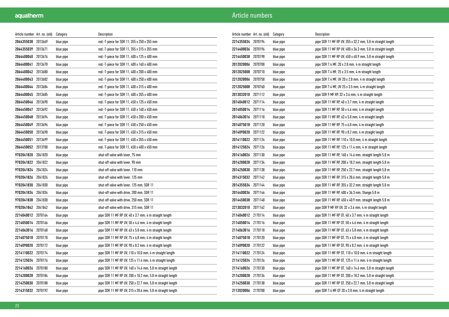| Article number Art. no. (old) |         | Category  | Description                                                |
|-------------------------------|---------|-----------|------------------------------------------------------------|
| 2064355038                    | 2013669 | blue pipe | red.-T-piece for SDR 11, 355 x 250 x 355 mm                |
| 2064355039                    | 2013671 | blue pipe | red.-T-piece for SDR 11, 355 x 315 x 355 mm                |
| 2064400040                    | 2013676 | blue pipe | red.-T-piece for SDR 11, 400 x 125 x 400 mm                |
| 2064400041                    | 2013678 | blue pipe | red.-T-piece for SDR 11, 400 x 160 x 400 mm                |
| 2064400042                    | 2013680 | blue pipe | red.-T-piece for SDR 11, 400 x 200 x 400 mm                |
| 2064400043                    | 2013682 | blue pipe | red.-T-piece for SDR 11, 400 x 250 x 400 mm                |
| 2064400044                    | 2013684 | blue pipe | red.-T-piece for SDR 11, 400 x 315 x 400 mm                |
| 2064400045                    | 2013685 | blue pipe | red.-T-piece for SDR 11, 400 x 355 x 400 mm                |
| 2064450046 2013690            |         | blue pipe | red.-T-piece for SDR 11, 450 x 125 x 450 mm                |
| 2064450047                    | 2013692 | blue pipe | red.-T-piece for SDR 11, 450 x 160 x 450 mm                |
| 2064450048                    | 2013694 | blue pipe | red.-T-piece for SDR 11, 450 x 200 x 450 mm                |
| 2064450049                    | 2013696 | blue pipe | red.-T-piece for SDR 11, 450 x 250 x 450 mm                |
| 2064450050                    | 2013698 | blue pipe | red.-T-piece for SDR 11, 450 x 315 x 450 mm                |
| 2064450051                    | 2013699 | blue pipe | red.-T-piece for SDR 11, 450 x 355 x 450 mm                |
| 2064450052 2013700            |         | blue pipe | red.-T-piece for SDR 11, 450 x 400 x 450 mm                |
| 9702041820 2041820            |         | blue pipe | shut-off valve with lever, 75 mm                           |
| 9702041822                    | 2041822 | blue pipe | shut-off valve with lever, 90 mm                           |
| 9702041824                    | 2041824 | blue pipe | shut-off valve with lever, 110 mm                          |
| 9702041826                    | 2041826 | blue pipe | shut-off valve with lever, 125 mm                          |
| 9702041830                    | 2041830 | blue pipe | shut-off valve with lever, 125 mm, SDR 11                  |
| 9702041834                    | 2041834 | blue pipe | shut-off valve with drive, 200 mm, SDR 11                  |
| 9702041838                    | 2041838 | blue pipe | shut-off valve with drive, 250 mm, SDR 11                  |
| 9702041842                    | 2041842 | blue pipe | shut-off valve with drive, 315 mm, SDR 11                  |
| 2214040012                    | 2070164 | blue pipe | pipe SDR 11 MF RP UV, 40 x 3.7 mm, 4 m straight length     |
| 2214050014                    | 2070166 | blue pipe | pipe SDR 11 MF RP UV, 50 x 4.6 mm, 4 m straight length     |
| 2214063016                    | 2070168 | blue pipe | pipe SDR 11 MF RP UV, 63 x 5.8 mm, 4 m straight length     |
| 2214075018 2070170            |         | blue pipe | pipe SDR 11 MF RP UV, 75 x 6,8 mm, 4 m straight length     |
| 2214090020                    | 2070172 | blue pipe | pipe SDR 11 MF RP UV, 90 x 8.2 mm, 4 m straight length     |
| 2214110022                    | 2070174 | blue pipe | pipe SDR 11 MF RP UV, 110 x 10.0 mm, 4 m straight length   |
| 2214125024                    | 2070176 | blue pipe | pipe SDR 11 MF RP UV, 125 x 11.4 mm, 4 m straight length   |
| 2214160026                    | 2070180 | blue pipe | pipe SDR 11 MF RP UV, 160 x 14.6 mm, 5.8 m straight length |
| 2214200028                    | 2070184 | blue pipe | pipe SDR 11 MF RP UV, 200 x 18.2 mm, 5.8 m straight length |
| 2214250030                    | 2070188 | blue pipe | pipe SDR 11 MF RP UV, 250 x 22.7 mm, 5.8 m straight length |
| 2214315032                    | 2070192 | blue pipe | pipe SDR 11 MF RP UV, 315 x 28.6 mm, 5.8 m straight length |

| Article number Art. no. (old) |         | Category  | Description                                                |
|-------------------------------|---------|-----------|------------------------------------------------------------|
| 2214355034                    | 2070194 | blue pipe | pipe SDR 11 MF RP UV, 355 x 32.2 mm, 5.8 m straight length |
| 2214400036                    | 2070196 | blue pipe | pipe SDR 11 MF RP UV, 400 x 36.3 mm, 5.8 m straight length |
| 2214450038                    | 2070198 | blue pipe | pipe SDR 11 MF RP UV, 450 x 40.9 mm, 5.8 m straight length |
| 2012020006 2070708            |         | blue pipe | pipe SDR 7.4 MF, 20 x 2.8 mm, 4 m straight length          |
| 2012025008 2070710            |         | blue pipe | pipe SDR 7.4 MF, 25 x 3.5 mm, 4 m straight length          |
| 2212020006                    | 2070758 | blue pipe | pipe SDR 7.4 MF, UV 20 x 2.8 mm, 4 m straight length       |
| 2212025008                    | 2070760 | blue pipe | pipe SDR 7.4 MF, UV 25 x 3.5 mm, 4 m straight length       |
| 2013032010                    | 2071112 | blue pipe | pipe SDR 9 MF RP, 32 x 3.6 mm, 4 m straight length         |
| 2014040012                    | 2071114 | blue pipe | pipe SDR 11 MF RP, 40 x 3.7 mm, 4 m straight length        |
| 2014050014                    | 2071116 | blue pipe | pipe SDR 11 MF RP, 50 x 4.6 mm, 4 m straight length        |
| 2014063016 2071118            |         | blue pipe | pipe SDR 11 MF RP, 63 x 5.8 mm, 4 m straight length        |
| 2014075018                    | 2071120 | blue pipe | pipe SDR 11 MF RP, 75 x 6.8 mm, 4 m straight length        |
| 2014090020                    | 2071122 | blue pipe | pipe SDR 11 MF RP, 90 x 8.2 mm, 4 m straight length        |
| 2014110022 2071124            |         | blue pipe | pipe SDR 11 MF RP, 110 x 10.0 mm, 4 m straight length      |
| 2014125024                    | 2071126 | blue pipe | pipe SDR 11 MF RP, 125 x 11.4 mm, 4 m straight length      |
| 2014160026                    | 2071130 | blue pipe | pipe SDR 11 MF RP, 160 x 14.6 mm, straight length 5.8 m    |
| 2014200028 2071134            |         | blue pipe | pipe SDR 11 MF RP, 200 x 18.2 mm, straight length 5.8 m    |
| 2014250030 2071138            |         | blue pipe | pipe SDR 11 MF RP, 250 x 22.7 mm, straight length 5.8 m    |
| 2014315032                    | 2071142 | blue pipe | pipe SDR 11 MF RP, 315 x 28.6 mm, straight length 5.8 m    |
| 2014355034 2071144            |         | blue pipe | pipe SDR 11 MF RP, 355 x 32.2 mm, straight length 5.8 m    |
| 2014400036                    | 2071146 | blue pipe | pipe SDR 11 MF RP, 400 x 36.3 mm, Stange.5.8 m             |
| 2014450038                    | 2071148 | blue pipe | pipe SDR 11 MF RP, 450 x 40.9 mm, straight length 5.8 m    |
| 2213032010                    | 2071162 | blue pipe | pipe SDR 9 MF RP UV, 32 x 3.6 mm, 4 m straight length      |
| 2114040012 2170114            |         | blue pipe | pipe SDR 11 MF RP 0T, 40 x 3.7 mm, 4 m straight length     |
| 2114050014 2170116            |         | blue pipe | pipe SDR 11 MF RP 0T, 50 x 4.6 mm, 4 m straight length     |
| 2114063016                    | 2170118 | blue pipe | pipe SDR 11 MF RP 0T, 63 x 5.8 mm, 4 m straight length     |
| 2114075018 2170120            |         | blue pipe | pipe SDR 11 MF RP 0T, 75 x 6.8 mm, 4 m straight length     |
| 2114090020                    | 2170122 | blue pipe | pipe SDR 11 MF RP 0T, 90 x 8.2 mm, 4 m straight length     |
| 2114110022 2170124            |         | blue pipe | pipe SDR 11 MF RP 0T, 110 x 10.0 mm, 4 m straight length   |
| 2114125024                    | 2170126 | blue pipe | pipe SDR 11 MF RP 0T, 125 x 11.4 mm, 4 m straight length   |
| 2114160026 2170130            |         | blue pipe | pipe SDR 11 MF RP 0T, 160 x 14.6 mm, 5.8 m straight length |
| 2114200028 2170134            |         | blue pipe | pipe SDR 11 MF RP 0T, 200 x 18.2 mm, 5.8 m straight length |
| 2114250030 2170138            |         | blue pipe | pipe SDR 11 MF RP 0T, 250 x 22.7 mm, 5.8 m straight length |
| 2112020006                    | 2170708 | blue pipe | pipe SDR 7.4 MF OT 20 x 2.8 mm, 4 m straight length        |
|                               |         |           |                                                            |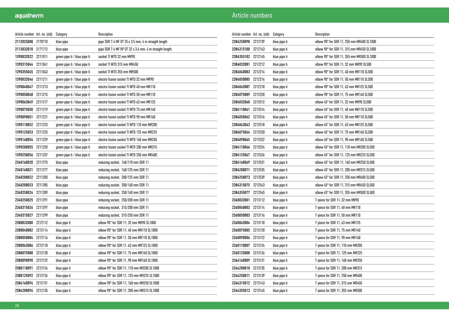| Article number Art. no. (old) |         | Category                     | Description                                            |
|-------------------------------|---------|------------------------------|--------------------------------------------------------|
| 2112025008 2170710            |         | blue pipe                    | pipe SDR 7.4 MF OT 25 x 3.5 mm, 4 m straight length    |
| 2113032010 2171712            |         | blue pipe                    | pipe SDR 7.4 MF RP OT 32 x 3.6 mm, 4 m straight length |
| 1390032022 2211011            |         | green pipe ti / blue pipe ti | socket TI WTD 32 mm MR90                               |
| 1390315044 2211041            |         | green pipe ti / blue pipe ti | socket TI WTD 315 mm MR450                             |
| 1390355045 2211043            |         | green pipe ti / blue pipe ti | socket TI WTD 355 mm MR500                             |
| 1390032046 2211211            |         | green pipe ti / blue pipe ti | electro fusion socket TI WTD 32 mm MR90                |
| 1390040047                    | 2211213 | green pipe ti / blue pipe ti | electro fusion socket TI WTD 40 mm MR110               |
| 1390050048 2211215            |         | green pipe ti / blue pipe ti | electro fusion socket TI WTD 50 mm MR110               |
| 1390063049                    | 2211217 | green pipe ti / blue pipe ti | electro fusion socket TI WTD 63 mm MR125               |
| 1390075050 2211219            |         | green pipe ti / blue pipe ti | electro fusion socket TI WTD 75 mm MR140               |
| 1390090051 2211221            |         | green pipe ti / blue pipe ti | electro fusion socket TI WTD 90 mm MR160               |
| 1390110052 2211223            |         | green pipe ti / blue pipe ti | electro fusion socket TI WTD 110 mm MR200              |
| 1390125053                    | 2211225 | green pipe ti / blue pipe ti | electro fusion socket TI WTD 125 mm MR225              |
| 1390160054 2211229            |         | green pipe ti / blue pipe ti | electro fusion socket TI WTD 160 mm MR250              |
| 1390200055 2211233            |         | green pipe ti / blue pipe ti | electro fusion socket TI WTD 200 mm MR315              |
| 1390250056 2211237            |         | green pipe ti / blue pipe ti | electro fusion socket TI WTD 250 mm MR400              |
| 2340160020 2211275            |         | blue pipe                    | reducing socket, 160/110 mm SDR 11                     |
| 2340160021                    | 2211277 | blue pipe                    | reducing socket, 160/125 mm SDR 11                     |
| 2340200022 2211283            |         | blue pipe                    | reducing socket, 200/125 mm SDR 11                     |
| 2340200023 2211285            |         | blue pipe                    | reducing socket, 200/160 mm SDR 11                     |
| 2340250024 2211289            |         | blue pipe                    | reducing socket, 250/160 mm SDR 11                     |
| 2340250025 2211291            |         | blue pipe                    | reducing socket, 250/200 mm SDR 11                     |
| 2340315026 2211297            |         | blue pipe                    | reducing socket, 315/200 mm SDR 11                     |
| 2340315027                    | 2211299 | blue pipe                    | reducing socket, 315/250 mm SDR 11                     |
| 2380032080                    | 2212112 | blue pipe ti                 | elbow 90° for SDR 11, 32 mm MR90 SL1000                |
| 2380040082 2212114            |         | blue pipe ti                 | elbow 90° for SDR 11, 40 mm MR110 SL1000               |
| 2380050084 2212116            |         | blue pipe ti                 | elbow 90° for SDR 11, 50 mm MR110 SL1000               |
| 2380063086 2212118            |         | blue pipe ti                 | elbow 90° for SDR 11, 63 mm MR125 SL1000               |
| 2380075088 2212120            |         | blue pipe ti                 | elbow 90° for SDR 11, 75 mm MR140 SL1000               |
| 2380090090 2212122            |         | blue pipe ti                 | elbow 90° for SDR 11, 90 mm MR160 SL1000               |
| 2380110091                    | 2212124 | blue pipe ti                 | elbow 90° for SDR 11, 110 mm MR200 SL1000              |
| 2380125092 2212126            |         | blue pipe ti                 | elbow 90° for SDR 11, 125 mm MR225 SL1000              |
| 2384160094 2212131            |         | blue pipe ti                 | elbow 90° for SDR 11, 160 mm MR250 SL1000              |
| 2384200096 2212135            |         | blue pipe ti                 | elbow 90° for SDR 11, 200 mm MR315 SL1000              |

| Article number Art. no. (old) |         | Category     | Description                               |
|-------------------------------|---------|--------------|-------------------------------------------|
| 2384250098                    | 2212139 | blue pipe ti | elbow 90° for SDR 11, 250 mm MR400 SL1000 |
| 2384315100                    | 2212143 | blue pipe ti | elbow 90° for SDR 11, 315 mm MR450 SL1000 |
| 2384355102                    | 2212145 | blue pipe ti | elbow 90° for SDR 11, 355 mm MR500 SL1000 |
| 2384032081                    | 2212212 | blue pipe ti | elbow 90° for SDR 11, 32 mm MR90 SL500    |
| 2384040083                    | 2212214 | blue pipe ti | elbow 90° for SDR 11, 40 mm MR110 SL500   |
| 2384050085                    | 2212216 | blue pipe ti | elbow 90° for SDR 11, 50 mm MR110 SL500   |
| 2384063087                    | 2212218 | blue pipe ti | elbow 90° for SDR 11, 63 mm MR125 SL500   |
| 2384075089                    | 2212220 | blue pipe ti | elbow 90° for SDR 11, 75 mm MR140 SL500   |
| 2384032060                    | 2212512 | blue pipe ti | elbow 45° for SDR 11, 32 mm MR90 SL500    |
| 2384110061                    | 2212514 | blue pipe ti | elbow 45° for SDR 11, 40 mm MR110 SL500   |
| 2384050062 2212516            |         | blue pipe ti | elbow 45° for SDR 11, 50 mm MR110 SL500   |
| 2384063063                    | 2212518 | blue pipe ti | elbow 45° for SDR 11, 63 mm MR125 SL500   |
| 2384075064                    | 2212520 | blue pipe ti | elbow 45° for SDR 11, 75 mm MR140 SL500   |
| 2384090065                    | 2212522 | blue pipe ti | elbow 45° for SDR 11, 90 mm MR160 SL500   |
| 2384110066                    | 2212524 | blue pipe ti | elbow 45° for SDR 11, 110 mm MR200 SL500  |
| 2384125067                    | 2212526 | blue pipe ti | elbow 45° for SDR 11, 125 mm MR225 SL500  |
| 2384160069                    | 2212531 | blue pipe ti | elbow 45° for SDR 11, 160 mm MR250 SL500  |
| 2384200071                    | 2212535 | blue pipe ti | elbow 45° for SDR 11, 200 mm MR315 SL500  |
| 2384250073                    | 2212539 | blue pipe ti | elbow 45° for SDR 11, 250 mm MR400 SL500  |
| 2384315075                    | 2212543 | blue pipe ti | elbow 45° for SDR 11, 315 mm MR450 SL500  |
| 2384355077                    | 2212545 | blue pipe ti | elbow 45° for SDR 11, 355 mm MR500 SL500  |
| 2360032001                    | 2213112 | blue pipe ti | T-piece for SDR 11, 32 mm MR90            |
| 2360040002                    | 2213114 | blue pipe ti | T-piece for SDR 11, 40 mm MR110           |
| 2360050003                    | 2213116 | blue pipe ti | T-piece for SDR 11, 50 mm MR110           |
| 2360063004                    | 2213118 | blue pipe ti | T-piece for SDR 11, 63 mm MR125           |
| 2360075005                    | 2213120 | blue pipe ti | T-piece for SDR 11, 75 mm MR140           |
| 2360090006                    | 2213122 | blue pipe ti | T-piece for SDR 11, 90 mm MR160           |
| 2360110007                    | 2213124 | blue pipe ti | T-piece for SDR 11, 110 mm MR200          |
| 2360125008                    | 2213126 | blue pipe ti | T-piece for SDR 11, 125 mm MR225          |
| 2364160009                    | 2213131 | blue pipe ti | T-piece for SDR 11, 160 mm MR250          |
| 2364200010                    | 2213135 | blue pipe ti | T-piece for SDR 11, 200 mm MR315          |
| 2364250011                    | 2213139 | blue pipe ti | T-piece for SDR 11, 250 mm MR400          |
| 2364315012                    | 2213143 | blue pipe ti | T-piece for SDR 11, 315 mm MR450          |
| 2364355013 2213145            |         | blue pipe ti | T-piece for SDR 11, 355 mm MR500          |
|                               |         |              |                                           |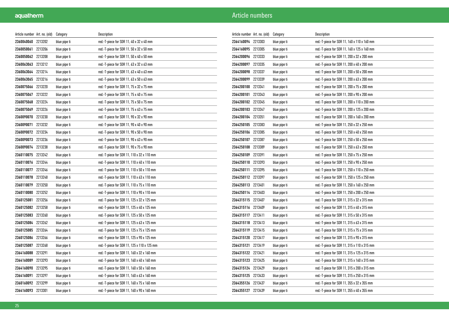| Article number Art. no. (old) |         | Category     | Description                                 |
|-------------------------------|---------|--------------|---------------------------------------------|
| 2360040060                    | 2213202 | blue pipe ti | red.-T-piece for SDR 11, 40 x 32 x 40 mm    |
| 2360050061                    | 2213206 | blue pipe ti | red.-T-piece for SDR 11, 50 x 32 x 50 mm    |
| 2360050062 2213208            |         | blue pipe ti | red.-T-piece for SDR 11, 50 x 40 x 50 mm    |
| 2360063063                    | 2213212 | blue pipe ti | red.-T-piece for SDR 11, 63 x 32 x 63 mm    |
| 2360063064 2213214            |         | blue pipe ti | red.-T-piece for SDR 11, 63 x 40 x 63 mm    |
| 2360063065                    | 2213216 | blue pipe ti | red.-T-piece for SDR 11, 63 x 50 x 63 mm    |
| 2360075066                    | 2213220 | blue pipe ti | red.-T-piece for SDR 11, 75 x 32 x 75 mm    |
| 2360075067                    | 2213222 | blue pipe ti | red.-T-piece for SDR 11, 75 x 40 x 75 mm    |
| 2360075068                    | 2213224 | blue pipe ti | red.-T-piece for SDR 11, 75 x 50 x 75 mm    |
| 2360075069                    | 2213226 | blue pipe ti | red.-T-piece for SDR 11, 75 x 63 x 75 mm    |
| 2360090070                    | 2213230 | blue pipe ti | red.-T-piece for SDR 11, 90 x 32 x 90 mm    |
| 2360090071                    | 2213232 | blue pipe ti | red.-T-piece for SDR 11, 90 x 40 x 90 mm    |
| 2360090072                    | 2213234 | blue pipe ti | red.-T-piece for SDR 11, 90 x 50 x 90 mm    |
| 2360090073 2213236            |         | blue pipe ti | red.-T-piece for SDR 11, 90 x 63 x 90 mm    |
| 2360090074 2213238            |         | blue pipe ti | red.-T-piece for SDR 11, 90 x 75 x 90 mm    |
| 2360110075 2213242            |         | blue pipe ti | red.-T-piece for SDR 11, 110 x 32 x 110 mm  |
| 2360110076 2213244            |         | blue pipe ti | red.-T-piece for SDR 11, 110 x 40 x 110 mm  |
| 2360110077                    | 2213246 | blue pipe ti | red.-T-piece for SDR 11, 110 x 50 x 110 mm  |
| 2360110078                    | 2213248 | blue pipe ti | red.-T-piece for SDR 11, 110 x 63 x 110 mm  |
| 2360110079                    | 2213250 | blue pipe ti | red.-T-piece for SDR 11, 110 x 75 x 110 mm  |
| 2360110080                    | 2213252 | blue pipe ti | red.-T-piece for SDR 11, 110 x 90 x 110 mm  |
| 2360125081                    | 2213256 | blue pipe ti | red.-T-piece for SDR 11, 125 x 32 x 125 mm  |
| 2360125082 2213258            |         | blue pipe ti | red.-T-piece for SDR 11, 125 x 40 x 125 mm  |
| 2360125083                    | 2213260 | blue pipe ti | red.-T-piece for SDR 11, 125 x 50 x 125 mm  |
| 2360125084                    | 2213262 | blue pipe ti | red.-T-piece for SDR 11, 125 x 63 x 125 mm  |
| 2360125085                    | 2213264 | blue pipe ti | red.-T-piece for SDR 11, 125 x 75 x 125 mm  |
| 2360125086 2213266            |         | blue pipe ti | red.-T-piece for SDR 11, 125 x 90 x 125 mm  |
| 2360125087 2213268            |         | blue pipe ti | red.-T-piece for SDR 11, 125 x 110 x 125 mm |
| 2364160088                    | 2213291 | blue pipe ti | red.-T-piece for SDR 11, 160 x 32 x 160 mm  |
| 2364160089                    | 2213293 | blue pipe ti | red.-T-piece for SDR 11, 160 x 40 x 160 mm  |
| 2364160090                    | 2213295 | blue pipe ti | red.-T-piece for SDR 11, 160 x 50 x 160 mm  |
| 2364160091                    | 2213297 | blue pipe ti | red.-T-piece for SDR 11, 160 x 63 x 160 mm  |
| 2360160092 2213299            |         | blue pipe ti | red.-T-piece for SDR 11, 160 x 75 x 160 mm  |
| 2364160093                    | 2213301 | blue pipe ti | red.-T-piece for SDR 11, 160 x 90 x 160 mm  |

| Article number Art. no. (old) | Category     | Description                                 |
|-------------------------------|--------------|---------------------------------------------|
| 2213303                       | blue pipe ti | red.-T-piece for SDR 11, 160 x 110 x 160 mm |
| 2364160095 2213305            | blue pipe ti | red.-T-piece for SDR 11, 160 x 125 x 160 mm |
| 2364200096 2213333            | blue pipe ti | red.-T-piece for SDR 11, 200 x 32 x 200 mm  |
| 2364200097 2213335            | blue pipe ti | red.-T-piece for SDR 11, 200 x 40 x 200 mm  |
| 2213337<br>2364200098         | blue pipe ti | red.-T-piece for SDR 11, 200 x 50 x 200 mm  |
| 2364200099<br>2213339         | blue pipe ti | red.-T-piece for SDR 11, 200 x 63 x 200 mm  |
| 2213341                       | blue pipe ti | red.-T-piece for SDR 11, 200 x 75 x 200 mm  |
| 2213343                       | blue pipe ti | red.-T-piece for SDR 11, 200 x 90 x 200 mm  |
| 2364200102 2213345            | blue pipe ti | red.-T-piece for SDR 11, 200 x 110 x 200 mm |
| 2364200103<br>2213347         | blue pipe ti | red.-T-piece for SDR 11, 200 x 125 x 200 mm |
| 2364200104 2213351            | blue pipe ti | red.-T-piece for SDR 11, 200 x 160 x 200 mm |
| 2364250105 2213383            | blue pipe ti | red.-T-piece for SDR 11, 250 x 32 x 250 mm  |
| 2213385                       | blue pipe ti | red.-T-piece for SDR 11, 250 x 40 x 250 mm  |
| 2213387                       | blue pipe ti | red.-T-piece for SDR 11, 250 x 50 x 250 mm  |
| 2213389                       | blue pipe ti | red.-T-piece for SDR 11, 250 x 63 x 250 mm  |
| 2364250109<br>2213391         | blue pipe ti | red.-T-piece for SDR 11, 250 x 75 x 250 mm  |
| 2364250110 2213393            | blue pipe ti | red.-T-piece for SDR 11, 250 x 90 x 250 mm  |
| 2213395<br>2364250111         | blue pipe ti | red.-T-piece for SDR 11, 250 x 110 x 250 mm |
| 2364250112 2213397            | blue pipe ti | red.-T-piece for SDR 11, 250 x 125 x 250 mm |
| 2213401                       | blue pipe ti | red.-T-piece for SDR 11, 250 x 160 x 250 mm |
| 2364250114 2213403            | blue pipe ti | red.-T-piece for SDR 11, 250 x 200 x 250 mm |
| 2364315115<br>2213407         | blue pipe ti | red.-T-piece for SDR 11, 315 x 32 x 315 mm  |
| 2364315116 2213409            | blue pipe ti | red.-T-piece for SDR 11, 315 x 40 x 315 mm  |
| 2364315117 2213411            | blue pipe ti | red.-T-piece for SDR 11, 315 x 50 x 315 mm  |
| 2213413                       | blue pipe ti | red.-T-piece for SDR 11, 315 x 63 x 315 mm  |
| 2213415<br>2364315119         | blue pipe ti | red.-T-piece for SDR 11, 315 x 75 x 315 mm  |
| 2213417                       | blue pipe ti | red.-T-piece for SDR 11, 315 x 90 x 315 mm  |
| 2364315121<br>2213419         | blue pipe ti | red.-T-piece for SDR 11, 315 x 110 x 315 mm |
| 2364315122 2213421            | blue pipe ti | red.-T-piece for SDR 11, 315 x 125 x 315 mm |
| 2364315123 2213425            | blue pipe ti | red.-T-piece for SDR 11, 315 x 160 x 315 mm |
| 2364315124 2213429            | blue pipe ti | red.-T-piece for SDR 11, 315 x 200 x 315 mm |
| 2364315125 2213433            | blue pipe ti | red.-T-piece for SDR 11, 315 x 250 x 315 mm |
| 2364355126 2213437            | blue pipe ti | red.-T-piece for SDR 11, 355 x 32 x 355 mm  |
| 2364355127<br>2213439         | blue pipe ti | red.-T-piece for SDR 11, 355 x 40 x 355 mm  |
|                               |              |                                             |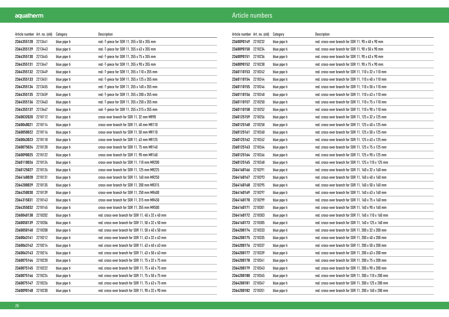| Article number Art. no. (old) |         | Category     | Description                                        |
|-------------------------------|---------|--------------|----------------------------------------------------|
| 2364355128 2213441            |         | blue pipe ti | red.-T-piece for SDR 11, 355 x 50 x 355 mm         |
| 2364355129 2213443            |         | blue pipe ti | red.-T-piece for SDR 11, 355 x 63 x 355 mm         |
| 2364355130 2213445            |         | blue pipe ti | red.-T-piece for SDR 11, 355 x 75 x 355 mm         |
| 2364355131 2213447            |         | blue pipe ti | red.-T-piece for SDR 11, 355 x 90 x 355 mm         |
| 2364355132 2213449            |         | blue pipe ti | red.-T-piece for SDR 11, 355 x 110 x 355 mm        |
| 2364355133 2213451            |         | blue pipe ti | red.-T-piece for SDR 11, 355 x 125 x 355 mm        |
| 2364355134 2213455            |         | blue pipe ti | red.-T-piece for SDR 11, 355 x 160 x 355 mm        |
| 2364355135 2213459            |         | blue pipe ti | red.-T-piece for SDR 11, 355 x 200 x 355 mm        |
| 2364355136 2213463            |         | blue pipe ti | red.-T-piece for SDR 11, 355 x 250 x 355 mm        |
| 2364355137 2213467            |         | blue pipe ti | red.-T-piece for SDR 11, 355 x 315 x 355 mm        |
| 2360032020 2218112            |         | blue pipe ti | cross-over branch for SDR 11, 32 mm MR90           |
| 2360040021                    | 2218114 | blue pipe ti | cross-over branch for SDR 11, 40 mm MR110          |
| 2360050022 2218116            |         | blue pipe ti | cross-over branch for SDR 11, 50 mm MR110          |
| 2360063023 2218118            |         | blue pipe ti | cross-over branch for SDR 11, 63 mm MR125          |
| 2360075024 2218120            |         | blue pipe ti | cross-over branch for SDR 11, 75 mm MR140          |
| 2360090025 2218122            |         | blue pipe ti | cross-over branch for SDR 11, 90 mm MR160          |
| 2360110026 2218124            |         | blue pipe ti | cross-over branch for SDR 11, 110 mm MR200         |
| 2360125027 2218126            |         | blue pipe ti | cross-over branch for SDR 11, 125 mm MR225         |
| 2364160028                    | 2218131 | blue pipe ti | cross-over branch for SDR 11, 160 mm MR250         |
| 2364200029                    | 2218135 | blue pipe ti | cross-over branch for SDR 11, 200 mm MR315         |
| 2364250030 2218139            |         | blue pipe ti | cross-over branch for SDR 11, 250 mm MR400         |
| 2364315031 2218143            |         | blue pipe ti | cross-over branch for SDR 11, 315 mm MR450         |
| 2364355032 2218145            |         | blue pipe ti | cross-over branch for SDR 11, 355 mm MR500         |
| 2360040138 2218202            |         | blue pipe ti | red. cross-over branch for SDR 11, 40 x 32 x 40 mm |
| 2360050139                    | 2218206 | blue pipe ti | red. cross-over branch for SDR 11, 50 x 32 x 50 mm |
| 2360050140                    | 2218208 | blue pipe ti | red. cross-over branch for SDR 11, 50 x 40 x 50 mm |
| 2360063141 2218212            |         | blue pipe ti | red. cross-over branch for SDR 11, 63 x 32 x 63 mm |
| 2360063142 2218214            |         | blue pipe ti | red. cross-over branch for SDR 11, 63 x 40 x 63 mm |
| 2360063143 2218216            |         | blue pipe ti | red. cross-over branch for SDR 11, 63 x 50 x 63 mm |
| 2360075144 2218220            |         | blue pipe ti | red. cross-over branch for SDR 11, 75 x 32 x 75 mm |
| 2360075145 2218222            |         | blue pipe ti | red. cross-over branch for SDR 11, 75 x 40 x 75 mm |
| 2360075146 2218224            |         | blue pipe ti | red. cross-over branch for SDR 11, 75 x 50 x 75 mm |
| 2360075147 2218226            |         | blue pipe ti | red. cross-over branch for SDR 11, 75 x 63 x 75 mm |
| 2360090148 2218230            |         | blue pipe ti | red. cross-over branch for SDR 11, 90 x 32 x 90 mm |

| Article number Art. no. (old) |         | Category     | Description                                           |
|-------------------------------|---------|--------------|-------------------------------------------------------|
| 2360090149                    | 2218232 | blue pipe ti | red. cross-over branch for SDR 11, 90 x 40 x 90 mm    |
| 2360090150                    | 2218234 | blue pipe ti | red. cross-over branch for SDR 11, 90 x 50 x 90 mm    |
| 2360090151                    | 2218236 | blue pipe ti | red. cross-over branch for SDR 11, 90 x 63 x 90 mm    |
| 2360090152 2218238            |         | blue pipe ti | red. cross-over branch for SDR 11, 90 x 75 x 90 mm    |
| 2360110153 2218242            |         | blue pipe ti | red. cross-over branch for SDR 11, 110 x 32 x 110 mm  |
| 2360110154                    | 2218244 | blue pipe ti | red. cross-over branch for SDR 11, 110 x 40 x 110 mm  |
| 2360110155 2218246            |         | blue pipe ti | red. cross-over branch for SDR 11, 110 x 50 x 110 mm  |
| 2360110156                    | 2218248 | blue pipe ti | red. cross-over branch for SDR 11, 110 x 63 x 110 mm  |
| 2360110157                    | 2218250 | blue pipe ti | red. cross-over branch for SDR 11. 110 x 75 x 110 mm  |
| 2360110158                    | 2218252 | blue pipe ti | red. cross-over branch for SDR 11, 110 x 90 x 110 mm  |
| 2360125159 2218256            |         | blue pipe ti | red. cross-over branch for SDR 11, 125 x 32 x 125 mm  |
| 2360125160                    | 2218258 | blue pipe ti | red. cross-over branch for SDR 11, 125 x 40 x 125 mm  |
| 2360125161                    | 2218260 | blue pipe ti | red. cross-over branch for SDR 11, 125 x 50 x 125 mm  |
| 2360125162 2218262            |         | blue pipe ti | red. cross-over branch for SDR 11, 125 x 63 x 125 mm  |
| 2360125163                    | 2218264 | blue pipe ti | red. cross-over branch for SDR 11, 125 x 75 x 125 mm  |
| 2360125164                    | 2218266 | blue pipe ti | red. cross-over branch for SDR 11, 125 x 90 x 125 mm  |
| 2360125165 2218268            |         | blue pipe ti | red. cross-over branch for SDR 11, 125 x 110 x 125 mm |
| 2364160166 2218291            |         | blue pipe ti | red. cross-over branch for SDR 11, 160 x 32 x 160 mm  |
| 2364160167                    | 2218293 | blue pipe ti | red. cross-over branch for SDR 11, 160 x 40 x 160 mm  |
| 2364160168 2218295            |         | blue pipe ti | red. cross-over branch for SDR 11, 160 x 50 x 160 mm  |
| 2364160169                    | 2218297 | blue pipe ti | red. cross-over branch for SDR 11, 160 x 63 x 160 mm  |
| 2364160170                    | 2218299 | blue pipe ti | red. cross-over branch for SDR 11, 160 x 75 x 160 mm  |
| 2364160171                    | 2218301 | blue pipe ti | red. cross-over branch for SDR 11, 160 x 90 x 160 mm  |
| 2364160172 2218303            |         | blue pipe ti | red. cross-over branch for SDR 11, 160 x 110 x 160 mm |
| 2364160173 2218305            |         | blue pipe ti | red. cross-over branch for SDR 11, 160 x 125 x 160 mm |
| 2364200174                    | 2218333 | blue pipe ti | red. cross-over branch for SDR 11, 200 x 32 x 200 mm  |
| 2364200175 2218335            |         | blue pipe ti | red. cross-over branch for SDR 11, 200 x 40 x 200 mm  |
| 2364200176                    | 2218337 | blue pipe ti | red. cross-over branch for SDR 11, 200 x 50 x 200 mm  |
| 2364200177                    | 2218339 | blue pipe ti | red. cross-over branch for SDR 11, 200 x 63 x 200 mm  |
| 2364200178                    | 2218341 | blue pipe ti | red. cross-over branch for SDR 11, 200 x 75 x 200 mm  |
| 2364200179                    | 2218343 | blue pipe ti | red. cross-over branch for SDR 11, 200 x 90 x 200 mm  |
| 2364200180 2218345            |         | blue pipe ti | red. cross-over branch for SDR 11, 200 x 110 x 200 mm |
| 2364200181                    | 2218347 | blue pipe ti | red. cross-over branch for SDR 11, 200 x 125 x 200 mm |
| 2364200182 2218351            |         | blue pipe ti | red. cross-over branch for SDR 11, 200 x 160 x 200 mm |
|                               |         |              |                                                       |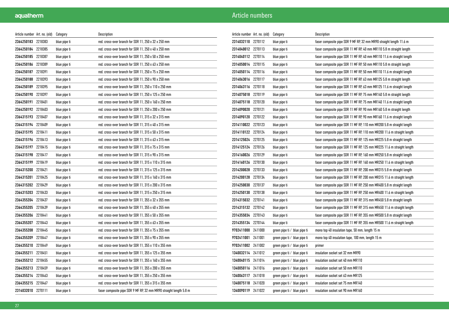| Article number Art. no. (old) |         | Category     | Description                                                        |
|-------------------------------|---------|--------------|--------------------------------------------------------------------|
| 2364250183 2218383            |         | blue pipe ti | red. cross-over branch for SDR 11, 250 x 32 x 250 mm               |
| 2364250184 2218385            |         | blue pipe ti | red. cross-over branch for SDR 11, 250 x 40 x 250 mm               |
| 2364250185 2218387            |         | blue pipe ti | red. cross-over branch for SDR 11, 250 x 50 x 250 mm               |
| 2364250186 2218389            |         | blue pipe ti | red. cross-over branch for SDR 11, 250 x 63 x 250 mm               |
| 2364250187 2218391            |         | blue pipe ti | red. cross-over branch for SDR 11, 250 x 75 x 250 mm               |
| 2364250188                    | 2218393 | blue pipe ti | red. cross-over branch for SDR 11, 250 x 90 x 250 mm               |
| 2364250189                    | 2218395 | blue pipe ti | red. cross-over branch for SDR 11, 250 x 110 x 250 mm              |
| 2364250190                    | 2218397 | blue pipe ti | red. cross-over branch for SDR 11, 250 x 125 x 250 mm              |
| 2364250191                    | 2218401 | blue pipe ti | red. cross-over branch for SDR 11, 250 x 160 x 250 mm              |
| 2364250192 2218403            |         | blue pipe ti | red. cross-over branch for SDR 11, 250 x 200 x 250 mm              |
| 2364315193 2218407            |         | blue pipe ti | red. cross-over branch for SDR 11, 315 x 32 x 315 mm               |
| 2364315194 2218409            |         | blue pipe ti | red. cross-over branch for SDR 11, 315 x 40 x 315 mm               |
| 2364315195 2218411            |         | blue pipe ti | red. cross-over branch for SDR 11, 315 x 50 x 315 mm               |
| 2364315196 2218413            |         | blue pipe ti | red. cross-over branch for SDR 11, 315 x 63 x 315 mm               |
| 2364315197 2218415            |         | blue pipe ti | red. cross-over branch for SDR 11, 315 x 75 x 315 mm               |
| 2364315198 2218417            |         | blue pipe ti | red. cross-over branch for SDR 11, 315 x 90 x 315 mm               |
| 2364315199 2218419            |         | blue pipe ti | red. cross-over branch for SDR 11, 315 x 110 x 315 mm              |
| 2364315200 2218421            |         | blue pipe ti | red. cross-over branch for SDR 11, 315 x 125 x 315 mm              |
| 2364315201                    | 2218425 | blue pipe ti | red. cross-over branch for SDR 11, 315 x 160 x 315 mm              |
| 2364315202 2218429            |         | blue pipe ti | red. cross-over branch for SDR 11, 315 x 200 x 315 mm              |
| 2364315203 2218433            |         | blue pipe ti | red. cross-over branch for SDR 11, 315 x 250 x 315 mm              |
| 2364355204 2218437            |         | blue pipe ti | red. cross-over branch for SDR 11, 355 x 32 x 355 mm               |
| 2364355205                    | 2218439 | blue pipe ti | red. cross-over branch for SDR 11, 355 x 40 x 355 mm               |
| 2364355206 2218441            |         | blue pipe ti | red. cross-over branch for SDR 11, 355 x 50 x 355 mm               |
| 2364355207                    | 2218443 | blue pipe ti | red. cross-over branch for SDR 11, 355 x 63 x 355 mm               |
| 2364355208                    | 2218445 | blue pipe ti | red. cross-over branch for SDR 11, 355 x 75 x 355 mm               |
| 2364355209 2218447            |         | blue pipe ti | red. cross-over branch for SDR 11, 355 x 90 x 355 mm               |
| 2364355210 2218449            |         | blue pipe ti | red. cross-over branch for SDR 11, 355 x 110 x 355 mm              |
| 2364355211 2218451            |         | blue pipe ti | red. cross-over branch for SDR 11, 355 x 125 x 355 mm              |
| 2364355212 2218455            |         | blue pipe ti | red. cross-over branch for SDR 11, 355 x 160 x 355 mm              |
| 2364355213 2218459            |         | blue pipe ti | red. cross-over branch for SDR 11, 355 x 200 x 355 mm              |
| 2364355214 2218463            |         | blue pipe ti | red. cross-over branch for SDR 11, 355 x 250 x 355 mm              |
| 2364355215 2218467            |         | blue pipe ti | red. cross-over branch for SDR 11, 355 x 315 x 355 mm              |
| 2314032010 2270111            |         | blue pipe ti | faser composite pipe SDR 9 MF RP, 32 mm MR90 straight length 5.8 m |

| Article number Art. no. (old) |         | Category                     | Description                                                            |
|-------------------------------|---------|------------------------------|------------------------------------------------------------------------|
| 2314032110 2270112            |         | blue pipe ti                 | faser composite pipe SDR 9 MF RP, 32 mm MR90 straight length 11.6 m    |
| 2314040012                    | 2270113 | blue pipe ti                 | faser composite pipe SDR 11 MF RP, 40 mm MR110 5.8 m straight length   |
| 2314040112 2270114            |         | blue pipe ti                 | faser composite pipe SDR 11 MF RP, 40 mm MR110 11.6 m straight length  |
| 2314050014 2270115            |         | blue pipe ti                 | faser composite pipe SDR 11 MF RP, 50 mm MR110 5.8 m straight length   |
| 2314050114 2270116            |         | blue pipe ti                 | faser composite pipe SDR 11 MF RP, 50 mm MR110 11.6 m straight length  |
| 2314063016                    | 2270117 | blue pipe ti                 | faser composite pipe SDR 11 MF RP, 63 mm MR125 5.8 m straight length   |
| 2314063116 2270118            |         | blue pipe ti                 | faser composite pipe SDR 11 MF RP, 63 mm MR125 11.6 m straight length  |
| 2314075018                    | 2270119 | blue pipe ti                 | faser composite pipe SDR 11 MF RP, 75 mm MR140 5.8 m straight length   |
| 2314075118                    | 2270120 | blue pipe ti                 | faser composite pipe SDR 11 MF RP, 75 mm MR140 11.6 m straight length  |
| 2314090020                    | 2270121 | blue pipe ti                 | faser composite pipe SDR 11 MF RP, 90 mm MR160 5.8 m straight length   |
| 2314090120                    | 2270122 | blue pipe ti                 | faser composite pipe SDR 11 MF RP, 90 mm MR160 11.6 m straight length  |
| 2314110022 2270123            |         | blue pipe ti                 | faser composite pipe SDR 11 MF RP, 110 mm MR200 5.8 m straight length  |
| 2314110122 2270124            |         | blue pipe ti                 | faser composite pipe SDR 11 MF RP, 110 mm MR200 11.6 m straight length |
| 2314125024                    | 2270125 | blue pipe ti                 | faser composite pipe SDR 11 MF RP, 125 mm MR225 5.8 m straight length  |
| 2314125124                    | 2270126 | blue pipe ti                 | faser composite pipe SDR 11 MF RP, 125 mm MR225 11.6 m straight length |
| 2314160026                    | 2270129 | blue pipe ti                 | faser composite pipe SDR 11 MF RP, 160 mm MR250 5.8 m straight length  |
| 2314160126 2270130            |         | blue pipe ti                 | faser composite pipe SDR 11 MF RP, 160 mm MR250 11.6 m straight length |
| 2314200028                    | 2270133 | blue pipe ti                 | faser composite pipe SDR 11 MF RP, 200 mm MR315 5.8 m straight length  |
| 2314200128 2270134            |         | blue pipe ti                 | faser composite pipe SDR 11 MF RP, 200 mm MR315 11.6 m straight length |
| 2314250030                    | 2270137 | blue pipe ti                 | faser composite pipe SDR 11 MF RP, 250 mm MR400 5.8 m straight length  |
| 2314250130                    | 2270138 | blue pipe ti                 | faser composite pipe SDR 11 MF RP, 250 mm MR400 11.6 m straight length |
| 2314315032                    | 2270141 | blue pipe ti                 | faser composite pipe SDR 11 MF RP, 315 mm MR450 5.8 m straight length  |
| 2314315132                    | 2270142 | blue pipe ti                 | faser composite pipe SDR 11 MF RP, 315 mm MR450 11.6 m straight length |
| 2314355034                    | 2270143 | blue pipe ti                 | faser composite pipe SDR 11 MF RP, 355 mm MR500 5.8 m straight length  |
| 2314355134                    | 2270144 | blue pipe ti                 | faser composite pipe SDR 11 MF RP, 355 mm MR500 11.6 m straight length |
| 9702411000                    | 2411000 | green pipe ti / blue pipe ti | mono top 40 insulation tape, 50 mm, length 15 m                        |
| 9702411001                    | 2411001 | green pipe ti ∕blue pipe ti  | mono top 40 insulation tape, 100 mm, length 15 m                       |
| 9702411002                    | 2411002 | green pipe ti / blue pipe ti | primer                                                                 |
| 1340032114                    | 2411012 | green pipe ti / blue pipe ti | insulation socket set 32 mm MR90                                       |
| 1340040115                    | 2411014 | green pipe ti / blue pipe ti | insulation socket set 40 mm MR110                                      |
| 1340050116                    | 2411016 | green pipe ti∕ blue pipe ti  | insulation socket set 50 mm MR110                                      |
| 1340063117                    | 2411018 | green pipe ti / blue pipe ti | insulation socket set 63 mm MR125                                      |
| 1340075118                    | 2411020 | green pipe ti / blue pipe ti | insulation socket set 75 mm MR140                                      |
| 1340090119                    | 2411022 | green pipe ti∕ blue pipe ti  | insulation socket set 90 mm MR160                                      |
|                               |         |                              |                                                                        |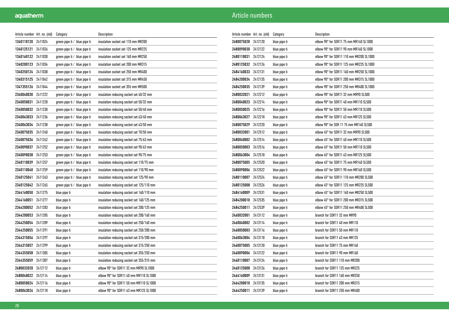| Article number   Art. no. (old) |         | Category                            | Description                               |
|---------------------------------|---------|-------------------------------------|-------------------------------------------|
| 1340110120                      | 2411024 | green pipe ti $\prime$ blue pipe ti | insulation socket set 110 mm MR200        |
| 1340125121                      | 2411026 | green pipe ti ∕blue pipe ti         | insulation socket set 125 mm MR225        |
| 1340160122 2411030              |         | green pipe ti / blue pipe ti        | insulation socket set 160 mm MR250        |
| 1340200123                      | 2411034 | green pipe ti ∕ blue pipe ti        | insulation socket set 200 mm MR315        |
| 1340250124 2411038              |         | green pipe ti / blue pipe ti        | insulation socket set 250 mm MR400        |
| 1340315125 2411042              |         | green pipe ti / blue pipe ti        | insulation socket set 315 mm MR450        |
| 1347355126                      | 2411044 | green pipe ti ∕ blue pipe ti        | insulation socket set 355 mm MR500        |
| 2340040030                      | 2411222 | green pipe ti / blue pipe ti        | insulation reducing socket set 40/32 mm   |
| 2340050031                      | 2411228 | green pipe ti $\prime$ blue pipe ti | insulation reducing socket set 50/32 mm   |
| 2340050032                      | 2411230 | green pipe ti / blue pipe ti        | insulation reducing socket set 50/40 mm   |
| 2340063033                      | 2411236 | green pipe ti ∕blue pipe ti         | insulation reducing socket set 63/40 mm   |
| 2340063034                      | 2411238 | green pipe ti / blue pipe ti        | insulation reducing socket set 63/50 mm   |
| 2340075035                      | 2411240 | green pipe ti / blue pipe ti        | insulation reducing socket set 70/50 mm   |
| 2340075036                      | 2411242 | green pipe ti ∕ blue pipe ti        | insulation reducing socket set 75/63 mm   |
| 2340090037                      | 2411252 | green pipe ti / blue pipe ti        | insulation reducing socket set 90/63 mm   |
| 2340090038                      | 2411253 | green pipe ti / blue pipe ti        | insulation reducing socket set 90/75 mm   |
| 2340110039                      | 2411257 | green pipe ti ∕ blue pipe ti        | insulation reducing socket set 110/75 mm  |
| 2340110040                      | 2411259 | green pipe ti / blue pipe ti        | insulation reducing socket set 110/90 mm  |
| 2340125041                      | 2411263 | green pipe ti / blue pipe ti        | insulation reducing socket set 125/90 mm  |
| 2340125042                      | 2411265 | green pipe ti / blue pipe ti        | insulation reducing socket set 125/110 mm |
| 2344160050                      | 2411275 | blue pipe ti                        | insulation reducing socket set 160/110 mm |
| 2344160051                      | 2411277 | blue pipe ti                        | insulation reducing socket set 160/125 mm |
| 2344200052                      | 2411283 | blue pipe ti                        | insulation reducing socket set 200/125 mm |
| 2344200053                      | 2411285 | blue pipe ti                        | insulation reducing socket set 200/160 mm |
| 2344250054                      | 2411289 | blue pipe ti                        | insulation reducing socket set 250/160 mm |
| 2344250055                      | 2411291 | blue pipe ti                        | insulation reducing socket set 250/200 mm |
| 2344315056 2411297              |         | blue pipe ti                        | insulation reducing socket set 315/200 mm |
| 2344315057 2411299              |         | blue pipe ti                        | insulation reducing socket set 315/250 mm |
| 2344355058                      | 2411305 | blue pipe ti                        | insulation reducing socket set 355/250 mm |
| 2344355059                      | 2411307 | blue pipe ti                        | insulation reducing socket set 355/315 mm |
| 2480032020                      | 2412112 | blue pipe ti                        | elbow 90° for SDR11 32 mm MR90 SL1000     |
| 2480040022                      | 2412114 | blue pipe ti                        | elbow 90° for SDR11 40 mm MR110 SL1000    |
| 2480050024                      | 2412116 | blue pipe ti                        | elbow 90° for SDR11 50 mm MR110 SL1000    |
| 2480063026                      | 2412118 | blue pipe ti                        | elbow 90° for SDR11 63 mm MR125 SL1000    |

| Article number Art. no. (old) |         | Category     | Description                             |
|-------------------------------|---------|--------------|-----------------------------------------|
| 2480075028                    | 2412120 | blue pipe ti | elbow 90° for SDR11 75 mm MR140 SL1000  |
| 2480090030                    | 2412122 | blue pipe ti | elbow 90° for SDR11 90 mm MR160 SL1000  |
| 2480110031                    | 2412124 | blue pipe ti | elbow 90° for SDR11 110 mm MR200 SL1000 |
| 2480125032                    | 2412126 | blue pipe ti | elbow 90° for SDR11 125 mm MR225 SL1000 |
| 2484160033                    | 2412131 | blue pipe ti | elbow 90° for SDR11 160 mm MR250 SL1000 |
| 2484200034                    | 2412135 | blue pipe ti | elbow 90° for SDR11 200 mm MR315 SL1000 |
| 2484250035                    | 2412139 | blue pipe ti | elbow 90° for SDR11 250 mm MR400 SL1000 |
| 2480032021                    | 2412212 | blue pipe ti | elbow 90° for SDR11 32 mm MR90 SL500    |
| 2480040023                    | 2412214 | blue pipe ti | elbow 90° for SDR11 40 mm MR110 SL500   |
| 2480050025                    | 2412216 | blue pipe ti | elbow 90° for SDR11 50 mm MR110 SL500   |
| 2480063027                    | 2412218 | blue pipe ti | elbow 90° for SDR11 63 mm MR125 SL500   |
| 2480075029                    | 2412220 | blue pipe ti | elbow 90° for SDR 11 75 mm MR140 SL500  |
| 2480032001                    | 2412512 | blue pipe ti | elbow 45° for SDR11 32 mm MR90 SL500    |
| 2480040002                    | 2412514 | blue pipe ti | elbow 45° for SDR11 40 mm MR110 SL500   |
| 2480050003                    | 2412516 | blue pipe ti | elbow 45° for SDR11 50 mm MR110 SL500   |
| 2480063004                    | 2412518 | blue pipe ti | elbow 45° for SDR11 63 mm MR125 SL500   |
| 2480075005                    | 2412520 | blue pipe ti | elbow 45° for SDR11 75 mm MR140 SL500   |
| 2480090006                    | 2412522 | blue pipe ti | elbow 45° for SDR11 90 mm MR160 SL500   |
| 2480110007                    | 2412524 | blue pipe ti | elbow 45° for SDR11 110 mm MR200 SL500  |
| 2480125008                    | 2412526 | blue pipe ti | elbow 45° for SDR11 125 mm MR225 SL500  |
| 2484160009                    | 2412531 | blue pipe ti | elbow 45° for SDR11 160 mm MR250 SL500  |
| 2484200010                    | 2412535 | blue pipe ti | elbow 45° for SDR11 200 mm MR315 SL500  |
| 2484250011                    | 2412539 | blue pipe ti | elbow 45° for SDR11 250 mm MR400 SL500  |
| 2460032001                    | 2413112 | blue pipe ti | branch for SDR11 32 mm MR90             |
| 2460040002                    | 2413114 | blue pipe ti | branch for SDR11 40 mm MR110            |
| 2460050003                    | 2413116 | blue pipe ti | branch for SDR11 50 mm MR110            |
| 2460063004                    | 2413118 | blue pipe ti | branch for SDR11 63 mm MR125            |
| 2460075005                    | 2413120 | blue pipe ti | branch for SDR11 75 mm MR140            |
| 2460090006                    | 2413122 | blue pipe ti | branch for SDR11 90 mm MR160            |
| 2460110007                    | 2413124 | blue pipe ti | branch for SDR11 110 mm MR200           |
| 2460125008                    | 2413126 | blue pipe ti | branch for SDR11 125 mm MR225           |
| 2464160009                    | 2413131 | blue pipe ti | branch for SDR11 160 mm MR250           |
| 2464200010                    | 2413135 | blue pipe ti | branch for SDR11 200 mm MR315           |
| 2464250011                    | 2413139 | blue pipe ti | branch for SDR11 250 mm MR400           |
|                               |         |              |                                         |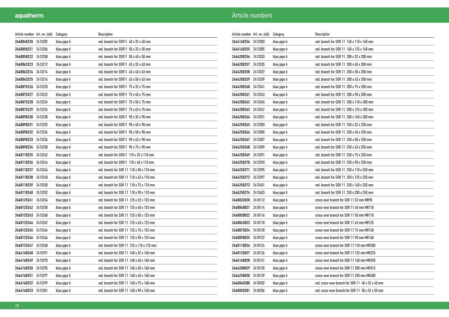| Article number Art. no. (old) |         | Category     | Description                               |
|-------------------------------|---------|--------------|-------------------------------------------|
| 2460040220 2413202            |         | blue pipe ti | red. branch for SDR11 40 x 32 x 40 mm     |
| 2460050221 2413206            |         | blue pipe ti | red. branch for SDR11 50 x 32 x 50 mm     |
| 2460050222 2413208            |         | blue pipe ti | red. branch for SDR11 50 x 40 x 50 mm     |
| 2460063223 2413212            |         | blue pipe ti | red. branch for SDR11 63 x 32 x 63 mm     |
| 2460063224 2413214            |         | blue pipe ti | red. branch for SDR11 63 x 40 x 63 mm     |
| 2460063225 2413216            |         | blue pipe ti | red. branch for SDR11 63 x 50 x 63 mm     |
| 2460075226                    | 2413220 | blue pipe ti | red. branch for SDR11 75 x 32 x 75 mm     |
| 2460075227 2413222            |         | blue pipe ti | red. branch for SDR11 75 x 40 x 75 mm     |
| 2460075228 2413224            |         | blue pipe ti | red. branch for SDR11 75 x 50 x 75 mm     |
| 2460075229                    | 2413226 | blue pipe ti | red. branch for SDR11 75 x 63 x 75 mm     |
| 2460090230                    | 2413230 | blue pipe ti | red. branch for SDR11 90 x 32 x 90 mm     |
| 2460090231                    | 2413232 | blue pipe ti | red. branch for SDR11 90 x 40 x 90 mm     |
| 2460090232                    | 2413234 | blue pipe ti | red. branch for SDR11 90 x 50 x 90 mm     |
| 2460090233 2413236            |         | blue pipe ti | red. branch for SDR11 90 x 63 x 90 mm     |
| 2460090234 2413238            |         | blue pipe ti | red. branch for SDR11 90 x 75 x 90 mm     |
| 2460110235 2413242            |         | blue pipe ti | red. branch for SDR11 110 x 32 x 110 mm   |
| 2460110236 2413244            |         | blue pipe ti | red. branch for SDR11 110 x 40 x 110 mm   |
| 2460110237                    | 2413246 | blue pipe ti | red. branch for SDR 11 110 x 50 x 110 mm  |
| 2460110238                    | 2413248 | blue pipe ti | red. branch for SDR 11 110 x 63 x 110 mm  |
| 2460110239                    | 2413250 | blue pipe ti | red. branch for SDR 11 110 x 75 x 110 mm  |
| 2460110240 2413252            |         | blue pipe ti | red. branch for SDR 11 110 x 90 x 110 mm  |
| 2460125241 2413256            |         | blue pipe ti | red. branch for SDR 11 125 x 32 x 125 mm  |
| 2460125242 2413258            |         | blue pipe ti | red. branch for SDR 11 125 x 40 x 125 mm  |
| 2460125243 2413260            |         | blue pipe ti | red. branch for SDR 11 125 x 50 x 125 mm  |
| 2460125244                    | 2413262 | blue pipe ti | red. branch for SDR 11 125 x 63 x 125 mm  |
| 2460125245                    | 2413264 | blue pipe ti | red. branch for SDR 11 125 x 75 x 125 mm  |
| 2460125246 2413266            |         | blue pipe ti | red. branch for SDR 11 125 x 90 x 125 mm  |
| 2460125247 2413268            |         | blue pipe ti | red. branch for SDR 11 125 x 110 x 125 mm |
| 2464160248 2413291            |         | blue pipe ti | red. branch for SDR 11 160 x 32 x 160 mm  |
| 2464160249                    | 2413293 | blue pipe ti | red. branch for SDR 11 160 x 40 x 160 mm  |
| 2464160250                    | 2413295 | blue pipe ti | red. branch for SDR 11 160 x 50 x 160 mm  |
| 2464160251                    | 2413297 | blue pipe ti | red. branch for SDR 11 160 x 63 x 160 mm  |
| 2464160252 2413299            |         | blue pipe ti | red. branch for SDR 11 160 x 75 x 160 mm  |
| 2464160253                    | 2413301 | blue pipe ti | red. branch for SDR 11 160 x 90 x 160 mm  |

| Article number Art. no. (old) |         | Category     | Description                                       |
|-------------------------------|---------|--------------|---------------------------------------------------|
| 2464160254                    | 2413303 | blue pipe ti | red. branch for SDR 11 160 x 110 x 160 mm         |
| 2464160255                    | 2413305 | blue pipe ti | red. branch for SDR 11 160 x 125 x 160 mm         |
| 2464200256                    | 2413333 | blue pipe ti | red. branch for SDR 11 200 x 32 x 200 mm          |
| 2464200257                    | 2413335 | blue pipe ti | red. branch for SDR 11 200 x 40 x 200 mm          |
| 2464200258 2413337            |         | blue pipe ti | red. branch for SDR 11 200 x 50 x 200 mm          |
| 2464200259                    | 2413339 | blue pipe ti | red. branch for SDR 11 200 x 63 x 200 mm          |
| 2464200260                    | 2413341 | blue pipe ti | red. branch for SDR 11 200 x 75 x 200 mm          |
| 2464200261                    | 2413343 | blue pipe ti | red. branch for SDR 11 200 x 90 x 200 mm          |
| 2464200262                    | 2413345 | blue pipe ti | red. branch for SDR 11 200 x 110 x 200 mm         |
| 2464200263                    | 2413347 | blue pipe ti | red. branch for SDR 11 200 x 125 x 200 mm         |
| 2464200264                    | 2413351 | blue pipe ti | red. branch for SDR 11 200 x 160 x 200 mm         |
| 2464250265                    | 2413383 | blue pipe ti | red. branch for SDR 11 250 x 32 x 250 mm          |
| 2464250266                    | 2413385 | blue pipe ti | red. branch for SDR 11 250 x 40 x 250 mm          |
| 2464250267                    | 2413387 | blue pipe ti | red. branch for SDR 11 250 x 50 x 250 mm          |
| 2464250268                    | 2413389 | blue pipe ti | red. branch for SDR 11 250 x 63 x 250 mm          |
| 2464250269                    | 2413391 | blue pipe ti | red. branch for SDR 11 250 x 75 x 250 mm          |
| 2464250270                    | 2413393 | blue pipe ti | red. branch for SDR 11 250 x 90 x 250 mm          |
| 2464250271                    | 2413395 | blue pipe ti | red. branch for SDR 11 250 x 110 x 250 mm         |
| 2464250272                    | 2413397 | blue pipe ti | red. branch for SDR 11 250 x 125 x 250 mm         |
| 2464250273 2413401            |         | blue pipe ti | red. branch for SDR 11 250 x 160 x 250 mm         |
| 2464250274                    | 2413403 | blue pipe ti | red. branch for SDR 11 250 x 200 x 250 mm         |
| 2460032020                    | 2418112 | blue pipe ti | cross-over branch for SDR 11 32 mm MR90           |
| 2460040021                    | 2418114 | blue pipe ti | cross-over branch for SDR 11 40 mm MR110          |
| 2460050022                    | 2418116 | blue pipe ti | cross-over branch for SDR 11 50 mm MR110          |
| 2460063023                    | 2418118 | blue pipe ti | cross-over branch for SDR 11 63 mm MR125          |
| 2460075024                    | 2418120 | blue pipe ti | cross-over branch for SDR 1175 mm MR140           |
| 2460090025 2418122            |         | blue pipe ti | cross-over branch for SDR 11 90 mm MR160          |
| 2460110026                    | 2418124 | blue pipe ti | cross-over branch for SDR 11 110 mm MR200         |
| 2460125027                    | 2418126 | blue pipe ti | cross-over branch for SDR 11 125 mm MR225         |
| 2464160028                    | 2418131 | blue pipe ti | cross-over branch for SDR 11 160 mm MR250         |
| 2464200029                    | 2418135 | blue pipe ti | cross-over branch for SDR 11 200 mm MR315         |
| 2464250030                    | 2418139 | blue pipe ti | cross-over branch for SDR 11 250 mm MR400         |
| 2460040280                    | 2418202 | blue pipe ti | red. cross-over branch for SDR 11 40 x 32 x 40 mm |
| 2460050281                    | 2418206 | blue pipe ti | red. cross-over branch for SDR 11 50 x 32 x 50 mm |
|                               |         |              |                                                   |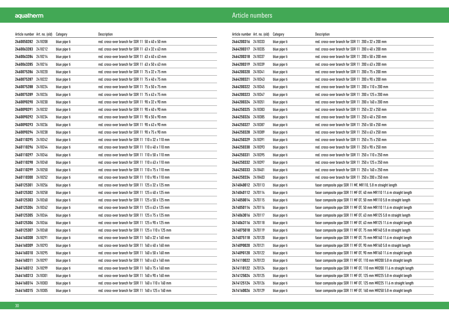| Article number Art. no. (old) |         | Category     | Description                                          |
|-------------------------------|---------|--------------|------------------------------------------------------|
| 2460050282 2418208            |         | blue pipe ti | red. cross-over branch for SDR 11 50 x 40 x 50 mm    |
| 2460063283                    | 2418212 | blue pipe ti | red. cross-over branch for SDR 11 63 x 32 x 63 mm    |
| 2460063284 2418214            |         | blue pipe ti | red. cross-over branch for SDR 11 63 x 40 x 63 mm    |
| 2460063285 2418216            |         | blue pipe ti | red. cross-over branch for SDR 11 63 x 50 x 63 mm    |
| 2460075286 2418220            |         | blue pipe ti | red. cross-over branch for SDR 11 75 x 32 x 75 mm    |
| 2460075287                    | 2418222 | blue pipe ti | red. cross-over branch for SDR 11 75 x 40 x 75 mm    |
| 2460075288                    | 2418224 | blue pipe ti | red. cross-over branch for SDR 11 75 x 50 x 75 mm    |
| 2460075289                    | 2418226 | blue pipe ti | red. cross-over branch for SDR 11 75 x 63 x 75 mm    |
| 2460090290 2418230            |         | blue pipe ti | red. cross-over branch for SDR 11 90 x 32 x 90 mm    |
| 2460090291 2418232            |         | blue pipe ti | red. cross-over branch for SDR 11 90 x 40 x 90 mm    |
| 2460090292 2418234            |         | blue pipe ti | red. cross-over branch for SDR 11 90 x 50 x 90 mm    |
| 2460090293 2418236            |         | blue pipe ti | red. cross-over branch for SDR 11 90 x 63 x 90 mm    |
| 2460090294                    | 2418238 | blue pipe ti | red. cross-over branch for SDR 11 90 x 75 x 90 mm    |
| 2460110295                    | 2418242 | blue pipe ti | red. cross-over branch for SDR 11 110 x 32 x 110 mm  |
| 2460110296 2418244            |         | blue pipe ti | red. cross-over branch for SDR 11 110 x 40 x 110 mm  |
| 2460110297 2418246            |         | blue pipe ti | red. cross-over branch for SDR 11 110 x 50 x 110 mm  |
| 2460110298 2418248            |         | blue pipe ti | red. cross-over branch for SDR 11 110 x 63 x 110 mm  |
| 2460110299 2418250            |         | blue pipe ti | red. cross-over branch for SDR 11 110 x 75 x 110 mm  |
| 2460110300                    | 2418252 | blue pipe ti | red. cross-over branch for SDR 11 110 x 90 x 110 mm  |
| 2460125301                    | 2418256 | blue pipe ti | red. cross-over branch for SDR 11 125 x 32 x 125 mm  |
| 2460125302 2418258            |         | blue pipe ti | red. cross-over branch for SDR 11 125 x 40 x 125 mm  |
| 2460125303 2418260            |         | blue pipe ti | red. cross-over branch for SDR 11 125 x 50 x 125 mm  |
| 2460125304                    | 2418262 | blue pipe ti | red. cross-over branch for SDR 11 125 x 63 x 125 mm  |
| 2460125305 2418264            |         | blue pipe ti | red. cross-over branch for SDR 11 125 x 75 x 125 mm  |
| 2460125306                    | 2418266 | blue pipe ti | red. cross-over branch for SDR 11 125 x 90 x 125 mm  |
| 2460125307                    | 2418268 | blue pipe ti | red. cross-over branch for SDR 11 125 x 110 x 125 mm |
| 2464160308 2418291            |         | blue pipe ti | red. cross-over branch for SDR 11 160 x 32 x 160 mm  |
| 2464160309                    | 2418293 | blue pipe ti | red. cross-over branch for SDR 11 160 x 40 x 160 mm  |
| 2464160310 2418295            |         | blue pipe ti | red. cross-over branch for SDR 11 160 x 50 x 160 mm  |
| 2464160311 2418297            |         | blue pipe ti | red. cross-over branch for SDR 11 160 x 63 x 160 mm  |
| 2464160312 2418299            |         | blue pipe ti | red. cross-over branch for SDR 11 160 x 75 x 160 mm  |
| 2464160313                    | 2418301 | blue pipe ti | red. cross-over branch for SDR 11 160 x 90 x 160 mm  |
| 2464160314 2418303            |         | blue pipe ti | red. cross-over branch for SDR 11 160 x 110 x 160 mm |
| 2464160315 2418305            |         | blue pipe ti | red. cross-over branch for SDR 11 160 x 125 x 160 mm |

| Article number Art. no. (old) |         | Category     | Description                                                            |
|-------------------------------|---------|--------------|------------------------------------------------------------------------|
| 2464200316                    | 2418333 | blue pipe ti | red. cross-over branch for SDR 11 200 x 32 x 200 mm                    |
| 2464200317                    | 2418335 | blue pipe ti | red. cross-over branch for SDR 11 200 x 40 x 200 mm                    |
| 2464200318 2418337            |         | blue pipe ti | red. cross-over branch for SDR 11 200 x 50 x 200 mm                    |
| 2464200319 2418339            |         | blue pipe ti | red. cross-over branch for SDR 11 200 x 63 x 200 mm                    |
| 2464200320 2418341            |         | blue pipe ti | red. cross-over branch for SDR 11 200 x 75 x 200 mm                    |
| 2464200321                    | 2418343 | blue pipe ti | red. cross-over branch for SDR 11 200 x 90 x 200 mm                    |
| 2464200322 2418345            |         | blue pipe ti | red. cross-over branch for SDR 11 200 x 110 x 200 mm                   |
| 2464200323                    | 2418347 | blue pipe ti | red. cross-over branch for SDR 11 200 x 125 x 200 mm                   |
| 2464200324                    | 2418351 | blue pipe ti | red. cross-over branch for SDR 11 200 x 160 x 200 mm                   |
| 2464250325 2418383            |         | blue pipe ti | red. cross-over branch for SDR 11 250 x 32 x 250 mm                    |
| 2464250326 2418385            |         | blue pipe ti | red. cross-over branch for SDR 11 250 x 40 x 250 mm                    |
| 2464250327                    | 2418387 | blue pipe ti | red. cross-over branch for SDR 11 250 x 50 x 250 mm                    |
| 2464250328                    | 2418389 | blue pipe ti | red. cross-over branch for SDR 11 250 x 63 x 250 mm                    |
| 2464250329                    | 2418391 | blue pipe ti | red. cross-over branch for SDR 11 250 x 75 x 250 mm                    |
| 2464250330                    | 2418393 | blue pipe ti | red. cross-over branch for SDR 11 250 x 90 x 250 mm                    |
| 2464250331                    | 2418395 | blue pipe ti | red. cross-over branch for SDR 11 250 x 110 x 250 mm                   |
| 2464250332 2418397            |         | blue pipe ti | red. cross-over branch for SDR 11 250 x 125 x 250 mm                   |
| 2464250333 2418401            |         | blue pipe ti | red. cross-over branch for SDR 11 250 x 160 x 250 mm                   |
| 2464250334 2418403            |         | blue pipe ti | red. cross-over branch for SDR 11 250 x 200 x 250 mm                   |
| 2414040012 2470113            |         | blue pipe ti | faser composite pipe SDR 11 MF, MR110, 5.8 m straight length           |
| 2414040112 2470114            |         | blue pipe ti | faser composite pipe SDR 11 MF OT, 40 mm MR110 11.6 m straight length  |
| 2414050014                    | 2470115 | blue pipe ti | faser composite pipe SDR 11 MF 0T, 50 mm MR110 5.8 m straight length   |
| 2414050114                    | 2470116 | blue pipe ti | faser composite pipe SDR 11 MF 0T, 50 mm MR110 11.6 m straight length  |
| 2414063016 2470117            |         | blue pipe ti | faser composite pipe SDR 11 MF 0T, 63 mm MR125 5.8 m straight length   |
| 2414063116 2470118            |         | blue pipe ti | faser composite pipe SDR 11 MF OT, 63 mm MR125 11.6 m straight length  |
| 2414075018                    | 2470119 | blue pipe ti | faser composite pipe SDR 11 MF 0T, 75 mm MR140 5.8 m straight length   |
| 2414075118 2470120            |         | blue pipe ti | faser composite pipe SDR 11 MF OT, 75 mm MR140 11.6 m straight length  |
| 2414090020                    | 2470121 | blue pipe ti | faser composite pipe SDR 11 MF 0T, 90 mm MR160 5.8 m straight length   |
| 2414090120                    | 2470122 | blue pipe ti | faser composite pipe SDR 11 MF OT, 90 mm MR160 11.6 m straight length  |
| 2414110022 2470123            |         | blue pipe ti | faser composite pipe SDR 11 MF 0T, 110 mm MR200 5.8 m straight length  |
| 2414110122 2470124            |         | blue pipe ti | faser composite pipe SDR 11 MF 0T, 110 mm MR200 11.6 m straight length |
| 2414125024 2470125            |         | blue pipe ti | faser composite pipe SDR 11 MF OT, 125 mm MR225 5.8 m straight length  |
| 2414125124 2470126            |         | blue pipe ti | faser composite pipe SDR 11 MF 0T, 125 mm MR225 11.6 m straight length |
| 2414160026 2470129            |         | blue pipe ti | faser composite pipe SDR 11 MF OT, 160 mm MR250 5.8 m straight length  |
|                               |         |              |                                                                        |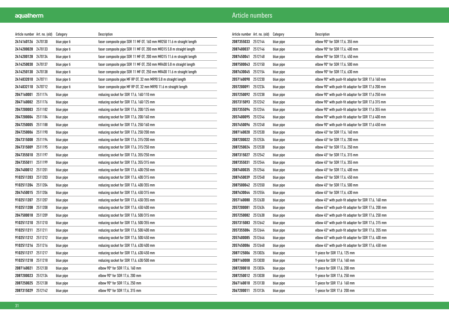| Article number   Art. no. (old) |         | Category     | Description                                                            |
|---------------------------------|---------|--------------|------------------------------------------------------------------------|
| 2414160126                      | 2470130 | blue pipe ti | faser composite pipe SDR 11 MF 0T, 160 mm MR250 11.6 m straight length |
| 2414200028                      | 2470133 | blue pipe ti | faser composite pipe SDR 11 MF OT, 200 mm MR315 5.8 m straight length  |
| 2414200128                      | 2470134 | blue pipe ti | faser composite pipe SDR 11 MF 0T, 200 mm MR315 11.6 m straight length |
| 2414250030                      | 2470137 | blue pipe ti | faser composite pipe SDR 11 MF OT, 250 mm MR400 5.8 m straight length  |
| 2414250130                      | 2470138 | blue pipe ti | faser composite pipe SDR 11 MF 0T, 250 mm MR400 11.6 m straight length |
| 2414032010                      | 2470711 | blue pipe ti | faser composite pipe MF RP OT, 32 mm MR90 5.8 m straight length        |
| 2414032110                      | 2470712 | blue pipe ti | faser composite pipe MF RP 0T, 32 mm MR90 11.6 m straight length       |
| 2047160001                      | 2511174 | blue pipe    | reducing socket for SDR 17,6, 160/110 mm                               |
| 2047160002                      | 2511176 | blue pipe    | reducing socket for SDR 17,6, 160/125 mm                               |
| 2047200003                      | 2511182 | blue pipe    | reducing socket for SDR 17,6, 200/125 mm                               |
| 2047200004                      | 2511184 | blue pipe    | reducing socket for SDR 17,6, 200/160 mm                               |
| 2047250005                      | 2511188 | blue pipe    | reducing socket for SDR 17,6, 250/160 mm                               |
| 2047250006                      | 2511190 | blue pipe    | reducing socket for SDR 17,6, 250/200 mm                               |
| 2047315008                      | 2511194 | blue pipe    | reducing socket for SDR 17,6, 315/200 mm                               |
| 2047315009                      | 2511195 | blue pipe    | reducing socket for SDR 17,6, 315/250 mm                               |
| 2047355010                      | 2511197 | blue pipe    | reducing socket for SDR 17,6, 355/250 mm                               |
| 2047355011                      | 2511199 | blue pipe    | reducing socket for SDR 17,6, 355/315 mm                               |
| 2047400012                      | 2511201 | blue pipe    | reducing socket for SDR 17,6, 400/250 mm                               |
| 9102511203                      | 2511203 | blue pipe    | reducing socket for SDR 17,6, 400/315 mm                               |
| 9102511204                      | 2511204 | blue pipe    | reducing socket for SDR 17,6, 400/355 mm                               |
| 2047450015 2511206              |         | blue pipe    | reducing socket for SDR 17,6, 450/315 mm                               |
| 9102511207                      | 2511207 | blue pipe    | reducing socket for SDR 17,6, 450/355 mm                               |
| 9102511208                      | 2511208 | blue pipe    | reducing socket for SDR 17,6, 450/400 mm                               |
| 2047500018                      | 2511209 | blue pipe    | reducing socket for SDR 17,6, 500/315 mm                               |
| 9102511210                      | 2511210 | blue pipe    | reducing socket for SDR 17,6, 500/355 mm                               |
| 9102511211                      | 2511211 | blue pipe    | reducing socket for SDR 17,6, 500/400 mm                               |
| 9102511212 2511212              |         | blue pipe    | reducing socket for SDR 17,6, 500/450 mm                               |
| 9102511216 2511216              |         | blue pipe    | reducing socket for SDR 17,6, 630/400 mm                               |
| 9102511217 2511217              |         | blue pipe    | reducing socket for SDR 17,6, 630/450 mm                               |
| 9102511218                      | 2511218 | blue pipe    | reducing socket for SDR 17,6, 630/500 mm                               |
| 2087160021                      | 2512130 | blue pipe    | elbow 90° for SDR 17,6, 160 mm                                         |
| 2087200023                      | 2512134 | blue pipe    | elbow $90^\circ$ for SDR 17,6, 200 mm                                  |
| 2087250025                      | 2512138 | blue pipe    | elbow $90^\circ$ for SDR 17,6, 250 mm                                  |
| 2087315029                      | 2512142 | blue pipe    | elbow $90^\circ$ for SDR 17,6, 315 mm                                  |

| Article number Art. no. (old) |         | Category  | Description                                                   |
|-------------------------------|---------|-----------|---------------------------------------------------------------|
| 2087355033                    | 2512144 | blue pipe | elbow $90^\circ$ for SDR 17,6, 355 mm                         |
| 2087400037                    | 2512146 | blue pipe | elbow 90° for SDR 17,6, 400 mm                                |
| 2087450041                    | 2512148 | blue pipe | elbow $90^\circ$ for SDR 17,6, 450 mm                         |
| 2087500043                    | 2512150 | blue pipe | elbow 90° for SDR 17,6, 500 mm                                |
| 2087630045                    | 2512154 | blue pipe | elbow 90° for SDR 17,6, 630 mm                                |
| 2057160090                    | 2512230 | blue pipe | elbow 90° with push-fit adaptor for SDR 17,6 160 mm           |
| 2057200091                    | 2512234 | blue pipe | elbow 90° with push-fit adaptor for SDR 17,6 200 mm           |
| 2057250092                    | 2512238 | blue pipe | elbow 90° with push-fit adaptor for SDR 17,6 250 mm           |
| 2057315093                    | 2512242 | blue pipe | elbow 90° with push-fit adaptor for SDR 17,6 315 mm           |
| 2057355094                    | 2512244 | blue pipe | elbow 90° with push-fit adaptor for SDR 17,6 355 mm           |
| 2057400095                    | 2512246 | blue pipe | elbow 90° with push-fit adaptor for SDR 17,6 400 mm           |
| 2057450096                    | 2512248 | blue pipe | elbow 90° with push-fit adaptor for SDR 17,6 450 mm           |
| 2087160020                    | 2512530 | blue pipe | elbow 45° for SDR 17,6, 160 mm                                |
| 2087200022                    | 2512534 | blue pipe | elbow 45° for SDR 17,6, 200 mm                                |
| 2087250024                    | 2512538 | blue pipe | elbow $45^{\circ}$ for SDR 17,6, 250 mm                       |
| 2087315027                    | 2512542 | blue pipe | elbow 45° for SDR 17,6, 315 mm                                |
| 2087355031                    | 2512544 | blue pipe | elbow 45° for SDR 17,6, 355 mm                                |
| 2087400035                    | 2512546 | blue pipe | elbow 45° for SDR 17,6, 400 mm                                |
| 2087450039                    | 2512548 | blue pipe | elbow 45° for SDR 17,6, 450 mm                                |
| 2087500042                    | 2512550 | blue pipe | elbow 45° for SDR 17,6, 500 mm                                |
| 2087630044                    | 2512554 | blue pipe | elbow 45° for SDR 17,6, 630 mm                                |
| 2057160080                    | 2512630 | blue pipe | elbow 45° with push-fit adapter for SDR 17,6, 160 mm          |
| 2057200081                    | 2512634 | blue pipe | elbow 45° with push-fit adapter for SDR 17,6, 200 mm          |
| 2057250082                    | 2512638 | blue pipe | elbow $45^{\circ}$ with push-fit adapter for SDR 17,6, 250 mm |
| 2057315083                    | 2512642 | blue pipe | elbow 45° with push-fit adapter for SDR 17,6, 315 mm          |
| 2057355084                    | 2512644 | blue pipe | elbow 45° with push-fit adapter for SDR 17,6, 355 mm          |
| 2057400085                    | 2512646 | blue pipe | elbow 45° with push-fit adapter for SDR 17,6, 400 mm          |
| 2057450086                    | 2512648 | blue pipe | elbow 45° with push-fit adapter for SDR 17,6, 450 mm          |
| 2087125006                    | 2513026 | blue pipe | Y-piece for SDR 17,6, 125 mm                                  |
| 2087160008                    | 2513030 | blue pipe | Y-piece for SDR 17,6, 160 mm                                  |
| 2087200010                    | 2513034 | blue pipe | Y-piece for SDR 17,6, 200 mm                                  |
| 2087250012                    | 2513038 | blue pipe | Y-piece for SDR 17,6, 250 mm                                  |
| 2067160010                    | 2513130 | blue pipe | T-piece for SDR 17,6 160 mm                                   |
| 2067200011                    | 2513134 | blue pipe | T-piece for SDR 17,6 200 mm                                   |
|                               |         |           |                                                               |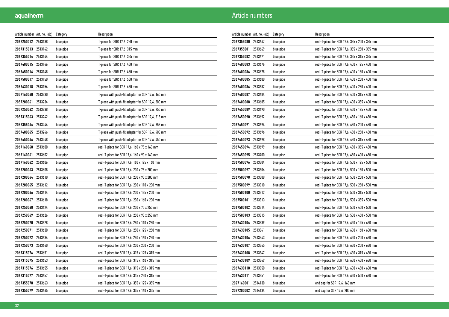| Article number Art. no. (old) |         | Category  | Description                                        |
|-------------------------------|---------|-----------|----------------------------------------------------|
| 2067250012 2513138            |         | blue pipe | T-piece for SDR 17,6 250 mm                        |
| 2067315013                    | 2513142 | blue pipe | T-piece for SDR 17,6  315 mm                       |
| 2067355014                    | 2513144 | blue pipe | T-piece for SDR 17,6 355 mm                        |
| 2067400015                    | 2513146 | blue pipe | T-piece for SDR 17,6 400 mm                        |
| 2067450016                    | 2513148 | blue pipe | T-piece for SDR 17,6 450 mm                        |
| 2067500017                    | 2513150 | blue pipe | T-piece for SDR 17,6 500 mm                        |
| 2067630018                    | 2513154 | blue pipe | T-piece for SDR 17,6 630 mm                        |
| 2057160060                    | 2513230 | blue pipe | T-piece with push-fit adapter for SDR 17,6, 160 mm |
| 2057200061                    | 2513234 | blue pipe | T-piece with push-fit adapter for SDR 17,6, 200 mm |
| 2057250062                    | 2513238 | blue pipe | T-piece with push-fit adapter for SDR 17,6, 250 mm |
| 2057315063                    | 2513242 | blue pipe | T-piece with push-fit adapter for SDR 17,6, 315 mm |
| 2057355064                    | 2513244 | blue pipe | T-piece with push-fit adapter for SDR 17,6, 355 mm |
| 2057400065                    | 2513246 | blue pipe | T-piece with push-fit adapter for SDR 17,6, 400 mm |
| 2057450066                    | 2513248 | blue pipe | T-piece with push-fit adapter for SDR 17,6, 450 mm |
| 2067160060                    | 2513600 | blue pipe | red.-T-piece for SDR 17,6, 160 x 75 x 160 mm       |
| 2067160061                    | 2513602 | blue pipe | red.-T-piece for SDR 17,6, 160 x 90 x 160 mm       |
| 2067160062                    | 2513606 | blue pipe | red.-T-piece for SDR 17,6, 160 x 125 x 160 mm      |
| 2067200063                    | 2513608 | blue pipe | red.-T-piece for SDR 17,6, 200 x 75 x 200 mm       |
| 2067200064                    | 2513610 | blue pipe | red.-T-piece for SDR 17,6, 200 x 90 x 200 mm       |
| 2067200065                    | 2513612 | blue pipe | red.-T-piece for SDR 17,6, 200 x 110 x 200 mm      |
| 2067200066 2513614            |         | blue pipe | red.-T-piece for SDR 17,6, 200 x 125 x 200 mm      |
| 2067200067                    | 2513618 | blue pipe | red.-T-piece for SDR 17,6, 200 x 160 x 200 mm      |
| 2067250068                    | 2513624 | blue pipe | red.-T-piece for SDR 17,6, 250 x 75 x 250 mm       |
| 2067250069                    | 2513626 | blue pipe | red.-T-piece for SDR 17,6, 250 x 90 x 250 mm       |
| 2067250070                    | 2513628 | blue pipe | red.-T-piece for SDR 17,6, 250 x 110 x 250 mm      |
| 2067250071                    | 2513630 | blue pipe | red.-T-piece for SDR 17,6, 250 x 125 x 250 mm      |
| 2067250072                    | 2513634 | blue pipe | red.-T-piece for SDR 17,6, 250 x 160 x 250 mm      |
| 2067250073                    | 2513640 | blue pipe | red.-T-piece for SDR 17,6, 250 x 200 x 250 mm      |
| 2067315074                    | 2513651 | blue pipe | red.-T-piece for SDR 17,6, 315 x 125 x 315 mm      |
| 2067315075                    | 2513653 | blue pipe | red.-T-piece for SDR 17,6, 315 x 160 x 315 mm      |
| 2067315076                    | 2513655 | blue pipe | red.-T-piece for SDR 17,6, 315 x 200 x 315 mm      |
| 2067315077                    | 2513657 | blue pipe | red.-T-piece for SDR 17,6, 315 x 250 x 315 mm      |
| 2067355078                    | 2513663 | blue pipe | red.-T-piece for SDR 17,6, 355 x 125 x 355 mm      |
| 2067355079                    | 2513665 | blue pipe | red.-T-piece for SDR 17,6, 355 x 160 x 355 mm      |

| Article number Art. no. (old) |         | Category  | Description                                   |
|-------------------------------|---------|-----------|-----------------------------------------------|
| 2067355080                    | 2513667 | blue pipe | red.-T-piece for SDR 17,6, 355 x 200 x 355 mm |
| 2067355081                    | 2513669 | blue pipe | red.-T-piece for SDR 17,6, 355 x 250 x 355 mm |
| 2067355082                    | 2513671 | blue pipe | red.-T-piece for SDR 17,6, 355 x 315 x 355 mm |
| 2067400083                    | 2513676 | blue pipe | red.-T-piece for SDR 17,6, 400 x 125 x 400 mm |
| 2067400084                    | 2513678 | blue pipe | red.-T-piece for SDR 17,6, 400 x 160 x 400 mm |
| 2067400085                    | 2513680 | blue pipe | red.-T-piece for SDR 17,6, 400 x 200 x 400 mm |
| 2067400086                    | 2513682 | blue pipe | red.-T-piece for SDR 17,6, 400 x 250 x 400 mm |
| 2067400087                    | 2513684 | blue pipe | red.-T-piece for SDR 17,6, 400 x 315 x 400 mm |
| 2067400088                    | 2513685 | blue pipe | red.-T-piece for SDR 17,6, 400 x 355 x 400 mm |
| 2067450089                    | 2513690 | blue pipe | red.-T-piece for SDR 17,6, 450 x 125 x 450 mm |
| 2067450090                    | 2513692 | blue pipe | red.-T-piece for SDR 17,6, 450 x 160 x 450 mm |
| 2067450091                    | 2513694 | blue pipe | red.-T-piece for SDR 17,6, 450 x 200 x 450 mm |
| 2067450092                    | 2513696 | blue pipe | red.-T-piece for SDR 17,6, 450 x 250 x 450 mm |
| 2067450093                    | 2513698 | blue pipe | red.-T-piece for SDR 17,6, 450 x 315 x 450 mm |
| 2067450094                    | 2513699 | blue pipe | red.-T-piece for SDR 17,6, 450 x 355 x 450 mm |
| 2067450095 2513700            |         | blue pipe | red.-T-piece for SDR 17,6, 450 x 400 x 450 mm |
| 2067500096                    | 2513804 | blue pipe | red.-T-piece for SDR 17,6, 500 x 125 x 500 mm |
| 2067500097                    | 2513806 | blue pipe | red.-T-piece for SDR 17,6, 500 x 160 x 500 mm |
| 2067500098                    | 2513808 | blue pipe | red.-T-piece for SDR 17,6, 500 x 200 x 500 mm |
| 2067500099                    | 2513810 | blue pipe | red.-T-piece for SDR 17,6, 500 x 250 x 500 mm |
| 2067500100                    | 2513812 | blue pipe | red.-T-piece for SDR 17,6, 500 x 315 x 500 mm |
| 2067500101                    | 2513813 | blue pipe | red.-T-piece for SDR 17,6, 500 x 355 x 500 mm |
| 2067500102 2513814            |         | blue pipe | red.-T-piece for SDR 17,6, 500 x 400 x 500 mm |
| 2067500103                    | 2513815 | blue pipe | red.-T-piece for SDR 17,6, 500 x 450 x 500 mm |
| 2067630104                    | 2513839 | blue pipe | red.-T-piece for SDR 17,6, 630 x 125 x 630 mm |
| 2067630105                    | 2513841 | blue pipe | red.-T-piece for SDR 17,6, 630 x 160 x 630 mm |
| 2067630106                    | 2513843 | blue pipe | red.-T-piece for SDR 17,6, 630 x 200 x 630 mm |
| 2067630107                    | 2513845 | blue pipe | red.-T-piece for SDR 17,6, 630 x 250 x 630 mm |
| 2067630108                    | 2513847 | blue pipe | red.-T-piece for SDR 17,6, 630 x 315 x 630 mm |
| 2067630109                    | 2513849 | blue pipe | red.-T-piece for SDR 17,6, 630 x 400 x 630 mm |
| 2067630110                    | 2513850 | blue pipe | red.-T-piece for SDR 17,6, 630 x 450 x 630 mm |
| 2067630111                    | 2513851 | blue pipe | red.-T-piece for SDR 17,6, 630 x 500 x 630 mm |
| 2027160001                    | 2514130 | blue pipe | end cap for SDR 17,6, 160 mm                  |
| 2027200002                    | 2514134 | blue pipe | end cap for SDR 17,6, 200 mm                  |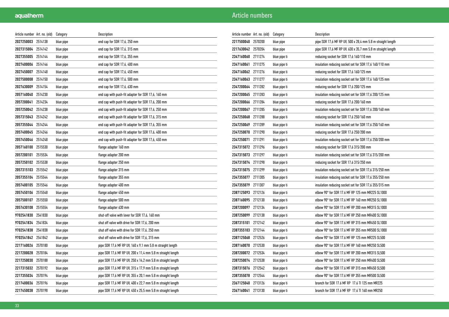| Article number Art. no. (old) |         | Category  | Description                                                 |
|-------------------------------|---------|-----------|-------------------------------------------------------------|
| 2027250003                    | 2514138 | blue pipe | end cap for SDR 17,6, 250 mm                                |
| 2027315004                    | 2514142 | blue pipe | end cap for SDR 17,6, 315 mm                                |
| 2027355005                    | 2514144 | blue pipe | end cap for SDR 17,6, 355 mm                                |
| 2027400006                    | 2514146 | blue pipe | end cap for SDR 17,6, 400 mm                                |
| 2027450007                    | 2514148 | blue pipe | end cap for SDR 17,6, 450 mm                                |
| 2027500008                    | 2514150 | blue pipe | end cap for SDR 17,6, 500 mm                                |
| 2027630009                    | 2514154 | blue pipe | end cap for SDR 17,6, 630 mm                                |
| 2057160040                    | 2514230 | blue pipe | end cap with push-fit adapter for SDR 17,6, 160 mm          |
| 2057200041                    | 2514234 | blue pipe | end cap with push-fit adapter for SDR 17,6, 200 mm          |
| 2057250042                    | 2514238 | blue pipe | end cap with push-fit adapter for SDR 17,6, 250 mm          |
| 2057315043                    | 2514242 | blue pipe | end cap with push-fit adapter for SDR 17,6, 315 mm          |
| 2057355044                    | 2514244 | blue pipe | end cap with push-fit adapter for SDR 17,6, 355 mm          |
| 2057400045                    | 2514246 | blue pipe | end cap with push-fit adapter for SDR 17,6, 400 mm          |
| 2057450046                    | 2514248 | blue pipe | end cap with push-fit adapter for SDR 17,6, 450 mm          |
| 2057160100                    | 2515530 | blue pipe | flange adapter 160 mm                                       |
| 2057200101                    | 2515534 | blue pipe | flange adapter 200 mm                                       |
| 2057250102                    | 2515538 | blue pipe | flange adapter 250 mm                                       |
| 2057315103                    | 2515542 | blue pipe | flange adapter 315 mm                                       |
| 2057355104                    | 2515544 | blue pipe | flange adapter 355 mm                                       |
| 2057400105                    | 2515546 | blue pipe | flange adapter 400 mm                                       |
| 2057450106                    | 2515548 | blue pipe | flange adapter 450 mm                                       |
| 2057500107                    | 2515550 | blue pipe | flange adapter 500 mm                                       |
| 2057630108                    | 2515554 | blue pipe | flange adapter 630 mm                                       |
| 9702541830                    | 2541830 | blue pipe | shut-off valve with lever for SDR 17,6, 160 mm              |
| 9702541834                    | 2541834 | blue pipe | shut off valve with drive for SDR 17,6, 200 mm              |
| 9702541838                    | 2541838 | blue pipe | shut off valve with drive for SDR 17,6, 250 mm              |
| 9702541842 2541842            |         | blue pipe | shut off valve with drive for SDR 17,6, 315 mm              |
| 2217160026                    | 2570180 | blue pipe | pipe SDR 17,6 MF RP UV, 160 x 9,1 mm 5.8 m straight length  |
| 2217200028                    | 2570184 | blue pipe | pipe SDR 17,6 MF RP UV, 200 x 11,4 mm 5.8 m straight length |
| 2217250030                    | 2570188 | blue pipe | pipe SDR 17,6 MF RP UV, 250 x 14,2 mm 5.8 m straight length |
| 2217315032                    | 2570192 | blue pipe | pipe SDR 17,6 MF RP UV, 315 x 17,9 mm 5.8 m straight length |
| 2217355034                    | 2570194 | blue pipe | pipe SDR 17,6 MF RP UV, 355 x 20,1 mm 5.8 m straight length |
| 2217400036                    | 2570196 | blue pipe | pipe SDR 17,6 MF RP UV, 400 x 22,7 mm 5.8 m straight length |
| 2217450038                    | 2570198 | blue pipe | pipe SDR 17,6 MF RP UV, 450 x 25,5 mm 5.8 m straight length |

| Article number Art. no. (old) |         | Category     | Description                                                 |
|-------------------------------|---------|--------------|-------------------------------------------------------------|
| 2217500040                    | 2570200 | blue pipe    | pipe SDR 17,6 MF RP UV, 500 x 28,4 mm 5.8 m straight length |
| 2217630042                    | 2570204 | blue pipe    | pipe SDR 17,6 MF RP UV, 630 x 35,7 mm 5.8 m straight length |
| 2347160060                    | 2711274 | blue pipe ti | reducing socket for SDR 17,6 160/110 mm                     |
| 2347160061                    | 2711275 | blue pipe ti | insulation reducing socket set for SDR 17,6 160/110 mm      |
| 2347160062 2711276            |         | blue pipe ti | reducing socket for SDR 17,6 160/125 mm                     |
| 2347160063                    | 2711277 | blue pipe ti | insulation reducing socket set for SDR 17,6 160/125 mm      |
| 2347200064                    | 2711282 | blue pipe ti | reducing socket for SDR 17,6 200/125 mm                     |
| 2347200065                    | 2711283 | blue pipe ti | insulation reducing socket set for SDR 17,6 200/125 mm      |
| 2347200066                    | 2711284 | blue pipe ti | reducing socket for SDR 17,6 200/160 mm                     |
| 2347200067                    | 2711285 | blue pipe ti | insulation reducing socket set for SDR 17,6 200/160 mm      |
| 2347250068                    | 2711288 | blue pipe ti | reducing socket for SDR 17,6 250/160 mm                     |
| 2347250069                    | 2711289 | blue pipe ti | insulation reducing socket set for SDR 17,6 250/160 mm      |
| 2347250070                    | 2711290 | blue pipe ti | reducing socket for SDR 17,6 250/200 mm                     |
| 2347250071                    | 2711291 | blue pipe ti | insulation reducing socket set for SDR 17,6 250/200 mm      |
| 2347315072 2711296            |         | blue pipe ti | reducing socket for SDR 17,6 315/200 mm                     |
| 2347315073                    | 2711297 | blue pipe ti | insulation reducing socket set for SDR 17,6 315/200 mm      |
| 2347315074                    | 2711298 | blue pipe ti | reducing socket for SDR 17,6 315/250 mm                     |
| 2347315075 2711299            |         | blue pipe ti | insulation reducing socket set for SDR 17,6 315/250 mm      |
| 2347355077                    | 2711305 | blue pipe ti | insulation reducing socket set for SDR 17,6 355/250 mm      |
| 2347355079                    | 2711307 | blue pipe ti | insulation reducing socket set for SDR 17,6 355/315 mm      |
| 2387125093 2712126            |         | blue pipe ti | elbow 90° for SDR 17.6 MF RP 125 mm MR225 SL1000            |
| 2387160095                    | 2712130 | blue pipe ti | elbow 90° for SDR 17.6 MF RP 160 mm MR250 SL1000            |
| 2387200097                    | 2712134 | blue pipe ti | elbow 90° for SDR 17.6 MF RP 200 mm MR315 SL1000            |
| 2387250099                    | 2712138 | blue pipe ti | elbow 90° for SDR 17.6 MF RP 250 mm MR400 SL1000            |
| 2387315101                    | 2712142 | blue pipe ti | elbow 90° for SDR 17.6 MF RP 315 mm MR450 SL1000            |
| 2387355103                    | 2712144 | blue pipe ti | elbow 90° for SDR 17.6 MF RP 355 mm MR500 SL1000            |
| 2387125068                    | 2712526 | blue pipe ti | elbow 90° for SDR 17.6 MF RP 125 mm MR225 SL500             |
| 2387160070                    | 2712530 | blue pipe ti | elbow 90° for SDR 17.6 MF RP 160 mm MR250 SL500             |
| 2387200072                    | 2712534 | blue pipe ti | elbow 90° for SDR 17.6 MF RP 200 mm MR315 SL500             |
| 2387250074                    | 2712538 | blue pipe ti | elbow 90° for SDR 17.6 MF RP 250 mm MR400 SL500             |
| 2387315076                    | 2712542 | blue pipe ti | elbow 90° for SDR 17.6 MF RP 315 mm MR450 SL500             |
| 2387355078 2712544            |         | blue pipe ti | elbow 90° for SDR 17.6 MF RP 355 mm MR500 SL500             |
| 2367125040                    | 2713126 | blue pipe ti | branch for SDR 17.6 MF RP 17.6 TI 125 mm MR225              |
| 2367160041 2713130            |         | blue pipe ti | branch for SDR 17.6 MF RP 17.6 TI 160 mm MR250              |
|                               |         |              |                                                             |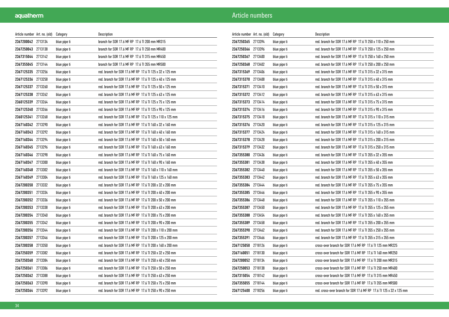| Article number Art. no. (old) |         | Category     | Description                                               |
|-------------------------------|---------|--------------|-----------------------------------------------------------|
| 2367200042 2713134            |         | blue pipe ti | branch for SDR 17.6 MF RP 17.6 TI 200 mm MR315            |
| 2367250043 2713138            |         | blue pipe ti | branch for SDR 17.6 MF RP 17.6 TI 250 mm MR400            |
| 2367315044 2713142            |         | blue pipe ti | branch for SDR 17.6 MF RP 17.6 TI 315 mm MR450            |
| 2367355045 2713144            |         | blue pipe ti | branch for SDR 17.6 MF RP 17.6 TI 355 mm MR500            |
| 2367125335 2713256            |         | blue pipe ti | red. branch for SDR 17.6 MF RP 17.6 TI 125 x 32 x 125 mm  |
| 2367125336 2713258            |         | blue pipe ti | red. branch for SDR 17.6 MF RP 17.6 TI 125 x 40 x 125 mm  |
| 2367125337                    | 2713260 | blue pipe ti | red. branch for SDR 17.6 MF RP 17.6 TI 125 x 50 x 125 mm  |
| 2367125338 2713262            |         | blue pipe ti | red. branch for SDR 17.6 MF RP 17.6 TI 125 x 63 x 125 mm  |
| 2360125339 2713264            |         | blue pipe ti | red. branch for SDR 17.6 MF RP 17.6 TI 125 x 75 x 125 mm  |
| 2367125340 2713266            |         | blue pipe ti | red. branch for SDR 17.6 MF RP 17.6 TI 125 x 90 x 125 mm  |
| 2360125341 2713268            |         | blue pipe ti | red. branch for SDR 17.6 MF RP 17.6 TI 125 x 110 x 125 mm |
| 2367160342 2713290            |         | blue pipe ti | red. branch for SDR 17.6 MF RP 17.6 TI 160 x 32 x 160 mm  |
| 2367160343                    | 2713292 | blue pipe ti | red. branch for SDR 17.6 MF RP 17.6 TI 160 x 40 x 160 mm  |
| 2367160344 2713294            |         | blue pipe ti | red. branch for SDR 17.6 MF RP 17.6 TI 160 x 50 x 160 mm  |
| 2367160345 2713296            |         | blue pipe ti | red. branch for SDR 17.6 MF RP 17.6 TI 160 x 63 x 160 mm  |
| 2367160346 2713298            |         | blue pipe ti | red. branch for SDR 17.6 MF RP 17.6 TI 160 x 75 x 160 mm  |
| 2367160347 2713300            |         | blue pipe ti | red. branch for SDR 17.6 MF RP 17.6 TI 160 x 90 x 160 mm  |
| 2367160348 2713302            |         | blue pipe ti | red. branch for SDR 17.6 MF RP 17.6 TI 160 x 110 x 160 mm |
| 2367160349                    | 2713304 | blue pipe ti | red. branch for SDR 17.6 MF RP 17.6 TI 160 x 125 x 160 mm |
| 2367200350 2713332            |         | blue pipe ti | red. branch for SDR 17.6 MF RP 17.6 TI 200 x 32 x 200 mm  |
| 2367200351 2713334            |         | blue pipe ti | red. branch for SDR 17.6 MF RP 17.6 TI 200 x 40 x 200 mm  |
| 2367200352 2713336            |         | blue pipe ti | red. branch for SDR 17.6 MF RP 17.6 TI 200 x 50 x 200 mm  |
| 2367200353 2713338            |         | blue pipe ti | red. branch for SDR 17.6 MF RP 17.6 TI 200 x 63 x 200 mm  |
| 2367200354 2713340            |         | blue pipe ti | red. branch for SDR 17.6 MF RP 17.6 TI 200 x 75 x 200 mm  |
| 2367200355 2713342            |         | blue pipe ti | red. branch for SDR 17.6 MF RP 17.6 TI 200 x 90 x 200 mm  |
| 2367200356 2713344            |         | blue pipe ti | red. branch for SDR 17.6 MF RP 17.6 TI 200 x 110 x 200 mm |
| 2367200357 2713346            |         | blue pipe ti | red. branch for SDR 17.6 MF RP 17.6 TI 200 x 125 x 200 mm |
| 2367200358 2713350            |         | blue pipe ti | red. branch for SDR 17.6 MF RP 17.6 TI 200 x 160 x 200 mm |
| 2367250359 2713382            |         | blue pipe ti | red. branch for SDR 17.6 MF RP 17.6 TI 250 x 32 x 250 mm  |
| 2367250360 2713384            |         | blue pipe ti | red. branch for SDR 17.6 MF RP 17.6 TI 250 x 40 x 250 mm  |
| 2367250361                    | 2713386 | blue pipe ti | red. branch for SDR 17.6 MF RP 17.6 TI 250 x 50 x 250 mm  |
| 2367250362 2713388            |         | blue pipe ti | red. branch for SDR 17.6 MF RP 17.6 TI 250 x 63 x 250 mm  |
| 2367250363 2713390            |         | blue pipe ti | red. branch for SDR 17.6 MF RP 17.6 TI 250 x 75 x 250 mm  |
| 2367250364 2713392            |         | blue pipe ti | red. branch for SDR 17.6 MF RP 17.6 TI 250 x 90 x 250 mm  |

| Article number Art. no. (old) |         | Category     | Description                                                         |
|-------------------------------|---------|--------------|---------------------------------------------------------------------|
| 2367250365 2713394            |         | blue pipe ti | red. branch for SDR 17.6 MF RP 17.6 TI 250 x 110 x 250 mm           |
| 2367250366                    | 2713396 | blue pipe ti | red. branch for SDR 17.6 MF RP 17.6 TI 250 x 125 x 250 mm           |
| 2367250367 2713400            |         | blue pipe ti | red. branch for SDR 17.6 MF RP 17.6 TI 250 x 160 x 250 mm           |
| 2367250368 2713402            |         | blue pipe ti | red. branch for SDR 17.6 MF RP 17.6 TI 250 x 200 x 250 mm           |
| 2367315369 2713406            |         | blue pipe ti | red. branch for SDR 17.6 MF RP 17.6 TI 315 x 32 x 315 mm            |
| 2367315370 2713408            |         | blue pipe ti | red. branch for SDR 17.6 MF RP 17.6 TI 315 x 40 x 315 mm            |
| 2367315371 2713410            |         | blue pipe ti | red. branch for SDR 17.6 MF RP 17.6 TI 315 x 50 x 315 mm            |
| 2367315372 2713412            |         | blue pipe ti | red. branch for SDR 17.6 MF RP 17.6 TI 315 x 63 x 315 mm            |
| 2367315373                    | 2713414 | blue pipe ti | red. branch for SDR 17.6 MF RP 17.6 TI 315 x 75 x 315 mm            |
| 2367315374 2713416            |         | blue pipe ti | red. branch for SDR 17.6 MF RP 17.6 TI 315 x 90 x 315 mm            |
| 2367315375 2713418            |         | blue pipe ti | red. branch for SDR 17.6 MF RP 17.6 TI 315 x 110 x 315 mm           |
| 2367315376 2713420            |         | blue pipe ti | red. branch for SDR 17.6 MF RP 17.6 TI 315 x 125 x 315 mm           |
| 2367315377 2713424            |         | blue pipe ti | red. branch for SDR 17.6 MF RP 17.6 TI 315 x 160 x 315 mm           |
| 2367315378                    | 2713428 | blue pipe ti | red. branch for SDR 17.6 MF RP 17.6 TI 315 x 200 x 315 mm           |
| 2367315379                    | 2713432 | blue pipe ti | red. branch for SDR 17.6 MF RP 17.6 TI 315 x 250 x 315 mm           |
| 2367355380                    | 2713436 | blue pipe ti | red. branch for SDR 17.6 MF RP 17.6 TI 355 x 32 x 355 mm            |
| 2367355381 2713438            |         | blue pipe ti | red. branch for SDR 17.6 MF RP 17.6 TI 355 x 40 x 355 mm            |
| 2367355382 2713440            |         | blue pipe ti | red. branch for SDR 17.6 MF RP 17.6 TI 355 x 50 x 355 mm            |
| 2367355383                    | 2713442 | blue pipe ti | red. branch for SDR 17.6 MF RP 17.6 TI 355 x 63 x 355 mm            |
| 2367355384 2713444            |         | blue pipe ti | red. branch for SDR 17.6 MF RP 17.6 TI 355 x 75 x 355 mm            |
| 2367355385 2713446            |         | blue pipe ti | red. branch for SDR 17.6 MF RP 17.6 TI 355 x 90 x 355 mm            |
| 2367355386 2713448            |         | blue pipe ti | red. branch for SDR 17.6 MF RP 17.6 TI 355 x 110 x 355 mm           |
| 2367355387                    | 2713450 | blue pipe ti | red. branch for SDR 17.6 MF RP 17.6 TI 355 x 125 x 355 mm           |
| 2367355388                    | 2713454 | blue pipe ti | red. branch for SDR 17.6 MF RP 17.6 TI 355 x 160 x 355 mm           |
| 2367355389                    | 2713458 | blue pipe ti | red. branch for SDR 17.6 MF RP 17.6 TI 355 x 200 x 355 mm           |
| 2367355390                    | 2713462 | blue pipe ti | red. branch for SDR 17.6 MF RP 17.6 TI 355 x 250 x 355 mm           |
| 2367355391 2713466            |         | blue pipe ti | red. branch for SDR 17.6 MF RP 17.6 TI 355 x 315 x 355 mm           |
| 2367125050                    | 2718126 | blue pipe ti | cross-over branch for SDR 17.6 MF RP 17.6 TI 125 mm MR225           |
| 2367160051                    | 2718130 | blue pipe ti | cross-over branch for SDR 17.6 MF RP 17.6 TI 160 mm MR250           |
| 2367200052 2718134            |         | blue pipe ti | cross-over branch for SDR 17.6 MF RP 17.6 TI 200 mm MR315           |
| 2367250053 2718138            |         | blue pipe ti | cross-over branch for SDR 17.6 MF RP 17.6 TI 250 mm MR400           |
| 2367315054 2718142            |         | blue pipe ti | cross-over branch for SDR 17.6 MF RP 17.6 TI 315 mm MR450           |
| 2367355055 2718144            |         | blue pipe ti | cross-over branch for SDR 17.6 MF RP 17.6 TI 355 mm MR500           |
| 2367125400 2718256            |         | blue pipe ti | red. cross-over branch for SDR 17.6 MF RP 17.6 TI 125 x 32 x 125 mm |
|                               |         |              |                                                                     |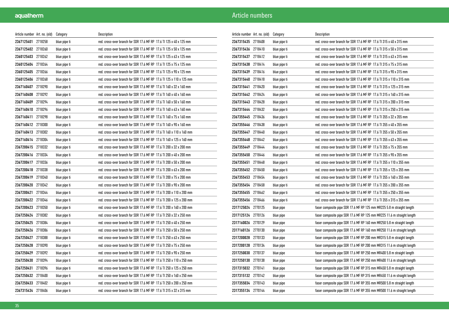| Article number Art. no. (old) |         | Category     | Description                                                          |
|-------------------------------|---------|--------------|----------------------------------------------------------------------|
| 2367125401 2718258            |         | blue pipe ti | red. cross-over branch for SDR 17.6 MF RP 17.6 TI 125 x 40 x 125 mm  |
| 2367125402 2718260            |         | blue pipe ti | red. cross-over branch for SDR 17.6 MF RP 17.6 TI 125 x 50 x 125 mm  |
| 2360125403 2718262            |         | blue pipe ti | red. cross-over branch for SDR 17.6 MF RP 17.6 TI 125 x 63 x 125 mm  |
| 2360125404 2718264            |         | blue pipe ti | red. cross-over branch for SDR 17.6 MF RP 17.6 TI 125 x 75 x 125 mm  |
| 2360125405 2718266            |         | blue pipe ti | red. cross-over branch for SDR 17.6 MF RP 17.6 TI 125 x 90 x 125 mm  |
| 2360125406 2718268            |         | blue pipe ti | red. cross-over branch for SDR 17.6 MF RP 17.6 TI 125 x 110 x 125 mm |
| 2367160407 2718290            |         | blue pipe ti | red. cross-over branch for SDR 17.6 MF RP 17.6 TI 160 x 32 x 160 mm  |
| 2367160408 2718292            |         | blue pipe ti | red. cross-over branch for SDR 17.6 MF RP 17.6 TI 160 x 40 x 160 mm  |
| 2367160409 2718294            |         | blue pipe ti | red. cross-over branch for SDR 17.6 MF RP 17.6 TI 160 x 50 x 160 mm  |
| 2367160410 2718296            |         | blue pipe ti | red. cross-over branch for SDR 17.6 MF RP 17.6 TI 160 x 63 x 160 mm  |
| 2367160411 2718298            |         | blue pipe ti | red. cross-over branch for SDR 17.6 MF RP 17.6 TI 160 x 75 x 160 mm  |
| 2367160412 2718300            |         | blue pipe ti | red. cross-over branch for SDR 17.6 MF RP 17.6 TI 160 x 90 x 160 mm  |
| 2367160413 2718302            |         | blue pipe ti | red. cross-over branch for SDR 17.6 MF RP 17.6 TI 160 x 110 x 160 mm |
| 2367160414 2718304            |         | blue pipe ti | red. cross-over branch for SDR 17.6 MF RP 17.6 TI 160 x 125 x 160 mm |
| 2367200415 2718332            |         | blue pipe ti | red. cross-over branch for SDR 17.6 MF RP 17.6 TI 200 x 32 x 200 mm  |
| 2367200416 2718334            |         | blue pipe ti | red. cross-over branch for SDR 17.6 MF RP 17.6 TI 200 x 40 x 200 mm  |
| 2367200417 2718336            |         | blue pipe ti | red. cross-over branch for SDR 17.6 MF RP 17.6 TI 200 x 50 x 200 mm  |
| 2367200418 2718338            |         | blue pipe ti | red. cross-over branch for SDR 17.6 MF RP 17.6 TI 200 x 63 x 200 mm  |
| 2367200419                    | 2718340 | blue pipe ti | red. cross-over branch for SDR 17.6 MF RP 17.6 TI 200 x 75 x 200 mm  |
| 2367200420 2718342            |         | blue pipe ti | red. cross-over branch for SDR 17.6 MF RP 17.6 TI 200 x 90 x 200 mm  |
| 2367200421 2718344            |         | blue pipe ti | red. cross-over branch for SDR 17.6 MF RP 17.6 TI 200 x 110 x 200 mm |
| 2367200422 2718346            |         | blue pipe ti | red. cross-over branch for SDR 17.6 MF RP 17.6 TI 200 x 125 x 200 mm |
| 2367200423 2718350            |         | blue pipe ti | red. cross-over branch for SDR 17.6 MF RP 17.6 TI 200 x 160 x 200 mm |
| 2367250424 2718382            |         | blue pipe ti | red. cross-over branch for SDR 17.6 MF RP 17.6 TI 250 x 32 x 250 mm  |
| 2367250425 2718384            |         | blue pipe ti | red. cross-over branch for SDR 17.6 MF RP 17.6 TI 250 x 40 x 250 mm  |
| 2367250426 2718386            |         | blue pipe ti | red. cross-over branch for SDR 17.6 MF RP 17.6 TI 250 x 50 x 250 mm  |
| 2367250427 2718388            |         | blue pipe ti | red. cross-over branch for SDR 17.6 MF RP 17.6 TI 250 x 63 x 250 mm  |
| 2367250428 2718390            |         | blue pipe ti | red. cross-over branch for SDR 17.6 MF RP 17.6 TI 250 x 75 x 250 mm  |
| 2367250429 2718392            |         | blue pipe ti | red. cross-over branch for SDR 17.6 MF RP 17.6 TI 250 x 90 x 250 mm  |
| 2367250430 2718394            |         | blue pipe ti | red. cross-over branch for SDR 17.6 MF RP 17.6 TI 250 x 110 x 250 mm |
| 2367250431 2718396            |         | blue pipe ti | red. cross-over branch for SDR 17.6 MF RP 17.6 TI 250 x 125 x 250 mm |
| 2367250432 2718400            |         | blue pipe ti | red. cross-over branch for SDR 17.6 MF RP 17.6 TI 250 x 160 x 250 mm |
| 2367250433 2718402            |         | blue pipe ti | red. cross-over branch for SDR 17.6 MF RP 17.6 TI 250 x 200 x 250 mm |
| 2367315434 2718406            |         | blue pipe ti | red. cross-over branch for SDR 17.6 MF RP 17.6 TI 315 x 32 x 315 mm  |

| Article number Art. no. (old) |         | Category     | Description                                                             |
|-------------------------------|---------|--------------|-------------------------------------------------------------------------|
| 2367315435 2718408            |         | blue pipe ti | red. cross-over branch for SDR 17.6 MF RP 17.6 TI 315 x 40 x 315 mm     |
| 2367315436 2718410            |         | blue pipe ti | red. cross-over branch for SDR 17.6 MF RP 17.6 TI 315 x 50 x 315 mm     |
| 2367315437 2718412            |         | blue pipe ti | red. cross-over branch for SDR 17.6 MF RP 17.6 TI 315 x 63 x 315 mm     |
| 2367315438 2718414            |         | blue pipe ti | red. cross-over branch for SDR 17.6 MF RP 17.6 TI 315 x 75 x 315 mm     |
| 2367315439 2718416            |         | blue pipe ti | red. cross-over branch for SDR 17.6 MF RP 17.6 TI 315 x 90 x 315 mm     |
| 2367315440 2718418            |         | blue pipe ti | red. cross-over branch for SDR 17.6 MF RP 17.6 TI 315 x 110 x 315 mm    |
| 2367315441 2718420            |         | blue pipe ti | red. cross-over branch for SDR 17.6 MF RP 17.6 TI 315 x 125 x 315 mm    |
| 2367315442 2718424            |         | blue pipe ti | red. cross-over branch for SDR 17.6 MF RP 17.6 TI 315 x 160 x 315 mm    |
| 2367315443 2718428            |         | blue pipe ti | red. cross-over branch for SDR 17.6 MF RP 17.6 TI 315 x 200 x 315 mm    |
| 2367315444 2718432            |         | blue pipe ti | red. cross-over branch for SDR 17.6 MF RP 17.6 TI 315 x 250 x 315 mm    |
| 2367355445 2718436            |         | blue pipe ti | red. cross-over branch for SDR 17.6 MF RP 17.6 TI 355 x 32 x 355 mm     |
| 2367355446 2718438            |         | blue pipe ti | red. cross-over branch for SDR 17.6 MF RP 17.6 TI 355 x 40 x 355 mm     |
| 2367355447 2718440            |         | blue pipe ti | red. cross-over branch for SDR 17.6 MF RP 17.6 TI 355 x 50 x 355 mm     |
| 2367355448 2718442            |         | blue pipe ti | red. cross-over branch for SDR 17.6 MF RP 17.6 TI 355 x 63 x 355 mm     |
| 2367355449 2718444            |         | blue pipe ti | red. cross-over branch for SDR 17.6 MF RP 17.6 TI 355 x 75 x 355 mm     |
| 2367355450 2718446            |         | blue pipe ti | red. cross-over branch for SDR 17.6 MF RP 17.6 TI 355 x 90 x 355 mm     |
| 2367355451 2718448            |         | blue pipe ti | red. cross-over branch for SDR 17.6 MF RP 17.6 TI 355 x 110 x 355 mm    |
| 2367355452 2718450            |         | blue pipe ti | red. cross-over branch for SDR 17.6 MF RP 17.6 TI 355 x 125 x 355 mm    |
| 2367355453 2718454            |         | blue pipe ti | red. cross-over branch for SDR 17.6 MF RP 17.6 TI 355 x 160 x 355 mm    |
| 2367355454 2718458            |         | blue pipe ti | red. cross-over branch for SDR 17.6 MF RP 17.6 TI 355 x 200 x 355 mm    |
| 2367355455 2718462            |         | blue pipe ti | red. cross-over branch for SDR 17.6 MF RP 17.6 TI 355 x 250 x 355 mm    |
| 2367355456                    | 2718466 | blue pipe ti | red. cross-over branch for SDR 17.6 MF RP 17.6 TI 355 x 315 x 355 mm    |
| 2317125024 2770125            |         | blue pipe    | faser composite pipe SDR 17.6 MF RP 125 mm MR225 5.8 m straight length  |
| 2317125124 2770126            |         | blue pipe    | faser composite pipe SDR 17.6 MF RP 125 mm MR225 11.6 m straight length |
| 2317160026 2770129            |         | blue pipe    | faser composite pipe SDR 17.6 MF RP 160 mm MR250 5.8 m straight length  |
| 2317160126 2770130            |         | blue pipe    | faser composite pipe SDR 17.6 MF RP 160 mm MR250 11.6 m straight length |
| 2317200028 2770133            |         | blue pipe    | faser composite pipe SDR 17.6 MF RP 200 mm MR315 5.8 m straight length  |
| 2317200128 2770134            |         | blue pipe    | faser composite pipe SDR 17.6 MF RP 200 mm MR315 11.6 m straight length |
| 2317250030                    | 2770137 | blue pipe    | faser composite pipe SDR 17.6 MF RP 250 mm MR400 5.8 m straight length  |
| 2317250130 2770138            |         | blue pipe    | faser composite pipe SDR 17.6 MF RP 250 mm MR400 11.6 m straight length |
| 2317315032 2770141            |         | blue pipe    | faser composite pipe SDR 17.6 MF RP 315 mm MR450 5.8 m straight length  |
| 2317315132 2770142            |         | blue pipe    | faser composite pipe SDR 17.6 MF RP 315 mm MR450 11.6 m straight length |
| 2317355034 2770143            |         | blue pipe    | faser composite pipe SDR 17.6 MF RP 355 mm MR500 5.8 m straight length  |
| 2317355134 2770144            |         | blue pipe    | faser composite pipe SDR 17.6 MF RP 355 mm MR500 11.6 m straight length |
|                               |         |              |                                                                         |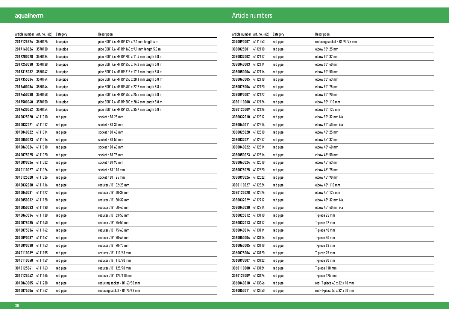| Article number Art. no. (old) |         | Category  | Description                                   |
|-------------------------------|---------|-----------|-----------------------------------------------|
| 2017125224 3570125            |         | blue pipe | pipe SDR17.6 MF RP 125 x 7.1 mm length 4 m    |
| 2017160026                    | 3570130 | blue pipe | pipe SDR17.6 MF RP 160 x 9.1 mm length 5.8 m  |
| 2017200028                    | 3570134 | blue pipe | pipe SDR17.6 MF RP 200 x 11.4 mm length 5.8 m |
| 2017250030                    | 3570138 | blue pipe | pipe SDR17.6 MF RP 250 x 14.2 mm length 5.8 m |
| 2017315032                    | 3570142 | blue pipe | pipe SDR17.6 MF RP 315 x 17.9 mm length 5.8 m |
| 2017355034                    | 3570144 | blue pipe | pipe SDR17.6 MF RP 355 x 20.1 mm length 5.8 m |
| 2017400036                    | 3570146 | blue pipe | pipe SDR17.6 MF RP 400 x 22.7 mm length 5.8 m |
| 2017450038                    | 3570148 | blue pipe | pipe SDR17.6 MF RP 450 x 25.5 mm length 5.8 m |
| 2017500040                    | 3570150 | blue pipe | pipe SDR17.6 MF RP 500 x 28.4 mm length 5.8 m |
| 2017630042                    | 3570154 | blue pipe | pipe SDR17.6 MF RP 630 x 35.7 mm length 5.8 m |
| 3040025020 4111010            |         | red pipe  | socket / B1 25 mm                             |
| 3040032021                    | 4111012 | red pipe  | socket / B1 32 mm                             |
| 3040040022 4111014            |         | red pipe  | socket / B1 40 mm                             |
| 3040050023 4111016            |         | red pipe  | socket / B1 50 mm                             |
| 3040063024 4111018            |         | red pipe  | socket / B1 63 mm                             |
| 3040075025 4111020            |         | red pipe  | socket / B1 75 mm                             |
| 3040090026 4111022            |         | red pipe  | socket / B1 90 mm                             |
| 3040110027                    | 4111024 | red pipe  | socket / B1 110 mm                            |
| 3040125028                    | 4111026 | red pipe  | socket / B1 125 mm                            |
| 3040032030 4111116            |         | red pipe  | reducer / B1 32/25 mm                         |
| 3040040031 4111122            |         | red pipe  | reducer / B1 40/32 mm                         |
| 3040050032 4111128            |         | red pipe  | reducer / B1 50/32 mm                         |
| 3040050033 4111130            |         | red pipe  | reducer / B1 50/40 mm                         |
| 3040063034                    | 4111138 | red pipe  | reducer / B1 63/50 mm                         |
| 3040075035                    | 4111140 | red pipe  | reducer / B1 75/50 mm                         |
| 3040075036 4111142            |         | red pipe  | reducer / B1 75/63 mm                         |
| 3040090037                    | 4111152 | red pipe  | reducer / B1 90/63 mm                         |
| 3040090038 4111153            |         | red pipe  | reducer / B1 90/75 mm                         |
| 3040110039 4111155            |         | red pipe  | reducer / B1 110/63 mm                        |
| 3040110040                    | 4111159 | red pipe  | reducer / B1 110/90 mm                        |
| 3040125041                    | 4111163 | red pipe  | reducer / B1 125/90 mm                        |
| 3040125042                    | 4111165 | red pipe  | reducer / B1 125/110 mm                       |
| 3040063005 4111238            |         | red pipe  | reducing socket / B1 63/50 mm                 |
| 3040075006 4111242            |         | red pipe  | reducing socket / B1 75/63 mm                 |

| Article number   Art. no. (old) |         | Category | Description                    |
|---------------------------------|---------|----------|--------------------------------|
| 3040090007                      | 4111253 | red pipe | reducing socket / B1 90/75 mm  |
| 3080025001                      | 4112110 | red pipe | elbow 90° 25 mm                |
| 3080032002                      | 4112112 | red pipe | elbow 90° 32 mm                |
| 3080040003                      | 4112114 | red pipe | elbow 90° 40 mm                |
| 3080050004                      | 4112116 | red pipe | elbow 90° 50 mm                |
| 3080063005                      | 4112118 | red pipe | elbow 90° 63 mm                |
| 3080075006                      | 4112120 | red pipe | elbow 90° 75 mm                |
| 3080090007                      | 4112122 | red pipe | elbow 90° 90 mm                |
| 3080110008                      | 4112124 | red pipe | elbow 90° 110 mm               |
| 3080125009                      | 4112126 | red pipe | elbow 90° 125 mm               |
| 3080032010                      | 4112312 | red pipe | elbow 90° 32 mm i/a            |
| 3080040011                      | 4112314 | red pipe | elbow 90° 40 mm i/a            |
| 3080025020                      | 4112510 | red pipe | elbow 45° 25 mm                |
| 3080032021                      | 4112512 | red pipe | elbow 45° 32 mm                |
| 3080040022                      | 4112514 | red pipe | elbow 45° 40 mm                |
| 3080050023                      | 4112516 | red pipe | elbow 45° 50 mm                |
| 3080063024                      | 4112518 | red pipe | elbow 45° 63 mm                |
| 3080075025                      | 4112520 | red pipe | elbow $45^{\circ}$ 75 mm       |
| 3080090026                      | 4112522 | red pipe | elbow 45° 90 mm                |
| 3080110027                      | 4112524 | red pipe | elbow $45^{\circ}$ 110 mm      |
| 3080125028                      | 4112526 | red pipe | elbow 45° 125 mm               |
| 3080032029                      | 4112712 | red pipe | elbow $45^{\circ}$ 32 mm $i/a$ |
| 3080040030                      | 4112714 | red pipe | elbow 45° 40 mm i/a            |
| 3060025012                      | 4113110 | red pipe | T-piece 25 mm                  |
| 3060032013                      | 4113112 | red pipe | T-piece 32 mm                  |
| 3060040014                      | 4113114 | red pipe | T-piece 40 mm                  |
| 3060050004                      | 4113116 | red pipe | T-piece 50 mm                  |
| 3060063005                      | 4113118 | red pipe | T-piece 63 mm                  |
| 3060075006                      | 4113120 | red pipe | T-piece 75 mm                  |
| 3060090007                      | 4113122 | red pipe | T-piece 90 mm                  |
| 3060110008                      | 4113124 | red pipe | T-piece 110 mm                 |
| 3060125009                      | 4113126 | red pipe | T-piece 125 mm                 |
| 3060040010                      | 4113546 | red pipe | red.-T-piece 40 x 32 x 40 mm   |
| 3060050011                      | 4113550 | red pipe | red.-T-piece 50 x 32 x 50 mm   |
|                                 |         |          |                                |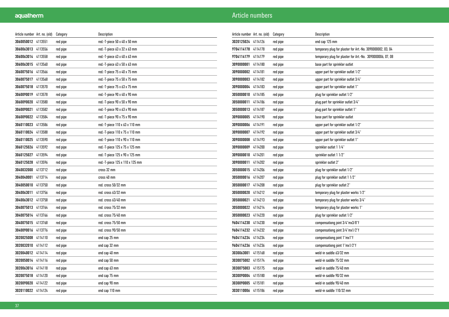| Article number Art. no. (old) |         | Category | Description                     |
|-------------------------------|---------|----------|---------------------------------|
| 3060050012                    | 4113551 | red pipe | red.-T-piece 50 x 40 x 50 mm    |
| 3060063013                    | 4113556 | red pipe | red.-T-piece 63 x 32 x 63 mm    |
| 3060063014                    | 4113558 | red pipe | red.-T-piece 63 x 40 x 63 mm    |
| 3060063015                    | 4113560 | red pipe | red.-T-piece 63 x 50 x 63 mm    |
| 3060075016                    | 4113566 | red pipe | red.-T-piece 75 x 40 x 75 mm    |
| 3060075017                    | 4113568 | red pipe | red.-T-piece 75 x 50 x 75 mm    |
| 3060075018                    | 4113570 | red pipe | red.-T-piece 75 x 63 x 75 mm    |
| 3060090019                    | 4113578 | red pipe | red.-T-piece 90 x 40 x 90 mm    |
| 3060090020                    | 4113580 | red pipe | red.-T-piece 90 x 50 x 90 mm    |
| 3060090021                    | 4113582 | red pipe | red.-T-piece 90 x 63 x 90 mm    |
| 3060090022                    | 4113584 | red pipe | red.-T-piece 90 x 75 x 90 mm    |
| 3060110023                    | 4113586 | red pipe | red.-T-piece 110 x 63 x 110 mm  |
| 3060110024                    | 4113588 | red pipe | red.-T-piece 110 x 75 x 110 mm  |
| 3060110025                    | 4113590 | red pipe | red.-T-piece 110 x 90 x 110 mm  |
| 3060125026                    | 4113592 | red pipe | red.-T-piece 125 x 75 x 125 mm  |
| 3060125027                    | 4113594 | red pipe | red.-T-piece 125 x 90 x 125 mm  |
| 3060125028                    | 4113596 | red pipe | red.-T-piece 125 x 110 x 125 mm |
| 3040032000                    | 4113712 | red pipe | cross 32 mm                     |
| 3040040001                    | 4113714 | red pipe | cross 40 mm                     |
| 3040050010                    | 4113750 | red pipe | red. cross 50/32 mm             |
| 3040063011                    | 4113756 | red pipe | red. cross 63/32 mm             |
| 3040063012                    | 4113758 | red pipe | red. cross 63/40 mm             |
| 3040075013                    | 4113764 | red pipe | red. cross 75/32 mm             |
| 3040075014                    | 4113766 | red pipe | red. cross 75/40 mm             |
| 3040075015                    | 4113768 | red pipe | red. cross 75/50 mm             |
| 3040090016                    | 4113776 | red pipe | red. cross 90/50 mm             |
| 3020025008                    | 4114110 | red pipe | end cap 25 mm                   |
| 3020032010                    | 4114112 | red pipe | end cap 32 mm                   |
| 3020040012                    | 4114114 | red pipe | end cap 40 mm                   |
| 3020050014                    | 4114116 | red pipe | end cap 50 mm                   |
| 3020063016                    | 4114118 | red pipe | end cap 63 mm                   |
| 3020075018                    | 4114120 | red pipe | end cap 75 mm                   |
| 3020090020                    | 4114122 | red pipe | end cap 90 mm                   |
| 3020110022                    | 4114124 | red pipe | end cap 110 mm                  |

| Article number Art. no. (old) |         | Category | Description                                                |
|-------------------------------|---------|----------|------------------------------------------------------------|
| 3020125024                    | 4114126 | red pipe | end cap 125 mm                                             |
| 9704114178                    | 4114178 | red pipe | temporary plug for plaster for Art.-No. 3090000002, 03, 04 |
| 9704114179                    | 4114179 | red pipe | temporary plug for plaster for Art.-No. 3090000006, 07, 08 |
| 3090000001                    | 4114180 | red pipe | base part for sprinkler outlet                             |
| 3090000002                    | 4114181 | red pipe | upper part for sprinkler outlet 1/2"                       |
| 3090000003                    | 4114182 | red pipe | upper part for sprinkler outlet 3/4"                       |
| 3090000004                    | 4114183 | red pipe | upper part for sprinkler outlet 1"                         |
| 3050000010                    | 4114185 | red pipe | plug for sprinkler outlet 1/2"                             |
| 3050000011                    | 4114186 | red pipe | plug part for sprinkler outlet 3/4"                        |
| 3050000013                    | 4114187 | red pipe | plug part for sprinkler outlet 1"                          |
| 3090000005                    | 4114190 | red pipe | base part for sprinkler outlet                             |
| 3090000006                    | 4114191 | red pipe | upper part for sprinkler outlet 1/2"                       |
| 3090000007                    | 4114192 | red pipe | upper part for sprinkler outlet 3/4"                       |
| 3090000008                    | 4114193 | red pipe | upper part for sprinkler outlet 1"                         |
| 3090000009                    | 4114200 | red pipe | sprinkler outlet 1 1/4"                                    |
| 3090000010                    | 4114201 | red pipe | sprinkler outlet 1 1/2"                                    |
| 3090000011                    | 4114202 | red pipe | sprinkler outlet 2"                                        |
| 3050000015                    | 4114206 | red pipe | plug for sprinkler outlet 1/2"                             |
| 3050000016                    | 4114207 | red pipe | plug for sprinkler outlet 1 1/2"                           |
| 3050000017                    | 4114208 | red pipe | plug for sprinkler outlet 2"                               |
| 3050000020                    | 4114212 | red pipe | temporary plug for plaster works 1/2"                      |
| 3050000021                    | 4114213 | red pipe | temporary plug for plaster works 3/4"                      |
| 3050000022                    | 4114214 | red pipe | temporary plug for plaster works 1"                        |
| 3050000023                    | 4114220 | red pipe | plug for sprinkler outlet 1/2"                             |
| 9604114230                    | 4114230 | red pipe | compensationg joint 3/4"mx3/8"f                            |
| 9604114232                    | 4114232 | red pipe | compensationg joint 3/4"mx1/2"f                            |
| 9604114234                    | 4114234 | red pipe | compensationg joint 1"mx1"f                                |
| 9604114236                    | 4114236 | red pipe | compensationg joint 1"mx1/2"f                              |
| 3030063001                    | 4115168 | red pipe | weld-in saddle 63/32 mm                                    |
| 3030075002                    | 4115174 | red pipe | weld-in saddle 75/32 mm                                    |
| 3030075003                    | 4115175 | red pipe | weld-in saddle 75/40 mm                                    |
| 3030090004                    | 4115180 | red pipe | weld-in saddle 90/32 mm                                    |
| 3030090005                    | 4115181 | red pipe | weld-in saddle 90/40 mm                                    |
| 3030110006                    | 4115186 | red pipe | weld-in saddle 110/32 mm                                   |
|                               |         |          |                                                            |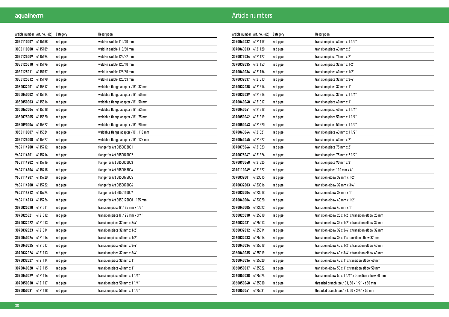| Article number Art. no. (old) |         | Category | Description                          |
|-------------------------------|---------|----------|--------------------------------------|
| 3030110007                    | 4115188 | red pipe | weld-in saddle 110/40 mm             |
| 3030110008                    | 4115189 | red pipe | weld-in saddle 110/50 mm             |
| 3030125009                    | 4115194 | red pipe | weld-in saddle 125/32 mm             |
| 3030125010                    | 4115196 | red pipe | weld-in saddle 125/40 mm             |
| 3030125011                    | 4115197 | red pipe | weld-in saddle 125/50 mm             |
| 3030125012                    | 4115198 | red pipe | weld-in saddle 125/63 mm             |
| 3050032001                    | 4115512 | red pipe | weldable flange adapter / B1, 32 mm  |
| 3050040002                    | 4115514 | red pipe | weldable flange adapter / B1, 40 mm  |
| 3050050003                    | 4115516 | red pipe | weldable flange adapter / B1, 50 mm  |
| 3050063004                    | 4115518 | red pipe | weldable flange adapter / B1, 63 mm  |
| 3050075005                    | 4115520 | red pipe | weldable flange adapter / B1, 75 mm  |
| 3050090006                    | 4115522 | red pipe | weldable flange adapter / B1, 90 mm  |
| 3050110007                    | 4115524 | red pipe | weldable flange adapter / B1, 110 mm |
| 3050125008                    | 4115527 | red pipe | weldable flange adapter / B1, 125 mm |
| 9604114200                    | 4115712 | red pipe | flange for Art 3050032001            |
| 9604114201                    | 4115714 | red pipe | flange for Art 3050040002            |
| 9604114202                    | 4115716 | red pipe | flange for Art 3050050003            |
| 9604114206                    | 4115718 | red pipe | flange for Art 3050063004            |
| 9604114207                    | 4115720 | red pipe | flange for Art 3050075005            |
| 9604114208                    | 4115722 | red pipe | flange for Art 3050090006            |
| 9604114212                    | 4115724 | red pipe | flange for Art 3050110007            |
| 9604114213 4115726            |         | red pipe | flange for Art 3050125008 - 125 mm   |
| 3070025020                    | 4121011 | red pipe | transition piece B1/25 mm x 1/2"     |
| 3070025021                    | 4121012 | red pipe | transition piece B1/25 mm x 3/4"     |
| 3070032022                    | 4121013 | red pipe | transition piece 32 mm x 3/4"        |
| 3070032023                    | 4121014 | red pipe | transition piece 32 mm x 1/2"        |
| 3070040024                    | 4121016 | red pipe | transition piece 40 mm x 1/2"        |
| 3070040025                    | 4121017 | red pipe | transition piece 40 mm x 3/4"        |
| 3070032026                    | 4121113 | red pipe | transition piece 32 mm x 3/4"        |
| 3070032027                    | 4121114 | red pipe | transition piece 32 mm x 1"          |
| 3070040028                    | 4121115 | red pipe | transition piece 40 mm x 1"          |
| 3070040029                    | 4121116 | red pipe | transition piece 40 mm x 1 1/4"      |
| 3070050030                    | 4121117 | red pipe | transition piece 50 mm x 1 1/4"      |
| 3070050031                    | 4121118 | red pipe | transition piece 50 mm x 1 1/2"      |

| Article number   Art. no. (old) |         | Category | Description                                                            |
|---------------------------------|---------|----------|------------------------------------------------------------------------|
| 3070063032                      | 4121119 | red pipe | transition piece 63 mm x 1 1/2"                                        |
| 3070063033                      | 4121120 | red pipe | transition piece 63 mm x 2"                                            |
| 3070075034                      | 4121122 | red pipe | transition piece 75 mm x 2"                                            |
| 3070032035                      | 4121153 | red pipe | transition piece 32 mm x 1/2"                                          |
| 3070040036                      | 4121154 | red pipe | transition piece 40 mm x 1/2"                                          |
| 3070032037                      | 4121313 | red pipe | transition piece 32 mm x 3/4"                                          |
| 3070032038                      | 4121314 | red pipe | transition piece 32 mm x 1"                                            |
| 3070032039                      | 4121316 | red pipe | transition piece 32 mm x 1 1/4"                                        |
| 3070040040                      | 4121317 | red pipe | transition piece 40 mm x 1"                                            |
| 3070040041                      | 4121318 | red pipe | transition piece 40 mm x 1 1/4"                                        |
| 3070050042                      | 4121319 | red pipe | transition piece 50 mm x 1 1/4"                                        |
| 3070050043                      | 4121320 | red pipe | transition piece 50 mm x 1 1/2"                                        |
| 3070063044                      | 4121321 | red pipe | transition piece $63$ mm x $11/2$ "                                    |
| 3070063045                      | 4121322 | red pipe | transition piece 63 mm x 2"                                            |
| 3070075046                      | 4121323 | red pipe | transition piece 75 mm x 2"                                            |
| 3070075047                      | 4121324 | red pipe | transition piece 75 mm x 2 1/2"                                        |
| 3070090048                      | 4121325 | red pipe | transition piece 90 mm x 3"                                            |
| 3070110049                      | 4121327 | red pipe | transition piece 110 mm x 4"                                           |
| 3070032001                      | 4123015 | red pipe | transition elbow 32 mm x 1/2"                                          |
| 3070032003                      | 4123016 | red pipe | transition elbow 32 mm x 3/4"                                          |
| 3070032004                      | 4123018 | red pipe | transition elbow 32 mm x 1"                                            |
| 3070040004                      | 4123020 | red pipe | transition elbow 40 mm x 1/2"                                          |
| 3070040005                      | 4123022 | red pipe | transition elbow 40 mm x 1"                                            |
| 3060025030                      | 4125010 | red pipe | transition elbow 25 x 1/2" x transition elbow 25 mm                    |
| 3060032031                      | 4125013 | red pipe | transition elbow 32 x 1/2" x transition elbow 32 mm                    |
| 3060032032                      | 4125014 | red pipe | transition elbow 32 x 3/4" x transition elbow 32 mm                    |
| 3060032033                      | 4125016 | red pipe | transition elbow 32 x 1"x transition elbow 32 mm                       |
| 3060040034                      | 4125018 | red pipe | transition elbow 40 x 1/2" x transition elbow 40 mm                    |
| 3060040035                      | 4125019 | red pipe | transition elbow 40 x 3/4" x transition elbow 40 mm                    |
| 3060040036                      | 4125020 | red pipe | transition elbow 40 x 1" x transition elbow 40 mm                      |
| 3060050037                      | 4125022 | red pipe | transition elbow 50 x 1" x transition elbow 50 mm                      |
| 3060050038                      | 4125024 | red pipe | transition elbow $50 \times 11/4$ " x transition elbow $50 \text{ mm}$ |
| 3060050040                      | 4125030 | red pipe | threaded branch tee $/$ B1, 50 x 1/2" x t 50 mm                        |
| 3060050041                      | 4125031 | red pipe | threaded branch tee $\sqrt{B1}$ , 50 x 3/4" x 50 mm                    |
|                                 |         |          |                                                                        |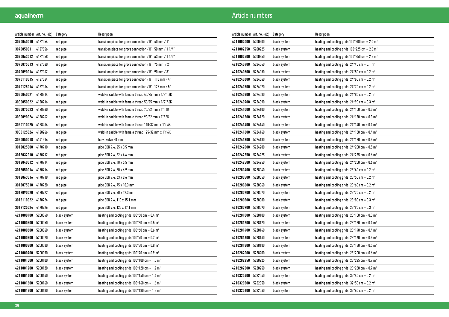| Article number Art. no. (old) |         | Category     | Description                                                            |
|-------------------------------|---------|--------------|------------------------------------------------------------------------|
| 3070040010                    | 4127054 | red pipe     | transition piece for grove connection / B1, 40 mm / 1"                 |
| 3070050011                    | 4127056 | red pipe     | transition piece for grove connection $/$ B1, 50 mm $/$ 1 1/4"         |
| 3070063012 4127058            |         | red pipe     | transition piece for grove connection $/$ B1, 63 mm $/$ 1 1/2"         |
| 3070075013                    | 4127060 | red pipe     | transition piece for grove connection $\sqrt{B1}$ , 75 mm $\sqrt{2}$ " |
| 3070090014 4127062            |         | red pipe     | transition piece for grove connection $/$ B1, 90 mm $/$ 3"             |
| 3070110015                    | 4127064 | red pipe     | transition piece for grove connection $/$ B1, 110 mm $/$ 4"            |
| 3070125016                    | 4127066 | red pipe     | transition piece for grove connection $/$ B1, 125 mm $/$ 5"            |
| 3030040021                    | 4128214 | red pipe     | weld-in saddle with female thread 40/25 mm x 1/2"f 6K                  |
| 3030050022                    | 4128216 | red pipe     | weld-in saddle with female thread 50/25 mm x 1/2"f 6K                  |
| 3030075023                    | 4128260 | red pipe     | weld-in saddle with female thread 75/32 mm x 1"f 6K                    |
| 3030090024                    | 4128262 | red pipe     | weld-in saddle with female thread 90/32 mm x 1"f 6K                    |
| 3030110025                    | 4128264 | red pipe     | weld-in saddle with female thread 110/32 mm x 1"f 6K                   |
| 3030125026                    | 4128266 | red pipe     | weld-in saddle with female thread 125/32 mm x 1"f 6K                   |
| 3050050018                    | 4141316 | red pipe     | balve valve 50 mm                                                      |
| 3012025008                    | 4170710 | red pipe     | pipe SDR 7.4, 25 x 3.5 mm                                              |
| 3012032010                    | 4170712 | red pipe     | pipe SDR 7.4, 32 x 4.4 mm                                              |
| 3012040012 4170714            |         | red pipe     | pipe SDR 7.4, 40 x 5.5 mm                                              |
| 3012050014 4170716            |         | red pipe     | pipe SDR 7.4, 50 x 6.9 mm                                              |
| 3012063016                    | 4170718 | red pipe     | pipe SDR 7.4, 63 x 8.6 mm                                              |
| 3012075018                    | 4170720 | red pipe     | pipe SDR 7.4, 75 x 10.3 mm                                             |
| 3012090020                    | 4170722 | red pipe     | pipe SDR 7.4, 90 x 12.3 mm                                             |
| 3012110022                    | 4170724 | red pipe     | pipe SDR 7.4, 110 x 15.1 mm                                            |
| 3012125024                    | 4170726 | red pipe     | pipe SDR 7.4, 125 x 17.1 mm                                            |
| 4211000400                    | 5200040 | black system | heating and cooling grids $100*50$ cm = 0.4 m <sup>2</sup>             |
| 4211000500                    | 5200050 | black system | heating and cooling grids $100*50$ cm = 0.5 m <sup>2</sup>             |
| 4211000600                    | 5200060 | black system | heating and cooling grids $100*60$ cm = 0.6 m <sup>2</sup>             |
| 4211000700                    | 5200070 | black system | heating and cooling grids $100*70$ cm = 0.7 m <sup>2</sup>             |
| 4211000800                    | 5200080 | black system | heating and cooling grids $100*80$ cm = 0.8 m <sup>2</sup>             |
| 4211000900                    | 5200090 | black system | heating and cooling grids $100*90$ cm = 0.9 m <sup>2</sup>             |
| 4211001000                    | 5200100 | black system | heating and cooling grids $100*100$ cm = 1.0 m <sup>2</sup>            |
| 4211001200                    | 5200120 | black system | heating and cooling grids $100*120$ cm = 1.2 m <sup>2</sup>            |
| 4211001400                    | 5200140 | black system | heating and cooling grids $100*140$ cm = 1.4 m <sup>2</sup>            |
| 4211001600                    | 5200160 | black system | heating and cooling grids $100*160$ cm = 1.6 m <sup>2</sup>            |
| 4211001800                    | 5200180 | black system | heating and cooling grids $100*180$ cm = 1.8 m <sup>2</sup>            |

| Article number Art. no. (old) |         | Category     | Description                                                 |
|-------------------------------|---------|--------------|-------------------------------------------------------------|
| 4211002000                    | 5200200 | black system | heating and cooling grids $100*200$ cm = 2.0 m <sup>2</sup> |
| 4211002250                    | 5200225 | black system | heating and cooling grids $100*225$ cm = 2.3 m <sup>2</sup> |
| 4211002500                    | 5200250 | black system | heating and cooling grids $100*250$ cm = 2.5 m <sup>2</sup> |
| 4210240400                    | 5224040 | black system | heating and cooling grids $24*40$ cm = 0.1 m <sup>2</sup>   |
| 4210240500                    | 5224050 | black system | heating and cooling grids $24*50$ cm = 0.2 m <sup>2</sup>   |
| 4210240600                    | 5224060 | black system | heating and cooling grids $24*60$ cm = 0.2 m <sup>2</sup>   |
| 4210240700                    | 5224070 | black system | heating and cooling grids $24*70$ cm = 0.2 m <sup>2</sup>   |
| 4210240800                    | 5224080 | black system | heating and cooling grids $24*80$ cm = 0.2 m <sup>2</sup>   |
| 4210240900                    | 5224090 | black system | heating and cooling grids $24*90$ cm = 0.3 m <sup>2</sup>   |
| 4210241000                    | 5224100 | black system | heating and cooling grids $24*100$ cm = 0.3 m <sup>2</sup>  |
| 4210241200                    | 5224120 | black system | heating and cooling grids $24*120$ cm = 0.3 m <sup>2</sup>  |
| 4210241400                    | 5224140 | black system | heating and cooling grids $24*140$ cm = 0.4 m <sup>2</sup>  |
| 4210241600                    | 5224160 | black system | heating and cooling grids $24*160$ cm = 0.4 m <sup>2</sup>  |
| 4210241800                    | 5224180 | black system | heating and cooling grids $24*180$ cm = 0.5 m <sup>2</sup>  |
| 4210242000                    | 5224200 | black system | heating and cooling grids $24*200$ cm = 0.5 m <sup>2</sup>  |
| 4210242250                    | 5224225 | black system | heating and cooling grids $24*225$ cm = 0.6 m <sup>2</sup>  |
| 4210242500                    | 5224250 | black system | heating and cooling grids $24*250$ cm = 0.6 m <sup>2</sup>  |
| 4210280400                    | 5228040 | black system | heating and cooling grids $28*40$ cm = 0.2 m <sup>2</sup>   |
| 4210280500                    | 5228050 | black system | heating and cooling grids $28*50$ cm = 0.2 m <sup>2</sup>   |
| 4210280600                    | 5228060 | black system | heating and cooling grids $28*60$ cm = 0.2 m <sup>2</sup>   |
| 4210280700                    | 5228070 | black system | heating and cooling grids $28*70$ cm = 0.2 m <sup>2</sup>   |
| 4210280800                    | 5228080 | black system | heating and cooling grids $28*80$ cm = 0.3 m <sup>2</sup>   |
| 4210280900                    | 5228090 | black system | heating and cooling grids $28*90$ cm = 0.3 m <sup>2</sup>   |
| 4210281000                    | 5228100 | black system | heating and cooling grids $28*100$ cm = 0.3 m <sup>2</sup>  |
| 4210281200                    | 5228120 | black system | heating and cooling grids $28*120$ cm = 0.4 m <sup>2</sup>  |
| 4210281400                    | 5228140 | black system | heating and cooling grids $28*140$ cm = 0.4 m <sup>2</sup>  |
| 4210281600                    | 5228160 | black system | heating and cooling grids $28*160$ cm = 0.5 m <sup>2</sup>  |
| 4210281800                    | 5228180 | black system | heating and cooling grids $28*180$ cm = 0.5 m <sup>2</sup>  |
| 4210282000                    | 5228200 | black system | heating and cooling grids $28*200$ cm = 0.6 m <sup>2</sup>  |
| 4210282250                    | 5228225 | black system | heating and cooling grids $28*225$ cm = 0.7 m <sup>2</sup>  |
| 4210282500                    | 5228250 | black system | heating and cooling grids $28*250$ cm = 0.7 m <sup>2</sup>  |
| 4210320400                    | 5232040 | black system | heating and cooling grids $32*40$ cm = 0.2 m <sup>2</sup>   |
| 4210320500                    | 5232050 | black system | heating and cooling grids $32*50$ cm = 0.2 m <sup>2</sup>   |
| 4210320600                    | 5232060 | black system | heating and cooling grids $32*60$ cm = 0.2 m <sup>2</sup>   |
|                               |         |              |                                                             |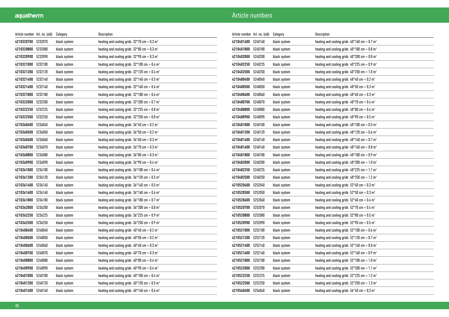| Article number   Art. no. (old) |         | Category     | Description                                                |
|---------------------------------|---------|--------------|------------------------------------------------------------|
| 4210320700                      | 5232070 | black system | heating and cooling grids $32*70$ cm = 0.3 m <sup>2</sup>  |
| 4210320800                      | 5232080 | black system | heating and cooling grids $32*80$ cm = 0.3 m <sup>2</sup>  |
| 4210320900                      | 5232090 | black system | heating and cooling grids $32*90$ cm = 0.3 m <sup>2</sup>  |
| 4210321000                      | 5232100 | black system | heating and cooling grids $32*100$ cm = 0.4 m <sup>2</sup> |
| 4210321200                      | 5232120 | black system | heating and cooling grids $32*120$ cm = 0.4 m <sup>2</sup> |
| 4210321400                      | 5232140 | black system | heating and cooling grids $32*140$ cm = 0.5 m <sup>2</sup> |
| 4210321600                      | 5232160 | black system | heating and cooling grids $32*160$ cm = 0.6 m <sup>2</sup> |
| 4210321800                      | 5232180 | black system | heating and cooling grids $32*180$ cm = 0.6 m <sup>2</sup> |
| 4210322000                      | 5232200 | black system | heating and cooling grids $32*200$ cm = 0.7 m <sup>2</sup> |
| 4210322250                      | 5232225 | black system | heating and cooling grids $32*225$ cm = 0.8 m <sup>2</sup> |
| 4210322500                      | 5232250 | black system | heating and cooling grids $32*250$ cm = 0.8 m <sup>2</sup> |
| 4210360400                      | 5236040 | black system | heating and cooling grids $36*40$ cm = 0.2 m <sup>2</sup>  |
| 4210360500                      | 5236050 | black system | heating and cooling grids $36*50$ cm = 0.2 m <sup>2</sup>  |
| 4210360600                      | 5236060 | black system | heating and cooling grids $36*60$ cm = 0.3 m <sup>2</sup>  |
| 4210360700                      | 5236070 | black system | heating and cooling grids $36*70$ cm = 0.3 m <sup>2</sup>  |
| 4210360800                      | 5236080 | black system | heating and cooling grids $36*80$ cm = 0.3 m <sup>2</sup>  |
| 4210360900                      | 5236090 | black system | heating and cooling grids $36*90$ cm = 0.4 m <sup>2</sup>  |
| 4210361000                      | 5236100 | black system | heating and cooling grids $36*100$ cm = 0.4 m <sup>2</sup> |
| 4210361200                      | 5236120 | black system | heating and cooling grids $36*120$ cm = 0.5 m <sup>2</sup> |
| 4210361400                      | 5236140 | black system | heating and cooling grids $36*140$ cm = 0.5 m <sup>2</sup> |
| 4210361600                      | 5236160 | black system | heating and cooling grids $36*160$ cm = 0.6 m <sup>2</sup> |
| 4210361800                      | 5236180 | black system | heating and cooling grids $36*180$ cm = 0.7 m <sup>2</sup> |
| 4210362000                      | 5236200 | black system | heating and cooling grids $36*200$ cm = 0.8 m <sup>2</sup> |
| 4210362250                      | 5236225 | black system | heating and cooling grids $36*225$ cm = 0.9 m <sup>2</sup> |
| 4210362500                      | 5236250 | black system | heating and cooling grids $36*250$ cm = 0.9 m <sup>2</sup> |
| 4210400400                      | 5240040 | black system | heating and cooling grids $40*40$ cm = 0.2 m <sup>2</sup>  |
| 4210400500                      | 5240050 | black system | heating and cooling grids $40*50$ cm = 0.2 m <sup>2</sup>  |
| 4210400600                      | 5240060 | black system | heating and cooling grids $40*60$ cm = 0.3 m <sup>2</sup>  |
| 4210400700                      | 5240070 | black system | heating and cooling grids $40*70$ cm = 0.3 m <sup>2</sup>  |
| 4210400800                      | 5240080 | black system | heating and cooling grids $40*80$ cm = 0.4 m <sup>2</sup>  |
| 4210400900                      | 5240090 | black system | heating and cooling grids $40*90$ cm = 0.4 m <sup>2</sup>  |
| 4210401000                      | 5240100 | black system | heating and cooling grids $40*100$ cm = 0.4 m <sup>2</sup> |
| 4210401200                      | 5240120 | black system | heating and cooling grids $40*120$ cm = 0.5 m <sup>2</sup> |
| 4210401400                      | 5240140 | black system | heating and cooling grids $40*140$ cm = 0.6 m <sup>2</sup> |

| Article number Art. no. (old) |         | Category     | Description                                                |
|-------------------------------|---------|--------------|------------------------------------------------------------|
| 4210401600                    | 5240160 | black system | heating and cooling grids $40*160$ cm = 0.7 m <sup>2</sup> |
| 4210401800                    | 5240180 | black system | heating and cooling grids $40*180$ cm = 0.8 m <sup>2</sup> |
| 4210402000                    | 5240200 | black system | heating and cooling grids $40*200$ cm = 0.8 m <sup>2</sup> |
| 4210402250                    | 5240225 | black system | heating and cooling grids $40*225$ cm = 0.9 m <sup>2</sup> |
| 4210402500                    | 5240250 | black system | heating and cooling grids $40*250$ cm = 1.0 m <sup>2</sup> |
| 4210480400                    | 5248040 | black system | heating and cooling grids $48*40$ cm = 0.2 m <sup>2</sup>  |
| 4210480500                    | 5248050 | black system | heating and cooling grids $48*50$ cm = 0.3 m <sup>2</sup>  |
| 4210480600                    | 5248060 | black system | heating and cooling grids $48*60$ cm = 0.3 m <sup>2</sup>  |
| 4210480700                    | 5248070 | black system | heating and cooling grids $48*70$ cm = 0.4 m <sup>2</sup>  |
| 4210480800                    | 5248080 | black system | heating and cooling grids $48*80$ cm = 0.4 m <sup>2</sup>  |
| 4210480900                    | 5248090 | black system | heating and cooling grids $48*90$ cm = 0.5 m <sup>2</sup>  |
| 4210481000                    | 5248100 | black system | heating and cooling grids $48*100$ cm = 0.5 m <sup>2</sup> |
| 4210481200                    | 5248120 | black system | heating and cooling grids $48*120$ cm = 0.6 m <sup>2</sup> |
| 4210481400                    | 5248140 | black system | heating and cooling grids $48*140$ cm = 0.7 m <sup>2</sup> |
| 4210481600                    | 5248160 | black system | heating and cooling grids $48*160$ cm = 0.8 m <sup>2</sup> |
| 4210481800                    | 5248180 | black system | heating and cooling grids $48*180$ cm = 0.9 m <sup>2</sup> |
| 4210482000                    | 5248200 | black system | heating and cooling grids $48*200$ cm = 1.0 m <sup>2</sup> |
| 4210482250                    | 5248225 | black system | heating and cooling grids $48*225$ cm = 1.1 m <sup>2</sup> |
| 4210482500                    | 5248250 | black system | heating and cooling grids $48*250$ cm = 1.2 m <sup>2</sup> |
| 4210520400                    | 5252040 | black system | heating and cooling grids $52*40$ cm = 0.3 m <sup>2</sup>  |
| 4210520500                    | 5252050 | black system | heating and cooling grids $52*50$ cm = 0.3 m <sup>2</sup>  |
| 4210520600                    | 5252060 | black system | heating and cooling grids $52*60$ cm = 0.4 m <sup>2</sup>  |
| 4210520700                    | 5252070 | black system | heating and cooling grids $52*70$ cm = 0.4 m <sup>2</sup>  |
| 4210520800                    | 5252080 | black system | heating and cooling grids $52*80$ cm = 0.5 m <sup>2</sup>  |
| 4210520900                    | 5252090 | black system | heating and cooling grids $52*90$ cm = 0.5 m <sup>2</sup>  |
| 4210521000                    | 5252100 | black system | heating and cooling grids $52*100$ cm = 0.6 m <sup>2</sup> |
| 4210521200                    | 5252120 | black system | heating and cooling grids $52*120$ cm = 0.7 m <sup>2</sup> |
| 4210521400                    | 5252140 | black system | heating and cooling grids $52*140$ cm = 0.8 m <sup>2</sup> |
| 4210521600                    | 5252160 | black system | heating and cooling grids $52*160$ cm = 0.9 m <sup>2</sup> |
| 4210521800                    | 5252180 | black system | heating and cooling grids $52*180$ cm = 1.0 m <sup>2</sup> |
| 4210522000                    | 5252200 | black system | heating and cooling grids $52*200$ cm = 1.1 m <sup>2</sup> |
| 4210522250                    | 5252225 | black system | heating and cooling grids $52*225$ cm = 1.2 m <sup>2</sup> |
| 4210522500                    | 5252250 | black system | heating and cooling grids $52*250$ cm = 1.3 m <sup>2</sup> |
| 4210560400                    | 5256040 | black system | heating and cooling grids $56*40$ cm = 0.3 m <sup>2</sup>  |
|                               |         |              |                                                            |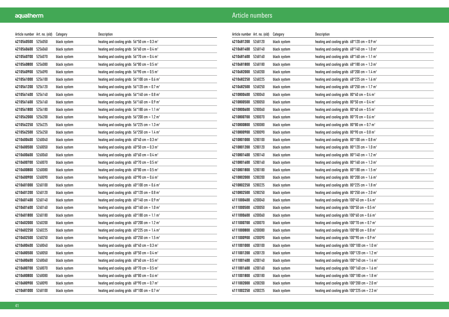| Article number   Art. no. (old) |         | Category     | Description                                                |
|---------------------------------|---------|--------------|------------------------------------------------------------|
| 4210560500                      | 5256050 | black system | heating and cooling grids $56*50$ cm = 0.3 m <sup>2</sup>  |
| 4210560600                      | 5256060 | black system | heating and cooling grids $56*60$ cm = 0.4 m <sup>2</sup>  |
| 4210560700                      | 5256070 | black system | heating and cooling grids $56*70$ cm = 0.4 m <sup>2</sup>  |
| 4210560800                      | 5256080 | black system | heating and cooling grids $56*80$ cm = 0.5 m <sup>2</sup>  |
| 4210560900                      | 5256090 | black system | heating and cooling grids $56*90$ cm = 0.5 m <sup>2</sup>  |
| 4210561000                      | 5256100 | black system | heating and cooling grids $56*100$ cm = 0.6 m <sup>2</sup> |
| 4210561200                      | 5256120 | black system | heating and cooling grids $56*120$ cm = 0.7 m <sup>2</sup> |
| 4210561400                      | 5256140 | black system | heating and cooling grids $56*140$ cm = 0.8 m <sup>2</sup> |
| 4210561600                      | 5256160 | black system | heating and cooling grids $56*160$ cm = 0.9 m <sup>2</sup> |
| 4210561800                      | 5256180 | black system | heating and cooling grids $56*180$ cm = 1.1 m <sup>2</sup> |
| 4210562000                      | 5256200 | black system | heating and cooling grids $56*200$ cm = 1.2 m <sup>2</sup> |
| 4210562250                      | 5256225 | black system | heating and cooling grids $56*225$ cm = 1.3 m <sup>2</sup> |
| 4210562500                      | 5256250 | black system | heating and cooling grids $56*250$ cm = 1.4 m <sup>2</sup> |
| 4210600400                      | 5260040 | black system | heating and cooling grids $60*40$ cm = 0.3 m <sup>2</sup>  |
| 4210600500                      | 5260050 | black system | heating and cooling grids $60*50$ cm = 0.3 m <sup>2</sup>  |
| 4210600600                      | 5260060 | black system | heating and cooling grids $60*60$ cm = 0.4 m <sup>2</sup>  |
| 4210600700                      | 5260070 | black system | heating and cooling grids $60*70$ cm = 0.5 m <sup>2</sup>  |
| 4210600800                      | 5260080 | black system | heating and cooling grids $60*80$ cm = 0.5 m <sup>2</sup>  |
| 4210600900                      | 5260090 | black system | heating and cooling grids $60*90$ cm = 0.6 m <sup>2</sup>  |
| 4210601000                      | 5260100 | black system | heating and cooling grids $60*100$ cm = 0.6 m <sup>2</sup> |
| 4210601200                      | 5260120 | black system | heating and cooling grids $60*120$ cm = 0.8 m <sup>2</sup> |
| 4210601400                      | 5260140 | black system | heating and cooling grids $60*140$ cm = 0.9 m <sup>2</sup> |
| 4210601600                      | 5260160 | black system | heating and cooling grids $60*160$ cm = 1.0 m <sup>2</sup> |
| 4210601800                      | 5260180 | black system | heating and cooling grids $60*180$ cm = 1.1 m <sup>2</sup> |
| 4210602000                      | 5260200 | black system | heating and cooling grids $60*200$ cm = 1.2 m <sup>2</sup> |
| 4210602250                      | 5260225 | black system | heating and cooling grids $60*225$ cm = 1.4 m <sup>2</sup> |
| 4210602500                      | 5260250 | black system | heating and cooling grids $60*250$ cm = 1.5 m <sup>2</sup> |
| 4210680400                      | 5268040 | black system | heating and cooling grids $68*40$ cm = 0.3 m <sup>2</sup>  |
| 4210680500                      | 5268050 | black system | heating and cooling grids $68*50$ cm = 0.4 m <sup>2</sup>  |
| 4210680600                      | 5268060 | black system | heating and cooling grids $68*60$ cm = 0.5 m <sup>2</sup>  |
| 4210680700                      | 5268070 | black system | heating and cooling grids $68*70$ cm = 0.5 m <sup>2</sup>  |
| 4210680800                      | 5268080 | black system | heating and cooling grids $68*80$ cm = 0.6 m <sup>2</sup>  |
| 4210680900                      | 5268090 | black system | heating and cooling grids $68*90$ cm = 0.7 m <sup>2</sup>  |
| 4210681000                      | 5268100 | black system | heating and cooling grids $68*100$ cm = 0.7 m <sup>2</sup> |

| Article number Art. no. (old) |         | Category     | Description                                                 |
|-------------------------------|---------|--------------|-------------------------------------------------------------|
| 4210681200                    | 5268120 | black system | heating and cooling grids $68*120$ cm = 0.9 m <sup>2</sup>  |
| 4210681400                    | 5268140 | black system | heating and cooling grids $68*140$ cm = 1.0 m <sup>2</sup>  |
| 4210681600                    | 5268160 | black system | heating and cooling grids $68*160$ cm = 1.1 m <sup>2</sup>  |
| 4210681800                    | 5268180 | black system | heating and cooling grids $68*180$ cm = 1.3 m <sup>2</sup>  |
| 4210682000                    | 5268200 | black system | heating and cooling grids $68*200$ cm = 1.4 m <sup>2</sup>  |
| 4210682250                    | 5268225 | black system | heating and cooling grids $68*225$ cm = 1.6 m <sup>2</sup>  |
| 4210682500                    | 5268250 | black system | heating and cooling grids $68*250$ cm = 1.7 m <sup>2</sup>  |
| 4210800400                    | 5280040 | black system | heating and cooling grids $80*40$ cm = 0.4 m <sup>2</sup>   |
| 4210800500                    | 5280050 | black system | heating and cooling grids $80*50$ cm = 0.4 m <sup>2</sup>   |
| 4210800600                    | 5280060 | black system | heating and cooling grids $80*60$ cm = 0.5 m <sup>2</sup>   |
| 4210800700                    | 5280070 | black system | heating and cooling grids $80*70$ cm = 0.6 m <sup>2</sup>   |
| 4210800800                    | 5280080 | black system | heating and cooling grids $80*80$ cm = 0.7 m <sup>2</sup>   |
| 4210800900                    | 5280090 | black system | heating and cooling grids $80*90$ cm = 0.8 m <sup>2</sup>   |
| 4210801000                    | 5280100 | black system | heating and cooling grids $80*100$ cm = 0.8 m <sup>2</sup>  |
| 4210801200                    | 5280120 | black system | heating and cooling grids $80*120$ cm = 1.0 m <sup>2</sup>  |
| 4210801400                    | 5280140 | black system | heating and cooling grids $80*140$ cm = 1.2 m <sup>2</sup>  |
| 4210801600                    | 5280160 | black system | heating and cooling grids $80*160$ cm = 1.3 m <sup>2</sup>  |
| 4210801800                    | 5280180 | black system | heating and cooling grids $80*180$ cm = 1.5 m <sup>2</sup>  |
| 4210802000                    | 5280200 | black system | heating and cooling grids $80^*200$ cm = 1.6 m <sup>2</sup> |
| 4210802250                    | 5280225 | black system | heating and cooling grids $80*225$ cm = 1.8 m <sup>2</sup>  |
| 4210802500                    | 5280250 | black system | heating and cooling grids $80^*250$ cm = 2.0 m <sup>2</sup> |
| 4111000400                    | 6200040 | black system | heating and cooling grids $100*40$ cm = 0.4 m <sup>2</sup>  |
| 4111000500                    | 6200050 | black system | heating and cooling grids $100*50$ cm = 0.5 m <sup>2</sup>  |
| 4111000600                    | 6200060 | black system | heating and cooling grids $100*60$ cm = 0.6 m <sup>2</sup>  |
| 4111000700                    | 6200070 | black system | heating and cooling grids $100*70$ cm = 0.7 m <sup>2</sup>  |
| 4111000800                    | 6200080 | black system | heating and cooling grids $100*80$ cm = 0.8 m <sup>2</sup>  |
| 4111000900                    | 6200090 | black system | heating and cooling grids $100*90$ cm = 0.9 m <sup>2</sup>  |
| 4111001000                    | 6200100 | black system | heating and cooling grids $100*100$ cm = 1.0 m <sup>2</sup> |
| 4111001200                    | 6200120 | black system | heating and cooling grids $100*120$ cm = 1.2 m <sup>2</sup> |
| 4111001400                    | 6200140 | black system | heating and cooling grids $100*140$ cm = 1.4 m <sup>2</sup> |
| 4111001600                    | 6200160 | black system | heating and cooling grids $100*160$ cm = 1.6 m <sup>2</sup> |
| 4111001800                    | 6200180 | black system | heating and cooling grids $100*180$ cm = 1.8 m <sup>2</sup> |
| 4111002000                    | 6200200 | black system | heating and cooling grids $100*200$ cm = 2.0 m <sup>2</sup> |
| 4111002250                    | 6200225 | black system | heating and cooling grids $100*225$ cm = 2.3 m <sup>2</sup> |
|                               |         |              |                                                             |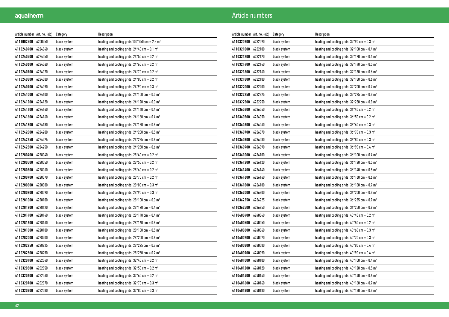| Article number   Art. no. (old) |         | Category     | Description                                                 |
|---------------------------------|---------|--------------|-------------------------------------------------------------|
| 4111002500                      | 6200250 | black system | heating and cooling grids $100*250$ cm = 2.5 m <sup>2</sup> |
| 4110240400                      | 6224040 | black system | heating and cooling grids $24*40$ cm = 0.1 m <sup>2</sup>   |
| 4110240500                      | 6224050 | black system | heating and cooling grids $24*50$ cm = 0.2 m <sup>2</sup>   |
| 4110240600                      | 6224060 | black system | heating and cooling grids $24*60$ cm = 0.2 m <sup>2</sup>   |
| 4110240700                      | 6224070 | black system | heating and cooling grids $24*70$ cm = 0.2 m <sup>2</sup>   |
| 4110240800                      | 6224080 | black system | heating and cooling grids $24*80$ cm = 0.2 m <sup>2</sup>   |
| 4110240900                      | 6224090 | black system | heating and cooling grids $24*90$ cm = 0.3 m <sup>2</sup>   |
| 4110241000                      | 6224100 | black system | heating and cooling grids $24*100$ cm = 0.3 m <sup>2</sup>  |
| 4110241200                      | 6224120 | black system | heating and cooling grids $24*120$ cm = 0.3 m <sup>2</sup>  |
| 4110241400                      | 6224140 | black system | heating and cooling grids $24*140$ cm = 0.4 m <sup>2</sup>  |
| 4110241600                      | 6224160 | black system | heating and cooling grids $24*160$ cm = 0.4 m <sup>2</sup>  |
| 4110241800                      | 6224180 | black system | heating and cooling grids $24*180$ cm = 0.5 m <sup>2</sup>  |
| 4110242000                      | 6224200 | black system | heating and cooling grids $24*200$ cm = 0.5 m <sup>2</sup>  |
| 4110242250                      | 6224225 | black system | heating and cooling grids $24*225$ cm = 0.6 m <sup>2</sup>  |
| 4110242500                      | 6224250 | black system | heating and cooling grids $24*250$ cm = 0.6 m <sup>2</sup>  |
| 4110280400                      | 6228040 | black system | heating and cooling grids $28*40$ cm = 0.2 m <sup>2</sup>   |
| 4110280500                      | 6228050 | black system | heating and cooling grids $28*50$ cm = 0.2 m <sup>2</sup>   |
| 4110280600                      | 6228060 | black system | heating and cooling grids $28*60$ cm = 0.2 m <sup>2</sup>   |
| 4110280700                      | 6228070 | black system | heating and cooling grids $28*70$ cm = 0.2 m <sup>2</sup>   |
| 4110280800                      | 6228080 | black system | heating and cooling grids $28*80$ cm = 0.3 m <sup>2</sup>   |
| 4110280900                      | 6228090 | black system | heating and cooling grids $28*90$ cm = 0.3 m <sup>2</sup>   |
| 4110281000                      | 6228100 | black system | heating and cooling grids $28*100$ cm = 0.3 m <sup>2</sup>  |
| 4110281200                      | 6228120 | black system | heating and cooling grids $28*120$ cm = 0.4 m <sup>2</sup>  |
| 4110281400                      | 6228140 | black system | heating and cooling grids $28*140$ cm = 0.4 m <sup>2</sup>  |
| 4110281600                      | 6228160 | black system | heating and cooling grids $28*160$ cm = 0.5 m <sup>2</sup>  |
| 4110281800                      | 6228180 | black system | heating and cooling grids $28*180$ cm = 0.5 m <sup>2</sup>  |
| 4110282000                      | 6228200 | black system | heating and cooling grids $28*200$ cm = 0.6 m <sup>2</sup>  |
| 4110282250                      | 6228225 | black system | heating and cooling grids $28*225$ cm = 0.7 m <sup>2</sup>  |
| 4110282500                      | 6228250 | black system | heating and cooling grids $28*250$ cm = 0.7 m <sup>2</sup>  |
| 4110320400                      | 6232040 | black system | heating and cooling grids $32*40$ cm = 0.2 m <sup>2</sup>   |
| 4110320500                      | 6232050 | black system | heating and cooling grids $32*50$ cm = 0.2 m <sup>2</sup>   |
| 4110320600                      | 6232060 | black system | heating and cooling grids $32*60$ cm = 0.2 m <sup>2</sup>   |
| 4110320700                      | 6232070 | black system | heating and cooling grids $32*70$ cm = 0.3 m <sup>2</sup>   |
| 4110320800                      | 6232080 | black system | heating and cooling grids $32*80$ cm = 0.3 m <sup>2</sup>   |

| Article number Art. no. (old) |         | Category     | Description                                                |
|-------------------------------|---------|--------------|------------------------------------------------------------|
| 4110320900                    | 6232090 | black system | heating and cooling grids $32*90$ cm = 0.3 m <sup>2</sup>  |
| 4110321000                    | 6232100 | black system | heating and cooling grids $32*100$ cm = 0.4 m <sup>2</sup> |
| 4110321200                    | 6232120 | black system | heating and cooling grids $32*120$ cm = 0.4 m <sup>2</sup> |
| 4110321400                    | 6232140 | black system | heating and cooling grids $32*140$ cm = 0.5 m <sup>2</sup> |
| 4110321600                    | 6232160 | black system | heating and cooling grids $32*160$ cm = 0.6 m <sup>2</sup> |
| 4110321800                    | 6232180 | black system | heating and cooling grids $32*180$ cm = 0.6 m <sup>2</sup> |
| 4110322000                    | 6232200 | black system | heating and cooling grids $32*200$ cm = 0.7 m <sup>2</sup> |
| 4110322250                    | 6232225 | black system | heating and cooling grids $32*225$ cm = 0.8 m <sup>2</sup> |
| 4110322500                    | 6232250 | black system | heating and cooling grids $32*250$ cm = 0.8 m <sup>2</sup> |
| 4110360400                    | 6236040 | black system | heating and cooling grids $36*40$ cm = 0.2 m <sup>2</sup>  |
| 4110360500                    | 6236050 | black system | heating and cooling grids $36*50$ cm = 0.2 m <sup>2</sup>  |
| 4110360600                    | 6236060 | black system | heating and cooling grids $36*60$ cm = 0.3 m <sup>2</sup>  |
| 4110360700                    | 6236070 | black system | heating and cooling grids $36*70$ cm = 0.3 m <sup>2</sup>  |
| 4110360800                    | 6236080 | black system | heating and cooling grids $36*80$ cm = 0.3 m <sup>2</sup>  |
| 4110360900                    | 6236090 | black system | heating and cooling grids $36*90$ cm = 0.4 m <sup>2</sup>  |
| 4110361000                    | 6236100 | black system | heating and cooling grids $36*100$ cm = 0.4 m <sup>2</sup> |
| 4110361200                    | 6236120 | black system | heating and cooling grids $36*120$ cm = 0.5 m <sup>2</sup> |
| 4110361400                    | 6236140 | black system | heating and cooling grids $36*140$ cm = 0.5 m <sup>2</sup> |
| 4110361600                    | 6236160 | black system | heating and cooling grids $36*160$ cm = 0.6 m <sup>2</sup> |
| 4110361800                    | 6236180 | black system | heating and cooling grids $36*180$ cm = 0.7 m <sup>2</sup> |
| 4110362000                    | 6236200 | black system | heating and cooling grids $36*200$ cm = 0.8 m <sup>2</sup> |
| 4110362250                    | 6236225 | black system | heating and cooling grids $36*225$ cm = 0.9 m <sup>2</sup> |
| 4110362500                    | 6236250 | black system | heating and cooling grids $36*250$ cm = 0.9 m <sup>2</sup> |
| 4110400400                    | 6240040 | black system | heating and cooling grids $40*40$ cm = 0.2 m <sup>2</sup>  |
| 4110400500                    | 6240050 | black system | heating and cooling grids $40*50$ cm = 0.2 m <sup>2</sup>  |
| 4110400600                    | 6240060 | black system | heating and cooling grids $40*60$ cm = 0.3 m <sup>2</sup>  |
| 4110400700                    | 6240070 | black system | heating and cooling grids $40*70$ cm = 0.3 m <sup>2</sup>  |
| 4110400800                    | 6240080 | black system | heating and cooling grids $40*80$ cm = 0.4 m <sup>2</sup>  |
| 4110400900                    | 6240090 | black system | heating and cooling grids $40*90$ cm = 0.4 m <sup>2</sup>  |
| 4110401000                    | 6240100 | black system | heating and cooling grids $40*100$ cm = 0.4 m <sup>2</sup> |
| 4110401200                    | 6240120 | black system | heating and cooling grids $40*120$ cm = 0.5 m <sup>2</sup> |
| 4110401400                    | 6240140 | black system | heating and cooling grids $40*140$ cm = 0.6 m <sup>2</sup> |
| 4110401600                    | 6240160 | black system | heating and cooling grids $40*160$ cm = 0.7 m <sup>2</sup> |
| 4110401800                    | 6240180 | black system | heating and cooling grids $40*180$ cm = 0.8 m <sup>2</sup> |
|                               |         |              |                                                            |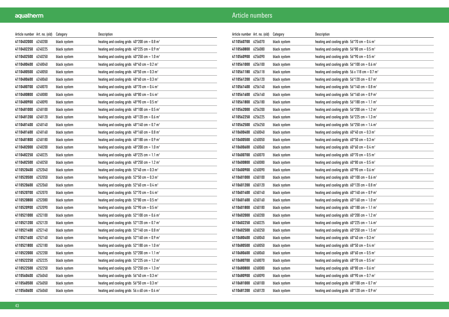| Article number   Art. no. (old) |         | Category     | Description                                                 |
|---------------------------------|---------|--------------|-------------------------------------------------------------|
| 4110402000                      | 6240200 | black system | heating and cooling grids $40*200$ cm = 0.8 m <sup>2</sup>  |
| 4110402250                      | 6240225 | black system | heating and cooling grids $40*225$ cm = 0.9 m <sup>2</sup>  |
| 4110402500                      | 6240250 | black system | heating and cooling grids $40*250$ cm = 1.0 m <sup>2</sup>  |
| 4110480400                      | 6248040 | black system | heating and cooling grids $48*40$ cm = 0.2 m <sup>2</sup>   |
| 4110480500                      | 6248050 | black system | heating and cooling grids $48*50$ cm = 0.3 m <sup>2</sup>   |
| 4110480600                      | 6248060 | black system | heating and cooling grids $48*60$ cm = 0.3 m <sup>2</sup>   |
| 4110480700                      | 6248070 | black system | heating and cooling grids $48*70$ cm = 0.4 m <sup>2</sup>   |
| 4110480800                      | 6248080 | black system | heating and cooling grids $48*80$ cm = 0.4 m <sup>2</sup>   |
| 4110480900                      | 6248090 | black system | heating and cooling grids $48*90$ cm = 0.5 m <sup>2</sup>   |
| 4110481000                      | 6248100 | black system | heating and cooling grids $48*100$ cm = 0.5 m <sup>2</sup>  |
| 4110481200                      | 6248120 | black system | heating and cooling grids $48*120$ cm = 0.6 m <sup>2</sup>  |
| 4110481400                      | 6248140 | black system | heating and cooling grids $48*140$ cm = 0.7 m <sup>2</sup>  |
| 4110481600                      | 6248160 | black system | heating and cooling grids $48*160$ cm = 0.8 m <sup>2</sup>  |
| 4110481800                      | 6248180 | black system | heating and cooling grids $48*180$ cm = 0.9 m <sup>2</sup>  |
| 4110482000                      | 6248200 | black system | heating and cooling grids $48*200$ cm = 1.0 m <sup>2</sup>  |
| 4110482250                      | 6248225 | black system | heating and cooling grids $48*225$ cm = 1.1 m <sup>2</sup>  |
| 4110482500                      | 6248250 | black system | heating and cooling grids $48*250$ cm = 1.2 m <sup>2</sup>  |
| 4110520400                      | 6252040 | black system | heating and cooling grids $52*40$ cm = 0.3 m <sup>2</sup>   |
| 4110520500                      | 6252050 | black system | heating and cooling grids $52*50$ cm = 0.3 m <sup>2</sup>   |
| 4110520600                      | 6252060 | black system | heating and cooling grids $52*60$ cm = 0.4 m <sup>2</sup>   |
| 4110520700                      | 6252070 | black system | heating and cooling grids $52*70$ cm = 0.4 m <sup>2</sup>   |
| 4110520800                      | 6252080 | black system | heating and cooling grids $52*80$ cm = 0.5 m <sup>2</sup>   |
| 4110520900                      | 6252090 | black system | heating and cooling grids $52*90$ cm = 0.5 m <sup>2</sup>   |
| 4110521000                      | 6252100 | black system | heating and cooling grids $52*100$ cm = 0.6 m <sup>2</sup>  |
| 4110521200                      | 6252120 | black system | heating and cooling grids $52*120$ cm = 0.7 m <sup>2</sup>  |
| 4110521400                      | 6252140 | black system | heating and cooling grids $52*140$ cm = 0.8 m <sup>2</sup>  |
| 4110521600                      | 6252160 | black system | heating and cooling grids $52*160$ cm = 0.9 m <sup>2</sup>  |
| 4110521800                      | 6252180 | black system | heating and cooling grids $52*180$ cm = 1.0 m <sup>2</sup>  |
| 4110522000                      | 6252200 | black system | heating and cooling grids $52*200$ cm = 1.1 m <sup>2</sup>  |
| 4110522250                      | 6252225 | black system | heating and cooling grids $52*225$ cm = 1.2 m <sup>2</sup>  |
| 4110522500                      | 6252250 | black system | heating and cooling grids $52*250$ cm = 1.3 m <sup>2</sup>  |
| 4110560400                      | 6256040 | black system | heating and cooling grids $56*40$ cm = 0.3 m <sup>2</sup>   |
| 4110560500                      | 6256050 | black system | heating and cooling grids $56*50$ cm = 0.3 m <sup>2</sup>   |
| 4110560600                      | 6256060 | black system | heating and cooling grids 56 x 60 cm = $0.4$ m <sup>2</sup> |

| Article number Art. no. (old) |         | Category     | Description                                                       |
|-------------------------------|---------|--------------|-------------------------------------------------------------------|
| 4110560700                    | 6256070 | black system | heating and cooling grids $56*70$ cm = 0.4 m <sup>2</sup>         |
| 4110560800                    | 6256080 | black system | heating and cooling grids $56*80$ cm = 0.5 m <sup>2</sup>         |
| 4110560900                    | 6256090 | black system | heating and cooling grids $56*90$ cm = 0.5 m <sup>2</sup>         |
| 4110561000                    | 6256100 | black system | heating and cooling grids $56*100$ cm = 0.6 m <sup>2</sup>        |
| 4110561180                    | 6256118 | black system | heating and cooling grids $56 \times 118$ cm = 0.7 m <sup>2</sup> |
| 4110561200                    | 6256120 | black system | heating and cooling grids $56*120$ cm = 0.7 m <sup>2</sup>        |
| 4110561400                    | 6256140 | black system | heating and cooling grids $56*140$ cm = 0.8 m <sup>2</sup>        |
| 4110561600                    | 6256160 | black system | heating and cooling grids $56*160$ cm = 0.9 m <sup>2</sup>        |
| 4110561800                    | 6256180 | black system | heating and cooling grids $56*180$ cm = 1.1 m <sup>2</sup>        |
| 4110562000                    | 6256200 | black system | heating and cooling grids $56*200$ cm = 1.2 m <sup>2</sup>        |
| 4110562250                    | 6256225 | black system | heating and cooling grids $56*225$ cm = 1.3 m <sup>2</sup>        |
| 4110562500                    | 6256250 | black system | heating and cooling grids $56*250$ cm = 1.4 m <sup>2</sup>        |
| 4110600400                    | 6260040 | black system | heating and cooling grids $60*40$ cm = 0.3 m <sup>2</sup>         |
| 4110600500                    | 6260050 | black system | heating and cooling grids $60*50$ cm = 0.3 m <sup>2</sup>         |
| 4110600600                    | 6260060 | black system | heating and cooling grids $60*60$ cm = 0.4 m <sup>2</sup>         |
| 4110600700                    | 6260070 | black system | heating and cooling grids $60*70$ cm = 0.5 m <sup>2</sup>         |
| 4110600800                    | 6260080 | black system | heating and cooling grids $60*80$ cm = 0.5 m <sup>2</sup>         |
| 4110600900                    | 6260090 | black system | heating and cooling grids $60*90$ cm = 0.6 m <sup>2</sup>         |
| 4110601000                    | 6260100 | black system | heating and cooling grids $60*100$ cm = 0.6 m <sup>2</sup>        |
| 4110601200                    | 6260120 | black system | heating and cooling grids $60*120$ cm = 0.8 m <sup>2</sup>        |
| 4110601400                    | 6260140 | black system | heating and cooling grids $60*140$ cm = 0.9 m <sup>2</sup>        |
| 4110601600                    | 6260160 | black system | heating and cooling grids $60*160$ cm = 1.0 m <sup>2</sup>        |
| 4110601800                    | 6260180 | black system | heating and cooling grids $60*180$ cm = 1.1 m <sup>2</sup>        |
| 4110602000                    | 6260200 | black system | heating and cooling grids $60*200$ cm = 1.2 m <sup>2</sup>        |
| 4110602250                    | 6260225 | black system | heating and cooling grids $60^*225$ cm = 1.4 m <sup>2</sup>       |
| 4110602500                    | 6260250 | black system | heating and cooling grids $60^*250$ cm = 1.5 m <sup>2</sup>       |
| 4110680400                    | 6268040 | black system | heating and cooling grids $68*40$ cm = 0.3 m <sup>2</sup>         |
| 4110680500                    | 6268050 | black system | heating and cooling grids $68*50$ cm = 0.4 m <sup>2</sup>         |
| 4110680600                    | 6268060 | black system | heating and cooling grids $68*60$ cm = 0.5 m <sup>2</sup>         |
| 4110680700                    | 6268070 | black system | heating and cooling grids $68*70$ cm = 0.5 m <sup>2</sup>         |
| 4110680800                    | 6268080 | black system | heating and cooling grids $68*80$ cm = 0.6 m <sup>2</sup>         |
| 4110680900                    | 6268090 | black system | heating and cooling grids $68*90$ cm = 0.7 m <sup>2</sup>         |
| 4110681000                    | 6268100 | black system | heating and cooling grids $68*100$ cm = 0.7 m <sup>2</sup>        |
| 4110681200                    | 6268120 | black system | heating and cooling grids $68*120$ cm = 0.9 m <sup>2</sup>        |
|                               |         |              |                                                                   |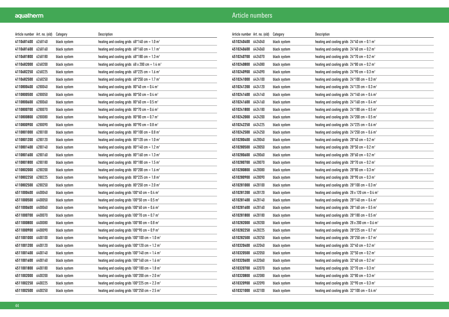| Article number Art. no. (old) |         | Category     | Description                                                       |
|-------------------------------|---------|--------------|-------------------------------------------------------------------|
| 4110681400                    | 6268140 | black system | heating and cooling grids $68*140$ cm = 1.0 m <sup>2</sup>        |
| 4110681600                    | 6268160 | black system | heating and cooling grids $68*160$ cm = 1.1 m <sup>2</sup>        |
| 4110681800                    | 6268180 | black system | heating and cooling grids $68*180$ cm = 1.3 m <sup>2</sup>        |
| 4110682000                    | 6268200 | black system | heating and cooling grids $68 \times 200$ cm = 1.4 m <sup>2</sup> |
| 4110682250                    | 6268225 | black system | heating and cooling grids $68*225$ cm = 1.6 m <sup>2</sup>        |
| 4110682500                    | 6268250 | black system | heating and cooling grids $68*250$ cm = 1.7 m <sup>2</sup>        |
| 4110800400                    | 6280040 | black system | heating and cooling grids $80*40$ cm = 0.4 m <sup>2</sup>         |
| 4110800500                    | 6280050 | black system | heating and cooling grids $80*50$ cm = 0.4 m <sup>2</sup>         |
| 4110800600                    | 6280060 | black system | heating and cooling grids $80*60$ cm = 0.5 m <sup>2</sup>         |
| 4110800700                    | 6280070 | black system | heating and cooling grids $80*70$ cm = 0.6 m <sup>2</sup>         |
| 4110800800                    | 6280080 | black system | heating and cooling grids $80*80$ cm = 0.7 m <sup>2</sup>         |
| 4110800900                    | 6280090 | black system | heating and cooling grids $80*90$ cm = 0.8 m <sup>2</sup>         |
| 4110801000                    | 6280100 | black system | heating and cooling grids $80*100$ cm = 0.8 m <sup>2</sup>        |
| 4110801200                    | 6280120 | black system | heating and cooling grids $80*120$ cm = 1.0 m <sup>2</sup>        |
| 4110801400                    | 6280140 | black system | heating and cooling grids $80*140$ cm = 1.2 m <sup>2</sup>        |
| 4110801600                    | 6280160 | black system | heating and cooling grids $80*160$ cm = 1.3 m <sup>2</sup>        |
| 4110801800                    | 6280180 | black system | heating and cooling grids $80*180$ cm = 1.5 m <sup>2</sup>        |
| 4110802000                    | 6280200 | black system | heating and cooling grids $80*200$ cm = 1.6 m <sup>2</sup>        |
| 4110802250                    | 6280225 | black system | heating and cooling grids $80*225$ cm = 1.8 m <sup>2</sup>        |
| 4110802500                    | 6280250 | black system | heating and cooling grids $80*250$ cm = 2.0 m <sup>2</sup>        |
| 4511000400                    | 6400040 | black system | heating and cooling grids $100*40$ cm = 0.4 m <sup>2</sup>        |
| 4511000500                    | 6400050 | black system | heating and cooling grids $100*50$ cm = 0.5 m <sup>2</sup>        |
| 4511000600                    | 6400060 | black system | heating and cooling grids $100*60$ cm = 0.6 m <sup>2</sup>        |
| 4511000700                    | 6400070 | black system | heating and cooling grids $100*70$ cm = 0.7 m <sup>2</sup>        |
| 4511000800                    | 6400080 | black system | heating and cooling grids $100*80$ cm = 0.8 m <sup>2</sup>        |
| 4511000900                    | 6400090 | black system | heating and cooling grids $100*90$ cm = 0.9 m <sup>2</sup>        |
| 4511001000                    | 6400100 | black system | heating and cooling grids $100*100$ cm = 1.0 m <sup>2</sup>       |
| 4511001200                    | 6400120 | black system | heating and cooling grids $100*120$ cm = 1.2 m <sup>2</sup>       |
| 4511001400                    | 6400140 | black system | heating and cooling grids $100*140$ cm = 1.4 m <sup>2</sup>       |
| 4511001600                    | 6400160 | black system | heating and cooling grids $100*160$ cm = 1.6 m <sup>2</sup>       |
| 4511001800                    | 6400180 | black system | heating and cooling grids $100*180$ cm = 1.8 m <sup>2</sup>       |
| 4511002000                    | 6400200 | black system | heating and cooling grids $100*200$ cm = 2.0 m <sup>2</sup>       |
| 4511002250                    | 6400225 | black system | heating and cooling grids $100^*225$ cm = 2.3 m <sup>2</sup>      |
| 4511002500                    | 6400250 | black system | heating and cooling grids $100*250$ cm = 2.5 m <sup>2</sup>       |

| Article number Art. no. (old) |         | Category     | Description                                                  |
|-------------------------------|---------|--------------|--------------------------------------------------------------|
| 4510240400                    | 6424040 | black system | heating and cooling grids $24*40$ cm = 0.1 m <sup>2</sup>    |
| 4510240600                    | 6424060 | black system | heating and cooling grids $24*60$ cm = 0.2 m <sup>2</sup>    |
| 4510240700                    | 6424070 | black system | heating and cooling grids $24*70$ cm = 0.2 m <sup>2</sup>    |
| 4510240800                    | 6424080 | black system | heating and cooling grids $24*80$ cm = 0.2 m <sup>2</sup>    |
| 4510240900                    | 6424090 | black system | heating and cooling grids $24*90$ cm = 0.3 m <sup>2</sup>    |
| 4510241000                    | 6424100 | black system | heating and cooling grids $24*100$ cm = 0.3 m <sup>2</sup>   |
| 4510241200                    | 6424120 | black system | heating and cooling grids $24*120$ cm = 0.3 m <sup>2</sup>   |
| 4510241400                    | 6424140 | black system | heating and cooling grids $24*140$ cm = 0.4 m <sup>2</sup>   |
| 4510241600                    | 6424160 | black system | heating and cooling grids $24*160$ cm = 0.4 m <sup>2</sup>   |
| 4510241800                    | 6424180 | black system | heating and cooling grids $24*180$ cm = 0.5 m <sup>2</sup>   |
| 4510242000                    | 6424200 | black system | heating and cooling grids $24*200$ cm = 0.5 m <sup>2</sup>   |
| 4510242250                    | 6424225 | black system | heating and cooling grids $24*225$ cm = 0.6 m <sup>2</sup>   |
| 4510242500                    | 6424250 | black system | heating and cooling grids $24*250$ cm = 0.6 m <sup>2</sup>   |
| 4510280400                    | 6428040 | black system | heating and cooling grids $28*40$ cm = 0.2 m <sup>2</sup>    |
| 4510280500                    | 6428050 | black system | heating and cooling grids $28*50$ cm = 0.2 m <sup>2</sup>    |
| 4510280600                    | 6428060 | black system | heating and cooling grids $28*60$ cm = 0.2 m <sup>2</sup>    |
| 4510280700                    | 6428070 | black system | heating and cooling grids $28*70$ cm = 0.2 m <sup>2</sup>    |
| 4510280800                    | 6428080 | black system | heating and cooling grids $28*80$ cm = 0.3 m <sup>2</sup>    |
| 4510280900                    | 6428090 | black system | heating and cooling grids $28*90$ cm = 0.3 m <sup>2</sup>    |
| 4510281000                    | 6428100 | black system | heating and cooling grids $28*100$ cm = 0.3 m <sup>2</sup>   |
| 4510281200                    | 6428120 | black system | heating and cooling grids 28 x 120 cm = $0.4$ m <sup>2</sup> |
| 4510281400                    | 6428140 | black system | heating and cooling grids $28*140$ cm = 0.4 m <sup>2</sup>   |
| 4510281600                    | 6428160 | black system | heating and cooling grids $28*160$ cm = 0.5 m <sup>2</sup>   |
| 4510281800                    | 6428180 | black system | heating and cooling grids $28*180$ cm = 0.5 m <sup>2</sup>   |
| 4510282000                    | 6428200 | black system | heating and cooling grids 28 x 200 cm = $0.6$ m <sup>2</sup> |
| 4510282250                    | 6428225 | black system | heating and cooling grids $28*225$ cm = 0.7 m <sup>2</sup>   |
| 4510282500                    | 6428250 | black system | heating and cooling grids $28*250$ cm = 0.7 m <sup>2</sup>   |
| 4510320400                    | 6432040 | black system | heating and cooling grids $32*40$ cm = 0.2 m <sup>2</sup>    |
| 4510320500                    | 6432050 | black system | heating and cooling grids $32*50$ cm = 0.2 m <sup>2</sup>    |
| 4510320600                    | 6432060 | black system | heating and cooling grids $32*60$ cm = 0.2 m <sup>2</sup>    |
| 4510320700                    | 6432070 | black system | heating and cooling grids $32*70$ cm = 0.3 m <sup>2</sup>    |
| 4510320800                    | 6432080 | black system | heating and cooling grids $32*80$ cm = 0.3 m <sup>2</sup>    |
| 4510320900                    | 6432090 | black system | heating and cooling grids $32*90$ cm = 0.3 m <sup>2</sup>    |
| 4510321000                    | 6432100 | black system | heating and cooling grids $32*100$ cm = 0.4 m <sup>2</sup>   |
|                               |         |              |                                                              |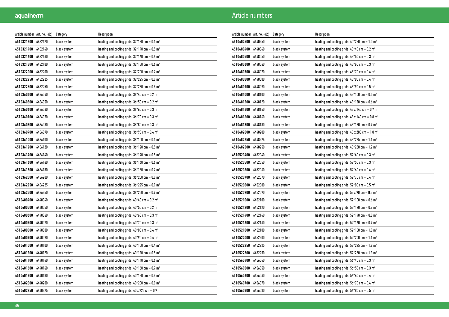| Article number   Art. no. (old) |         | Category     | Description                                                       |
|---------------------------------|---------|--------------|-------------------------------------------------------------------|
| 4510321200                      | 6432120 | black system | heating and cooling grids $32*120$ cm = 0.4 m <sup>2</sup>        |
| 4510321400 6432140              |         | black system | heating and cooling grids $32*140$ cm = 0.5 m <sup>2</sup>        |
| 4510321600                      | 6432160 | black system | heating and cooling grids $32*160$ cm = 0.6 m <sup>2</sup>        |
| 4510321800                      | 6432180 | black system | heating and cooling grids $32*180$ cm = 0.6 m <sup>2</sup>        |
| 4510322000                      | 6432200 | black system | heating and cooling grids $32*200$ cm = 0.7 m <sup>2</sup>        |
| 4510322250                      | 6432225 | black system | heating and cooling grids $32*225$ cm = 0.8 m <sup>2</sup>        |
| 4510322500                      | 6432250 | black system | heating and cooling grids $32*250$ cm = 0.8 m <sup>2</sup>        |
| 4510360400                      | 6436040 | black system | heating and cooling grids $36*40$ cm = 0.2 m <sup>2</sup>         |
| 4510360500                      | 6436050 | black system | heating and cooling grids $36*50$ cm = 0.2 m <sup>2</sup>         |
| 4510360600                      | 6436060 | black system | heating and cooling grids $36*60$ cm = 0.3 m <sup>2</sup>         |
| 4510360700                      | 6436070 | black system | heating and cooling grids $36*70$ cm = 0.3 m <sup>2</sup>         |
| 4510360800                      | 6436080 | black system | heating and cooling grids $36*80$ cm = 0.3 m <sup>2</sup>         |
| 4510360900                      | 6436090 | black system | heating and cooling grids $36*90$ cm = 0.4 m <sup>2</sup>         |
| 4510361000                      | 6436100 | black system | heating and cooling grids $36*100$ cm = 0.4 m <sup>2</sup>        |
| 4510361200                      | 6436120 | black system | heating and cooling grids $36*120$ cm = 0.5 m <sup>2</sup>        |
| 4510361400                      | 6436140 | black system | heating and cooling grids $36*140$ cm = 0.5 m <sup>2</sup>        |
| 4510361600                      | 6436160 | black system | heating and cooling grids $36*160$ cm = 0.6 m <sup>2</sup>        |
| 4510361800                      | 6436180 | black system | heating and cooling grids $36*180$ cm = 0.7 m <sup>2</sup>        |
| 4510362000                      | 6436200 | black system | heating and cooling grids $36*200$ cm = 0.8 m <sup>2</sup>        |
| 4510362250                      | 6436225 | black system | heating and cooling grids $36*225$ cm = 0.9 m <sup>2</sup>        |
| 4510362500                      | 6436250 | black system | heating and cooling grids $36*250$ cm = 0.9 m <sup>2</sup>        |
| 4510400400                      | 6440040 | black system | heating and cooling grids $40*40$ cm = 0.2 m <sup>2</sup>         |
| 4510400500                      | 6440050 | black system | heating and cooling grids $40*50$ cm = 0.2 m <sup>2</sup>         |
| 4510400600                      | 6440060 | black system | heating and cooling grids $40*60$ cm = 0.3 m <sup>2</sup>         |
| 4510400700                      | 6440070 | black system | heating and cooling grids $40*70$ cm = 0.3 m <sup>2</sup>         |
| 4510400800                      | 6440080 | black system | heating and cooling grids $40*80$ cm = 0.4 m <sup>2</sup>         |
| 4510400900                      | 6440090 | black system | heating and cooling grids $40*90$ cm = 0.4 m <sup>2</sup>         |
| 4510401000                      | 6440100 | black system | heating and cooling grids $40*100$ cm = 0.4 m <sup>2</sup>        |
| 4510401200                      | 6440120 | black system | heating and cooling grids $40*120$ cm = 0.5 m <sup>2</sup>        |
| 4510401400                      | 6440140 | black system | heating and cooling grids $40*140$ cm = 0.6 m <sup>2</sup>        |
| 4510401600                      | 6440160 | black system | heating and cooling grids $40*160$ cm = 0.7 m <sup>2</sup>        |
| 4510401800                      | 6440180 | black system | heating and cooling grids $40*180$ cm = 0.8 m <sup>2</sup>        |
| 4510402000                      | 6440200 | black system | heating and cooling grids $40*200$ cm = 0.8 m <sup>2</sup>        |
| 4510402250                      | 6440225 | black system | heating and cooling grids $40 \times 225$ cm = 0.9 m <sup>2</sup> |

| Article number Art. no. (old) |         | Category     | Description                                                       |
|-------------------------------|---------|--------------|-------------------------------------------------------------------|
| 4510402500                    | 6440250 | black system | heating and cooling grids $40*250$ cm = 1.0 m <sup>2</sup>        |
| 4510480400                    | 6448040 | black system | heating and cooling grids $48*40$ cm = 0.2 m <sup>2</sup>         |
| 4510480500                    | 6448050 | black system | heating and cooling grids $48*50$ cm = 0.3 m <sup>2</sup>         |
| 4510480600                    | 6448060 | black system | heating and cooling grids $48*60$ cm = 0.3 m <sup>2</sup>         |
| 4510480700                    | 6448070 | black system | heating and cooling grids $48*70$ cm = 0.4 m <sup>2</sup>         |
| 4510480800                    | 6448080 | black system | heating and cooling grids $48*80$ cm = 0.4 m <sup>2</sup>         |
| 4510480900                    | 6448090 | black system | heating and cooling grids $48*90$ cm = 0.5 m <sup>2</sup>         |
| 4510481000                    | 6448100 | black system | heating and cooling grids $48*100$ cm = 0.5 m <sup>2</sup>        |
| 4510481200                    | 6448120 | black system | heating and cooling grids $48*120$ cm = 0.6 m <sup>2</sup>        |
| 4510481400                    | 6448140 | black system | heating and cooling grids $48 \times 140$ cm = 0.7 m <sup>2</sup> |
| 4510481600                    | 6448160 | black system | heating and cooling grids $48 \times 160$ cm = 0.8 m <sup>2</sup> |
| 4510481800                    | 6448180 | black system | heating and cooling grids $48*180$ cm = 0.9 m <sup>2</sup>        |
| 4510482000                    | 6448200 | black system | heating and cooling grids $48 \times 200$ cm = 1.0 m <sup>2</sup> |
| 4510482250                    | 6448225 | black system | heating and cooling grids $48*225$ cm = 1.1 m <sup>2</sup>        |
| 4510482500                    | 6448250 | black system | heating and cooling grids $48*250$ cm = 1.2 m <sup>2</sup>        |
| 4510520400                    | 6452040 | black system | heating and cooling grids $52*40$ cm = 0.3 m <sup>2</sup>         |
| 4510520500                    | 6452050 | black system | heating and cooling grids $52*50$ cm = 0.3 m <sup>2</sup>         |
| 4510520600                    | 6452060 | black system | heating and cooling grids $52*60$ cm = 0.4 m <sup>2</sup>         |
| 4510520700                    | 6452070 | black system | heating and cooling grids $52*70$ cm = 0.4 m <sup>2</sup>         |
| 4510520800                    | 6452080 | black system | heating and cooling grids $52*80$ cm = 0.5 m <sup>2</sup>         |
| 4510520900                    | 6452090 | black system | heating and cooling grids $52 \times 90$ cm = 0.5 m <sup>2</sup>  |
| 4510521000                    | 6452100 | black system | heating and cooling grids $52*100$ cm = 0.6 m <sup>2</sup>        |
| 4510521200                    | 6452120 | black system | heating and cooling grids $52*120$ cm = 0.7 m <sup>2</sup>        |
| 4510521400                    | 6452140 | black system | heating and cooling grids $52*140$ cm = 0.8 m <sup>2</sup>        |
| 4510521600                    | 6452160 | black system | heating and cooling grids $52*160$ cm = 0.9 m <sup>2</sup>        |
| 4510521800                    | 6452180 | black system | heating and cooling grids $52*180$ cm = 1.0 m <sup>2</sup>        |
| 4510522000                    | 6452200 | black system | heating and cooling grids $52*200$ cm = 1.1 m <sup>2</sup>        |
| 4510522250                    | 6452225 | black system | heating and cooling grids $52*225$ cm = 1.2 m <sup>2</sup>        |
| 4510522500                    | 6452250 | black system | heating and cooling grids $52*250$ cm = 1.3 m <sup>2</sup>        |
| 4510560400                    | 6456040 | black system | heating and cooling grids $56*40$ cm = 0.3 m <sup>2</sup>         |
| 4510560500                    | 6456050 | black system | heating and cooling grids $56*50$ cm = 0.3 m <sup>2</sup>         |
| 4510560600                    | 6456060 | black system | heating and cooling grids $56*60$ cm = 0.4 m <sup>2</sup>         |
| 4510560700                    | 6456070 | black system | heating and cooling grids $56*70$ cm = 0.4 m <sup>2</sup>         |
| 4510560800                    | 6456080 | black system | heating and cooling grids $56*80$ cm = 0.5 m <sup>2</sup>         |
|                               |         |              |                                                                   |